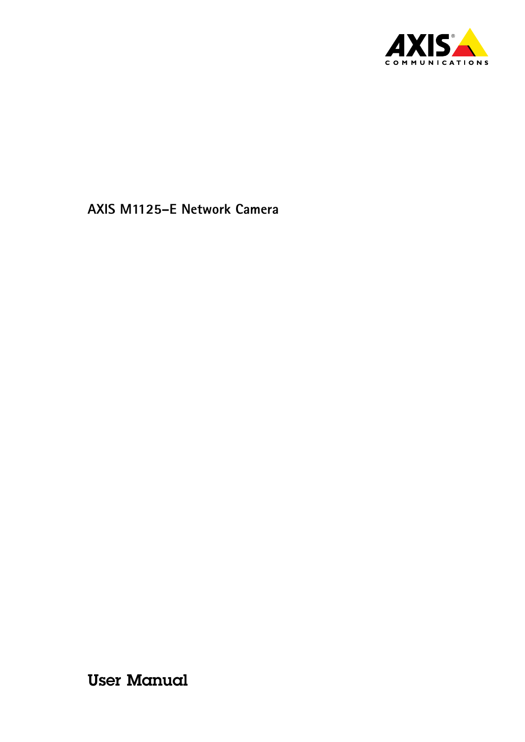

User Manual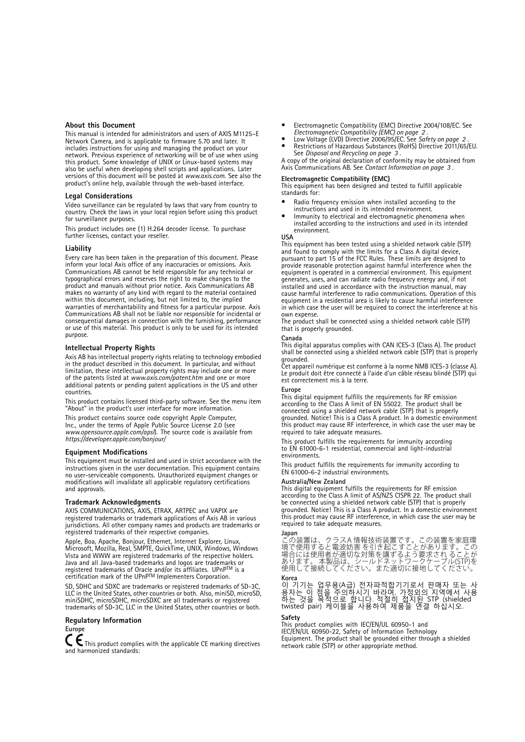#### <span id="page-1-0"></span>**About this Document**

This manual is intended for administrators and users of AXIS M1125–E Network Camera, and is applicable to firmware 5.70 and later. It includes instructions for using and managing the product on your network. Previous experience of networking will be of use when using this product. Some knowledge of UNIX or Linux-based systems may also be useful when developing shell scripts and applications. Later versions of this document will be posted at *www.axis.com*. See also the product's online help, available through the web-based interface.

#### **Legal Considerations**

Video surveillance can be regulated by laws that vary from country to country. Check the laws in your local region before using this product for surveillance purposes.

This product includes one (1) H.264 decoder license. To purchase further licenses, contact your reseller.

#### **Liability**

Every care has been taken in the preparation of this document. Please inform your local Axis office of any inaccuracies or omissions. Axis Communications AB cannot be held responsible for any technical or typographical errors and reserves the right to make changes to the product and manuals without prior notice. Axis Communications AB makes no warranty of any kind with regard to the material contained within this document, including, but not limited to, the implied warranties of merchantability and fitness for a particular purpose. Axis Communications AB shall not be liable nor responsible for incidental or consequential damages in connection with the furnishing, performance or use of this material. This product is only to be used for its intended purpose.

#### **Intellectual Property Rights**

Axis AB has intellectual property rights relating to technology embodied in the product described in this document. In particular, and without limitation, these intellectual property rights may include one or more of the patents listed at *www.axis.com/patent.htm* and one or more additional patents or pending patent applications in the US and other countries.

This product contains licensed third-party software. See the menu item "About" in the product's user interface for more information.

This product contains source code copyright Apple Computer, Inc., under the terms of Apple Public Source License 2.0 (see *www.opensource.apple.com/apsl*). The source code is available from *https://developer.apple.com/bonjour/*

#### **Equipment Modifications**

This equipment must be installed and used in strict accordance with the instructions given in the user documentation. This equipment contains no user-serviceable components. Unauthorized equipment changes or modifications will invalidate all applicable regulatory certifications and approvals.

#### **Trademark Acknowledgments**

AXIS COMMUNICATIONS, AXIS, ETRAX, ARTPEC and VAPIX are registered trademarks or trademark applications of Axis AB in various jurisdictions. All other company names and products are trademarks or registered trademarks of their respective companies.

Apple, Boa, Apache, Bonjour, Ethernet, Internet Explorer, Linux, Microsoft, Mozilla, Real, SMPTE, QuickTime, UNIX, Windows, Windows Vista and WWW are registered trademarks of the respective holders. Java and all Java-based trademarks and logos are trademarks or registered trademarks of Oracle and/or its affiliates. UPnP™ is a<br>certification mark of the UPnP™ Implementers Corporation.

SD, SDHC and SDXC are trademarks or registered trademarks of SD-3C, LLC in the United States, other countries or both. Also, miniSD, microSD, miniSDHC, microSDHC, microSDXC are all trademarks or registered trademarks of SD-3C, LLC in the United States, other countries or both.

#### **Regulatory Information**

# **Europe**

 $\boldsymbol{\zeta}$  This product complies with the applicable CE marking directives and harmonized standards:

- •Electromagnetic Compatibility (EMC) Directive 2004/108/EC. See
- *Electromagnetic Compatibility (EMC) on page <sup>2</sup>* . Low Voltage (LVD) Directive 2006/95/EC. See *Safety on page <sup>2</sup>* . ••Restrictions of Hazardous Substances (RoHS) Directive 2011/65/EU.
- See *Disposal and [Recycling](#page-2-0) on page [3](#page-2-0)* . A copy of the original declaration of conformity may be obtained from

Axis Communications AB. See *Contact [Information](#page-2-0) on page [3](#page-2-0)* .

#### **Electromagnetic Compatibility (EMC)**

This equipment has been designed and tested to fulfill applicable standards for:

- •Radio frequency emission when installed according to the
- instructions and used in its intended environment. • Immunity to electrical and electromagnetic phenomena when installed according to the instructions and used in its intended
	- environment.

**USA** This equipment has been tested using <sup>a</sup> shielded network cable (STP) and found to comply with the limits for <sup>a</sup> Class A digital device, pursuant to part 15 of the FCC Rules. These limits are designed to provide reasonable protection against harmful interference when the equipment is operated in <sup>a</sup> commercial environment. This equipment generates, uses, and can radiate radio frequency energy and, if not installed and used in accordance with the instruction manual, may cause harmful interference to radio communications. Operation of this equipment in <sup>a</sup> residential area is likely to cause harmful interference in which case the user will be required to correct the interference at his own expense.

The product shall be connected using <sup>a</sup> shielded network cable (STP) that is properly grounded.

#### **Canada**

This digital apparatus complies with CAN ICES-3 (Class A). The product shall be connected using <sup>a</sup> shielded network cable (STP) that is properly grounded.

Cet appareil numérique est conforme à la norme NMB ICES-3 (classe A). Le produit doit être connecté à l'aide d'un câble réseau blindé (STP) qui est correctement mis à la terre.

#### **Europe**

This digital equipment fulfills the requirements for RF emission according to the Class A limit of EN 55022. The product shall be connected using <sup>a</sup> shielded network cable (STP) that is properly grounded. Notice! This is a Class A product. In a domestic environment this product may cause RF interference, in which case the user may be required to take adequate measures.

This product fulfills the requirements for immunity according to EN 61000-6-1 residential, commercial and light-industrial environments.

This product fulfills the requirements for immunity according to EN 61000-6-2 industrial environments.

#### **Australia/New Zealand**

This digital equipment fulfills the requirements for RF emission according to the Class A limit of AS/NZS CISPR 22. The product shall be connected using <sup>a</sup> shielded network cable (STP) that is properly grounded. Notice! This is <sup>a</sup> Class A product. In <sup>a</sup> domestic environment this product may cause RF interference, in which case the user may be required to take adequate measures.

#### **Japan**

この装置は、クラスA 情報技術装置です。この装置を家庭環で使用すると電波妨害を引き起こすことがあります。この<br>場合使使用すると電波妨害を引き起こすことがあります。この<br>場合には使用者が適は、シールドネットワークケーブル(STP)を<br>あります。本製品は、シールドネットワークケーブル(STP)を

**Korea**<br>이 기기는 업무용(A급) 전자파적합기기로서 판매자 또는 사<br>용자는 것을 목적으로 합니다. 적절히 접지된 STP (shielded twisted pair) 케이블을 사용하여 제품을 연결 하십시오.

#### **Safety**

This product complies with IEC/EN/UL 60950-1 and IEC/EN/UL 60950-22, Safety of Information Technology Equipment. The product shall be grounded either through <sup>a</sup> shielded network cable (STP) or other appropriate method.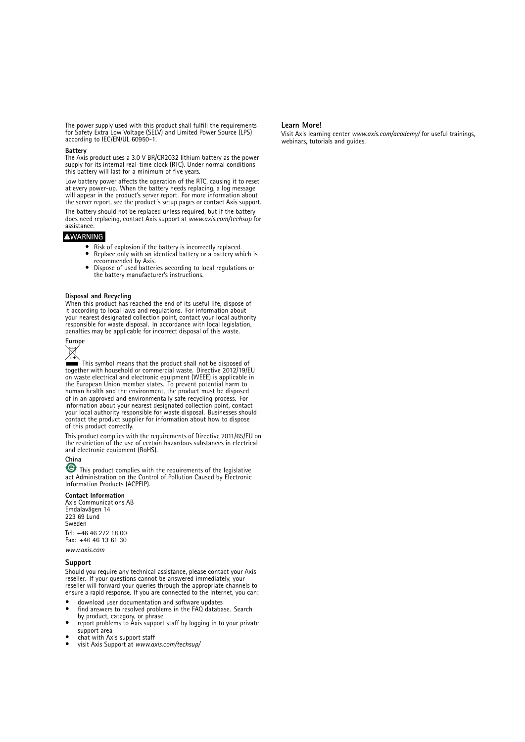<span id="page-2-0"></span>The power supply used with this product shall fulfill the requirements for Safety Extra Low Voltage (SELV) and Limited Power Source (LPS) according to IEC/EN/UL 60950-1.

#### **Battery**

The Axis product uses <sup>a</sup> 3.0 V BR/CR2032 lithium battery as the power supply for its internal real-time clock (RTC). Under normal conditions this battery will last for <sup>a</sup> minimum of five years.

Low battery power affects the operation of the RTC, causing it to reset at every power-up. When the battery needs replacing, <sup>a</sup> log message will appear in the product's server report. For more information about the server report, see the product´s setup pages or contact Axis support.

The battery should not be replaced unless required, but if the battery does need replacing, contact Axis support at *www.axis.com/techsup* for assistance.

### **WARNING**

- Risk of explosion if the battery is incorrectly replaced. • Replace only with an identical battery or <sup>a</sup> battery which is
- recommended by Axis. • Dispose of used batteries according to local regulations or the battery manufacturer's instructions.

#### **Disposal and Recycling**

When this product has reached the end of its useful life, dispose of it according to local laws and regulations. For information about your nearest designated collection point, contact your local authority responsible for waste disposal. In accordance with local legislation, penalties may be applicable for incorrect disposal of this waste.



This symbol means that the product shall not be disposed of together with household or commercial waste. Directive 2012/19/EU on waste electrical and electronic equipment (WEEE) is applicable in the European Union member states. To prevent potential harm to human health and the environment, the product must be disposed of in an approved and environmentally safe recycling process. For information about your nearest designated collection point, contact your local authority responsible for waste disposal. Businesses should contact the product supplier for information about how to dispose of this product correctly.

This product complies with the requirements of Directive 2011/65/EU on the restriction of the use of certain hazardous substances in electrical and electronic equipment (RoHS).

### **China**

This product complies with the requirements of the legislative act Administration on the Control of Pollution Caused by Electronic Information Products (ACPEIP).

#### **Contact Information**

Axis Communications AB Emdalavägen 14 223 69 Lund Sweden Tel: +46 46 272 18 00 Fax: +46 46 13 61 30

*www.axis.com*

#### **Support**

Should you require any technical assistance, please contact your Axis reseller. If your questions cannot be answered immediately, your reseller will forward your queries through the appropriate channels to ensure <sup>a</sup> rapid response. If you are connected to the Internet, you can:

- • download user documentation and software updates •
- find answers to resolved problems in the FAQ database. Search by product, category, or phrase •report problems to Axis support staff by logging in to your private
- support area
- •chat with Axis support staff
- •visit Axis Support at *www.axis.com/techsup/*

#### **Learn More!**

Visit Axis learning center *www.axis.com/academy/* for useful trainings, webinars, tutorials and guides.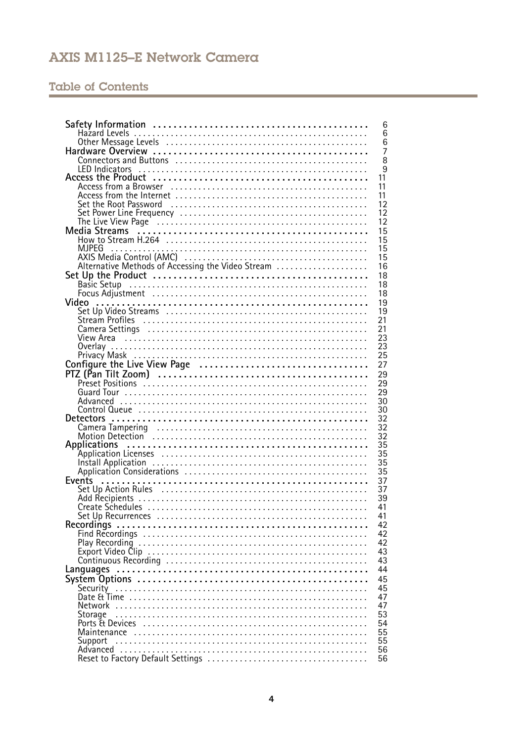# **Table of Contents**

|                                                                                                                                                                                                  | 6                   |
|--------------------------------------------------------------------------------------------------------------------------------------------------------------------------------------------------|---------------------|
|                                                                                                                                                                                                  | 6                   |
|                                                                                                                                                                                                  | 6<br>$\overline{7}$ |
|                                                                                                                                                                                                  | 8                   |
| <b>LED</b> Indicators                                                                                                                                                                            | 9                   |
|                                                                                                                                                                                                  | 11                  |
| Access from a Browser                                                                                                                                                                            | 11                  |
|                                                                                                                                                                                                  | 11                  |
| Set the Root Password                                                                                                                                                                            | 12                  |
|                                                                                                                                                                                                  | 12                  |
|                                                                                                                                                                                                  | 12                  |
|                                                                                                                                                                                                  | 15                  |
|                                                                                                                                                                                                  | 15                  |
| MJPEG<br>AXIS Media Control (AMC)<br>Alternative Methods of Accessing the Video Stream<br>Alternative Methods of Accessing the Video Stream<br>Alternative Methods of Accessing the Video Stream | 15<br>15            |
|                                                                                                                                                                                                  | 16                  |
|                                                                                                                                                                                                  | 18                  |
| Set Up the Product<br>Basic Setup<br>Focus Adjustment                                                                                                                                            | 18                  |
|                                                                                                                                                                                                  | 18                  |
| Video                                                                                                                                                                                            | 19                  |
|                                                                                                                                                                                                  | 19                  |
| Stream Profiles                                                                                                                                                                                  | 21                  |
| Camera Settings (and all and all and all and all and all and all and all and all and all and all and all and a                                                                                   | 21                  |
|                                                                                                                                                                                                  | 23                  |
|                                                                                                                                                                                                  | 23                  |
|                                                                                                                                                                                                  | 25                  |
|                                                                                                                                                                                                  | 27                  |
|                                                                                                                                                                                                  | 29                  |
|                                                                                                                                                                                                  | 29                  |
|                                                                                                                                                                                                  | 29                  |
|                                                                                                                                                                                                  | 30                  |
|                                                                                                                                                                                                  | 30                  |
|                                                                                                                                                                                                  | 32                  |
| Camera Tampering (and all and all and all and all and all and all and all and all and all and all and all and                                                                                    | 32<br>32            |
| Motion Detection<br>Applications                                                                                                                                                                 | 35                  |
|                                                                                                                                                                                                  | 35                  |
|                                                                                                                                                                                                  | 35                  |
|                                                                                                                                                                                                  | 35                  |
| Events                                                                                                                                                                                           | 37                  |
|                                                                                                                                                                                                  | 37                  |
|                                                                                                                                                                                                  | 39                  |
|                                                                                                                                                                                                  | 41                  |
|                                                                                                                                                                                                  | 41                  |
|                                                                                                                                                                                                  | 42                  |
|                                                                                                                                                                                                  | 42                  |
|                                                                                                                                                                                                  | 42                  |
|                                                                                                                                                                                                  | 43                  |
|                                                                                                                                                                                                  | 43<br>44            |
|                                                                                                                                                                                                  | 45                  |
|                                                                                                                                                                                                  | 45                  |
|                                                                                                                                                                                                  | 47                  |
|                                                                                                                                                                                                  | 47                  |
| Storage                                                                                                                                                                                          | 53                  |
| Ports & Devices                                                                                                                                                                                  | 54                  |
|                                                                                                                                                                                                  | 55                  |
| Support                                                                                                                                                                                          | 55                  |
|                                                                                                                                                                                                  | 56                  |
|                                                                                                                                                                                                  | 56                  |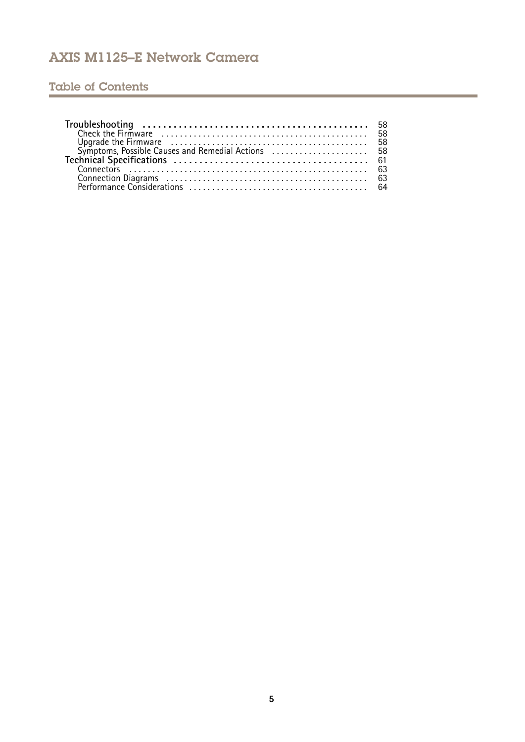# Table of Contents

| Check the Firmware<br>Upgrade the Firmware<br>Symptoms, Possible Causes and Remedial Actions<br>58 |  |
|----------------------------------------------------------------------------------------------------|--|
|                                                                                                    |  |
|                                                                                                    |  |
|                                                                                                    |  |
|                                                                                                    |  |
|                                                                                                    |  |
|                                                                                                    |  |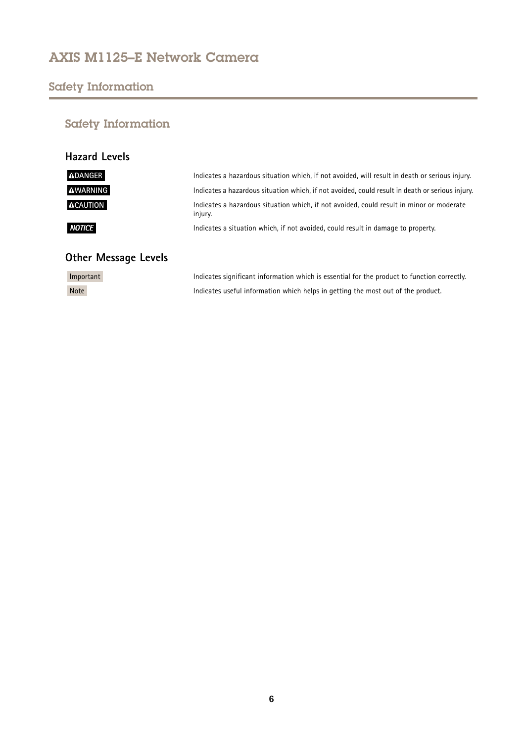# <span id="page-5-0"></span>Safety Information

# Safety Information

| <b>Hazard Levels</b> |                                                                                                     |
|----------------------|-----------------------------------------------------------------------------------------------------|
| <b>ADANGER</b>       | Indicates a hazardous situation which, if not avoided, will result in death or serious injury.      |
| <b>AWARNING</b>      | Indicates a hazardous situation which, if not avoided, could result in death or serious injury.     |
| <b>ACAUTION</b>      | Indicates a hazardous situation which, if not avoided, could result in minor or moderate<br>injury. |
| <b>NOTICE</b>        | Indicates a situation which, if not avoided, could result in damage to property.                    |

# **Other Message Levels**

| Important   | Indicates significant information which is essential for the product to function correctly. |
|-------------|---------------------------------------------------------------------------------------------|
| <b>Note</b> | Indicates useful information which helps in getting the most out of the product.            |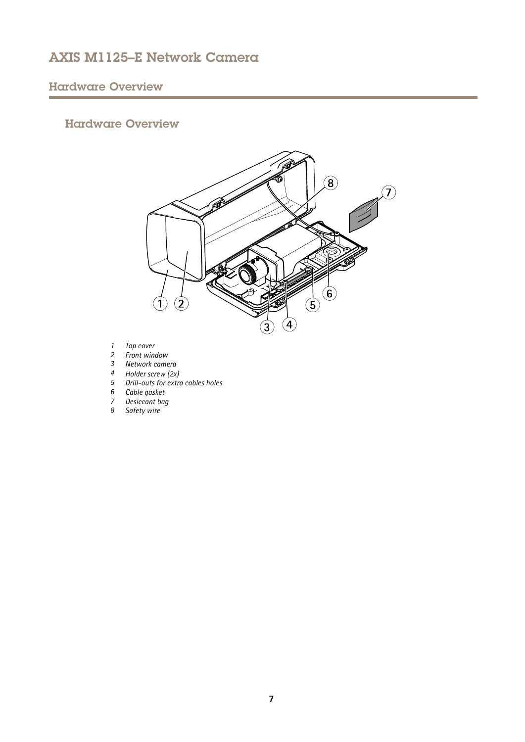# <span id="page-6-0"></span>Hardware Overview

## Hardware Overview



- *1 Top cover*
- *2 Front window*
- *3 Network camera*
- *<sup>4</sup> Holder screw (2x)*
- *5 Drill-outs for extra cables holes*
- *6 Cable gasket*
- *7 Desiccant bag*
- *8 Safety wire*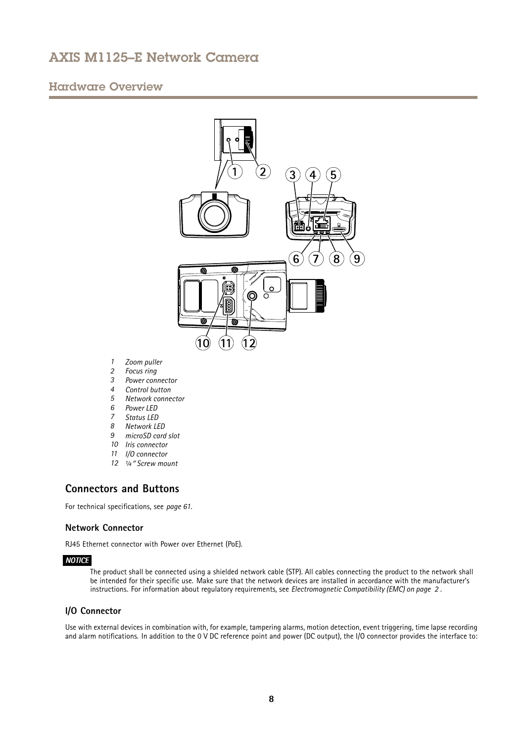## <span id="page-7-0"></span>Hardware Overview



- *1 Zoom puller*
- *2 Focus ring*
- *3 Power connector*
- *4 Control button*
- *5 Network connector*
- *6 Power LED*
- *7 Status LED*
- *8 Network LED*
- *9 microSD card slot*
- *10 Iris connector*
- *11 I/O connector*
- *12 ¼*″ *Screw mount*

## **Connectors and Buttons**

For technical specifications, see *[page](#page-60-0) [61](#page-60-0)*.

### **Network Connector**

RJ45 Ethernet connector with Power over Ethernet (PoE).

### *NOTICE*

The product shall be connected using <sup>a</sup> shielded network cable (STP). All cables connecting the product to the network shall be intended for their specific use. Make sure that the network devices are installed in accordance with the manufacturer's instructions. For information about regulatory requirements, see *[Electromagnetic](#page-1-0) Compatibility (EMC) on page [2](#page-1-0)* .

### **I/O Connector**

Use with external devices in combination with, for example, tampering alarms, motion detection, event triggering, time lapse recording and alarm notifications. In addition to the <sup>0</sup> V DC reference point and power (DC output), the I/O connector provides the interface to: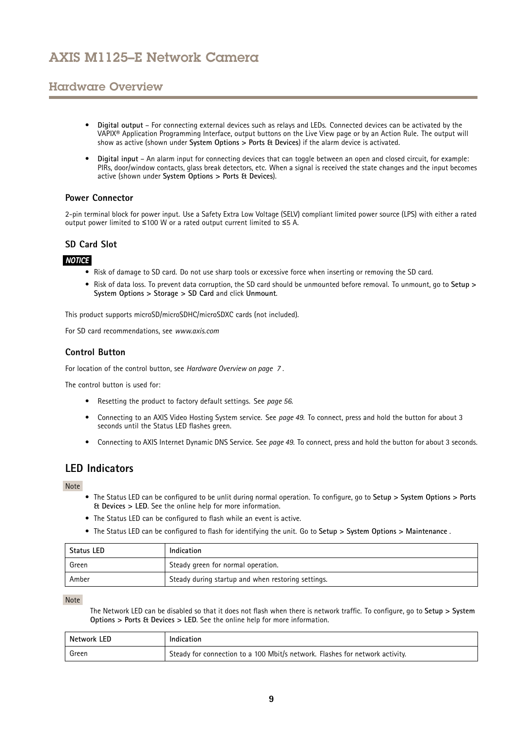## <span id="page-8-0"></span>Hardware Overview

- • **Digital output** – For connecting external devices such as relays and LEDs. Connected devices can be activated by the VAPIX® Application Programming Interface, output buttons on the Live View page or by an Action Rule. The output will show as active (shown under **System Options <sup>&</sup>gt; Ports & Devices**) if the alarm device is activated.
- • **Digital input** – An alarm input for connecting devices that can toggle between an open and closed circuit, for example: PIRs, door/window contacts, glass break detectors, etc. When <sup>a</sup> signal is received the state changes and the input becomes active (shown under **System Options <sup>&</sup>gt; Ports & Devices**).

### **Power Connector**

2-pin terminal block for power input. Use <sup>a</sup> Safety Extra Low Voltage (SELV) compliant limited power source (LPS) with either <sup>a</sup> rated output power limited to <sup>≤</sup>100 W or <sup>a</sup> rated output current limited to <sup>≤</sup>5 A.

### **SD Card Slot**

### *NOTICE*

- Risk of damage to SD card. Do not use sharp tools or excessive force when inserting or removing the SD card.
- Risk of data loss. To prevent data corruption, the SD card should be unmounted before removal. To unmount, go to **Setup <sup>&</sup>gt; System Options <sup>&</sup>gt; Storage <sup>&</sup>gt; SD Card** and click **Unmount**.

This product supports microSD/microSDHC/microSDXC cards (not included).

For SD card recommendations, see *www.axis.com*

### **Control Button**

For location of the control button, see *[Hardware](#page-6-0) Overview on page [7](#page-6-0)* .

The control button is used for:

- Resetting the product to factory default settings. See *[page](#page-55-0) [56](#page-55-0)*.
- Connecting to an AXIS Video Hosting System service. See *[page](#page-48-0) [49](#page-48-0)*. To connect, press and hold the button for about 3 seconds until the Status LED flashes green.
- Connecting to AXIS Internet Dynamic DNS Service. See *[page](#page-48-0) [49](#page-48-0)*. To connect, press and hold the button for about 3 seconds.

### **LED Indicators**

Note

- The Status LED can be configured to be unlit during normal operation. To configure, go to **Setup <sup>&</sup>gt; System Options <sup>&</sup>gt; Ports & Devices <sup>&</sup>gt; LED**. See the online help for more information.
- The Status LED can be configured to flash while an event is active.
- The Status LED can be configured to flash for identifying the unit. Go to **Setup <sup>&</sup>gt; System Options <sup>&</sup>gt; Maintenance** .

| <b>Status LED</b> | Indication                                         |  |  |  |
|-------------------|----------------------------------------------------|--|--|--|
| Green             | Steady green for normal operation.                 |  |  |  |
| Amber             | Steady during startup and when restoring settings. |  |  |  |

Note

The Network LED can be disabled so that it does not flash when there is network traffic. To configure, go to **Setup <sup>&</sup>gt; System Options <sup>&</sup>gt; Ports & Devices <sup>&</sup>gt; LED**. See the online help for more information.

| Network LED | Indication                                                                   |
|-------------|------------------------------------------------------------------------------|
| Green       | Steady for connection to a 100 Mbit/s network. Flashes for network activity. |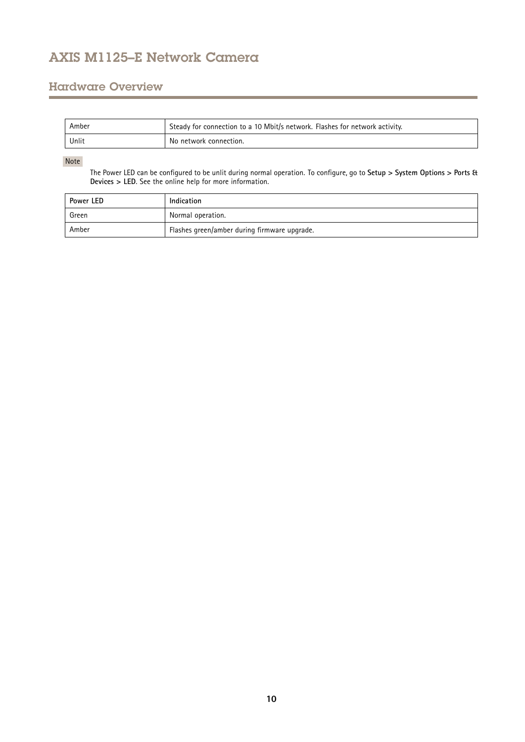## Hardware Overview

| Amber | Steady for connection to a 10 Mbit/s network. Flashes for network activity. |
|-------|-----------------------------------------------------------------------------|
| Unlit | No network connection.                                                      |

### Note

The Power LED can be configured to be unlit during normal operation. To configure, go to **Setup <sup>&</sup>gt; System Options <sup>&</sup>gt; Ports & Devices <sup>&</sup>gt; LED**. See the online help for more information.

| Power LED | Indication                                   |  |  |
|-----------|----------------------------------------------|--|--|
| Green     | Normal operation.                            |  |  |
| Amber     | Flashes green/amber during firmware upgrade. |  |  |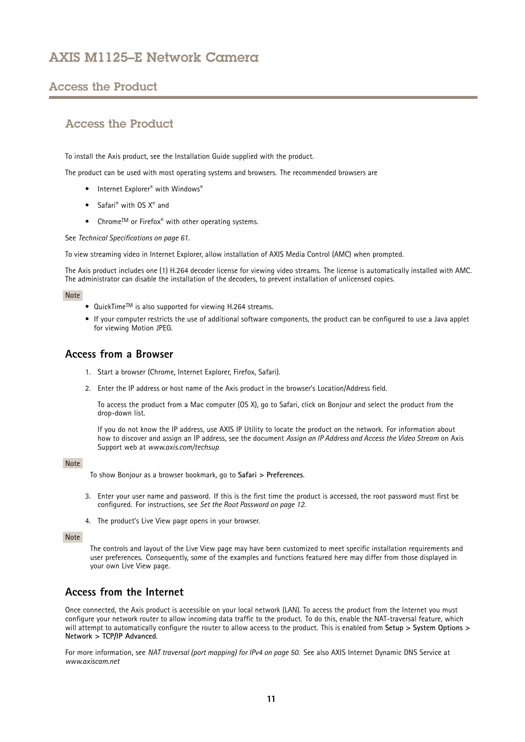## <span id="page-10-0"></span>Access the Product

## Access the Product

To install the Axis product, see the Installation Guide supplied with the product.

The product can be used with most operating systems and browsers. The recommended browsers are

- Internet Explorer® with Windows®
- Safari<sup>®</sup> with OS X<sup>®</sup> and
- Chrome<sup>TM</sup> or Firefox<sup>®</sup> with other operating systems.

See *Technical [Specifications](#page-60-0) on page [61](#page-60-0)*.

To view streaming video in Internet Explorer, allow installation of AXIS Media Control (AMC) when prompted.

The Axis product includes one (1) H.264 decoder license for viewing video streams. The license is automatically installed with AMC. The administrator can disable the installation of the decoders, to prevent installation of unlicensed copies.

#### Note

- $\bullet$  QuickTime<sup>TM</sup> is also supported for viewing H.264 streams.
- If your computer restricts the use of additional software components, the product can be configured to use <sup>a</sup> Java applet for viewing Motion JPEG.

### **Access from <sup>a</sup> Browser**

- 1. Start <sup>a</sup> browser (Chrome, Internet Explorer, Firefox, Safari).
- 2. Enter the IP address or host name of the Axis product in the browser's Location/Address field.

To access the product from <sup>a</sup> Mac computer (OS X), go to Safari, click on Bonjour and select the product from the drop-down list.

If you do not know the IP address, use AXIS IP Utility to locate the product on the network. For information about how to discover and assign an IP address, see the document *Assign an IP Address and Access the Video Stream* on Axis Support web at *www.axis.com/techsup*

#### Note

To show Bonjour as <sup>a</sup> browser bookmark, go to **Safari <sup>&</sup>gt; Preferences**.

- 3. Enter your user name and password. If this is the first time the product is accessed, the root password must first be configured. For instructions, see *Set the Root [Password](#page-11-0) on page [12](#page-11-0)*.
- 4. The product's Live View page opens in your browser.

### Note

The controls and layout of the Live View page may have been customized to meet specific installation requirements and user preferences. Consequently, some of the examples and functions featured here may differ from those displayed in your own Live View page.

## **Access from the Internet**

Once connected, the Axis product is accessible on your local network (LAN). To access the product from the Internet you must configure your network router to allow incoming data traffic to the product. To do this, enable the NAT-traversal feature, which will attempt to automatically configure the router to allow access to the product. This is enabled from **Setup <sup>&</sup>gt; System Options <sup>&</sup>gt; Network <sup>&</sup>gt; TCP/IP Advanced**.

For more information, see *NAT [traversal](#page-49-0) (port mapping) for IPv4 on page [50](#page-49-0)*. See also AXIS Internet Dynamic DNS Service at *www.axiscam.net*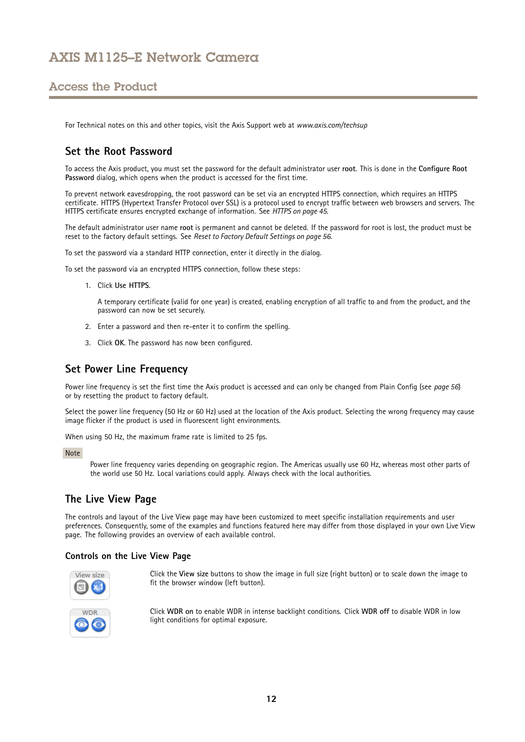## <span id="page-11-0"></span>Access the Product

For Technical notes on this and other topics, visit the Axis Support web at *www.axis.com/techsup*

## **Set the Root Password**

To access the Axis product, you must set the password for the default administrator user **root**. This is done in the **Configure Root Password** dialog, which opens when the product is accessed for the first time.

To prevent network eavesdropping, the root password can be set via an encrypted HTTPS connection, which requires an HTTPS certificate. HTTPS (Hypertext Transfer Protocol over SSL) is <sup>a</sup> protocol used to encrypt traffic between web browsers and servers. The HTTPS certificate ensures encrypted exchange of information. See *[HTTPS](#page-44-0) on page [45](#page-44-0)*.

The default administrator user name **root** is permanent and cannot be deleted. If the password for root is lost, the product must be reset to the factory default settings. See *Reset to Factory Default [Settings](#page-55-0) on page [56](#page-55-0)*.

To set the password via <sup>a</sup> standard HTTP connection, enter it directly in the dialog.

To set the password via an encrypted HTTPS connection, follow these steps:

1. Click **Use HTTPS**.

A temporary certificate (valid for one year) is created, enabling encryption of all traffic to and from the product, and the password can now be set securely.

- 2. Enter <sup>a</sup> password and then re-enter it to confirm the spelling.
- 3. Click **OK**. The password has now been configured.

## **Set Power Line Frequency**

Power line frequency is set the first time the Axis product is accessed and can only be changed from Plain Config (see *[page](#page-55-0) [56](#page-55-0)*) or by resetting the product to factory default.

Select the power line frequency (50 Hz or 60 Hz) used at the location of the Axis product. Selecting the wrong frequency may cause image flicker if the product is used in fluorescent light environments.

When using 50 Hz, the maximum frame rate is limited to 25 fps.

#### Note

Power line frequency varies depending on geographic region. The Americas usually use 60 Hz, whereas most other parts of the world use 50 Hz. Local variations could apply. Always check with the local authorities.

## **The Live View Page**

The controls and layout of the Live View page may have been customized to meet specific installation requirements and user preferences. Consequently, some of the examples and functions featured here may differ from those displayed in your own Live View page. The following provides an overview of each available control.

### **Controls on the Live View Page**



Click the **View size** buttons to show the image in full size (right button) or to scale down the image to fit the browser window (left button).



Click **WDR on** to enable WDR in intense backlight conditions. Click **WDR off** to disable WDR in low light conditions for optimal exposure.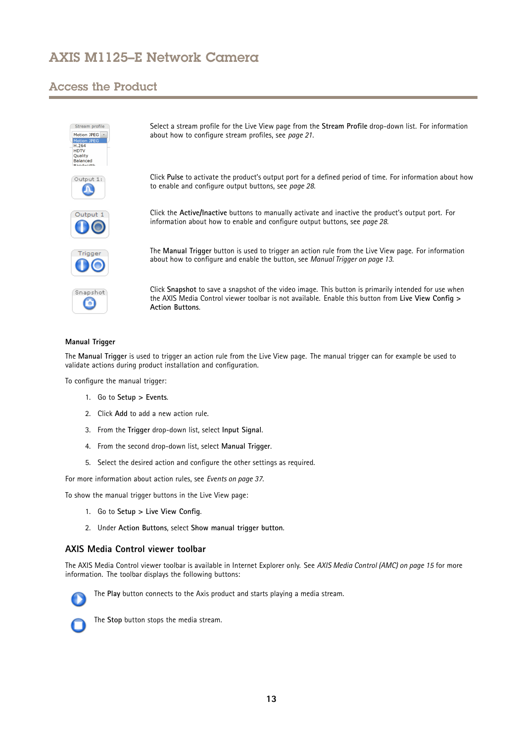## Access the Product

h

| Stream profile<br>Motion JPEG +<br>Motion JPEG<br>H.264<br><b>HDTV</b><br>Quality<br>Balanced<br><b>Randwidth</b> | Select a stream profile for the Live View page from the Stream Profile drop-down list. For information<br>about how to configure stream profiles, see page 21.                                                                       |
|-------------------------------------------------------------------------------------------------------------------|--------------------------------------------------------------------------------------------------------------------------------------------------------------------------------------------------------------------------------------|
| Output 1:                                                                                                         | Click Pulse to activate the product's output port for a defined period of time. For information about how<br>to enable and configure output buttons, see page 28.                                                                    |
| Output:                                                                                                           | Click the Active/Inactive buttons to manually activate and inactive the product's output port. For<br>information about how to enable and configure output buttons, see page 28.                                                     |
| Trigger                                                                                                           | The Manual Trigger button is used to trigger an action rule from the Live View page. For information<br>about how to configure and enable the button, see Manual Trigger on page 13.                                                 |
| Snapshot                                                                                                          | Click Snapshot to save a snapshot of the video image. This button is primarily intended for use when<br>the AXIS Media Control viewer toolbar is not available. Enable this button from Live View Config ><br><b>Action Buttons.</b> |
|                                                                                                                   |                                                                                                                                                                                                                                      |

### **Manual Trigger**

The **Manual Trigger** is used to trigger an action rule from the Live View page. The manual trigger can for example be used to validate actions during product installation and configuration.

To configure the manual trigger:

- 1. Go to **Setup <sup>&</sup>gt; Events**.
- 2. Click **Add** to add <sup>a</sup> new action rule.
- 3. From the **Trigger** drop-down list, select **Input Signal**.
- 4. From the second drop-down list, select **Manual Trigger**.
- 5. Select the desired action and configure the other settings as required.

For more information about action rules, see *[Events](#page-36-0) on page [37](#page-36-0)*.

To show the manual trigger buttons in the Live View page:

- 1. Go to **Setup <sup>&</sup>gt; Live View Config**.
- 2. Under **Action Buttons**, select **Show manual trigger button**.

### **AXIS Media Control viewer toolbar**

The AXIS Media Control viewer toolbar is available in Internet Explorer only. See *AXIS Media Control [\(AMC\)](#page-14-0) on page [15](#page-14-0)* for more information. The toolbar displays the following buttons:



The **Play** button connects to the Axis product and starts playing <sup>a</sup> media stream.



The **Stop** button stops the media stream.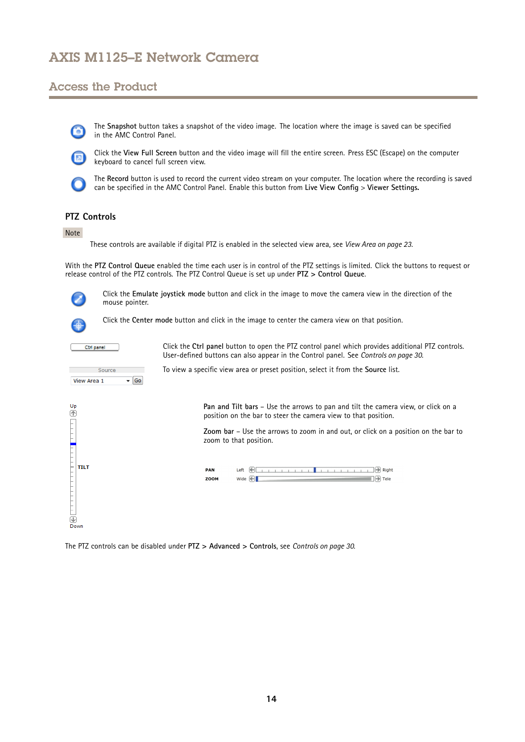## Access the Product

The **Snapshot** button takes <sup>a</sup> snapshot of the video image. The location where the image is saved can be specified in the AMC Control Panel.



Click the **View Full Screen** button and the video image will fill the entire screen. Press ESC (Escape) on the computer keyboard to cancel full screen view.



The **Record** button is used to record the current video stream on your computer. The location where the recording is saved can be specified in the AMC Control Panel. Enable this button from **Live View Config** <sup>&</sup>gt; **Viewer Settings.**

## **PTZ Controls**

### Note

These controls are available if digital PTZ is enabled in the selected view area, see *View Area on [page](#page-22-0) [23](#page-22-0)*.

With the **PTZ Control Queue** enabled the time each user is in control of the PTZ settings is limited. Click the buttons to request or release control of the PTZ controls. The PTZ Control Queue is set up under **PTZ <sup>&</sup>gt; Control Queue**.



Click the **Emulate joystick mode** button and click in the image to move the camera view in the direction of the mouse pointer.

To view <sup>a</sup> specific view area or preset position, select it from the **Source** list.



È TILT

 $\overline{\bigcirc}$ <br>De

Click the **Center mode** button and click in the image to center the camera view on that position.



Click the **Ctrl panel** button to open the PTZ control panel which provides additional PTZ controls. User-defined buttons can also appear in the Control panel. See *[Controls](#page-29-0) on page [30](#page-29-0)*.



**Pan and Tilt bars** – Use the arrows to pan and tilt the camera view, or click on <sup>a</sup> position on the bar to steer the camera view to that position.

**Zoom bar** – Use the arrows to zoom in and out, or click on <sup>a</sup> position on the bar to zoom to that position.



The PTZ controls can be disabled under **PTZ <sup>&</sup>gt; Advanced <sup>&</sup>gt; Controls**, see *[Controls](#page-29-0) on page [30](#page-29-0)*.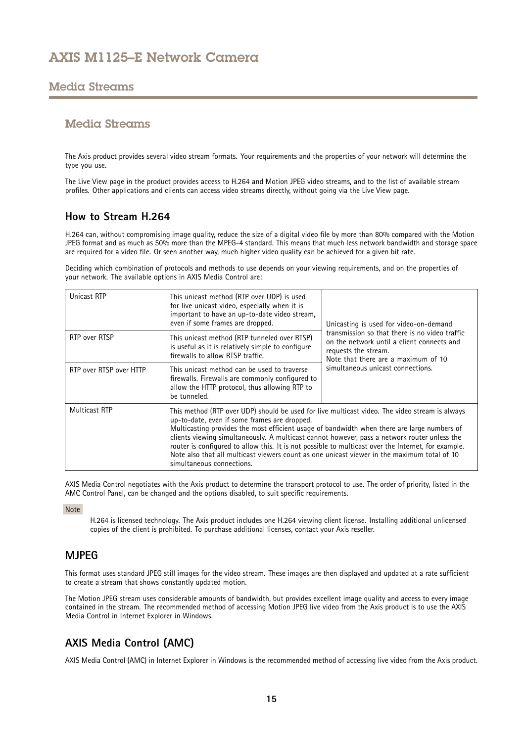## <span id="page-14-0"></span>Media Streams

## Media Streams

The Axis product provides several video stream formats. Your requirements and the properties of your network will determine the type you use.

The Live View page in the product provides access to H.264 and Motion JPEG video streams, and to the list of available stream profiles. Other applications and clients can access video streams directly, without going via the Live View page.

## **How to Stream H.264**

H.264 can, without compromising image quality, reduce the size of <sup>a</sup> digital video file by more than 80% compared with the Motion JPEG format and as much as 50% more than the MPEG-4 standard. This means that much less network bandwidth and storage space are required for <sup>a</sup> video file. Or seen another way, much higher video quality can be achieved for <sup>a</sup> given bit rate.

Deciding which combination of protocols and methods to use depends on your viewing requirements, and on the properties of your network. The available options in AXIS Media Control are:

| Unicast RTP             | This unicast method (RTP over UDP) is used<br>for live unicast video, especially when it is<br>important to have an up-to-date video stream,<br>even if some frames are dropped.                                                                                                                                                                                                                                                                                                                                                                                                 | Unicasting is used for video-on-demand<br>transmission so that there is no video traffic<br>on the network until a client connects and<br>requests the stream.<br>Note that there are a maximum of 10<br>simultaneous unicast connections. |  |  |
|-------------------------|----------------------------------------------------------------------------------------------------------------------------------------------------------------------------------------------------------------------------------------------------------------------------------------------------------------------------------------------------------------------------------------------------------------------------------------------------------------------------------------------------------------------------------------------------------------------------------|--------------------------------------------------------------------------------------------------------------------------------------------------------------------------------------------------------------------------------------------|--|--|
| RTP over RTSP           | This unicast method (RTP tunneled over RTSP)<br>is useful as it is relatively simple to configure<br>firewalls to allow RTSP traffic.                                                                                                                                                                                                                                                                                                                                                                                                                                            |                                                                                                                                                                                                                                            |  |  |
| RTP over RTSP over HTTP | This unicast method can be used to traverse<br>firewalls. Firewalls are commonly configured to<br>allow the HTTP protocol, thus allowing RTP to<br>be tunneled.                                                                                                                                                                                                                                                                                                                                                                                                                  |                                                                                                                                                                                                                                            |  |  |
| <b>Multicast RTP</b>    | This method (RTP over UDP) should be used for live multicast video. The video stream is always<br>up-to-date, even if some frames are dropped.<br>Multicasting provides the most efficient usage of bandwidth when there are large numbers of<br>clients viewing simultaneously. A multicast cannot however, pass a network router unless the<br>router is configured to allow this. It is not possible to multicast over the Internet, for example.<br>Note also that all multicast viewers count as one unicast viewer in the maximum total of 10<br>simultaneous connections. |                                                                                                                                                                                                                                            |  |  |

AXIS Media Control negotiates with the Axis product to determine the transport protocol to use. The order of priority, listed in the AMC Control Panel, can be changed and the options disabled, to suit specific requirements.

Note

H.264 is licensed technology. The Axis product includes one H.264 viewing client license. Installing additional unlicensed copies of the client is prohibited. To purchase additional licenses, contact your Axis reseller.

## **MJPEG**

This format uses standard JPEG still images for the video stream. These images are then displayed and updated at <sup>a</sup> rate sufficient to create <sup>a</sup> stream that shows constantly updated motion.

The Motion JPEG stream uses considerable amounts of bandwidth, but provides excellent image quality and access to every image contained in the stream. The recommended method of accessing Motion JPEG live video from the Axis product is to use the AXIS Media Control in Internet Explorer in Windows.

## **AXIS Media Control (AMC)**

AXIS Media Control (AMC) in Internet Explorer in Windows is the recommended method of accessing live video from the Axis product.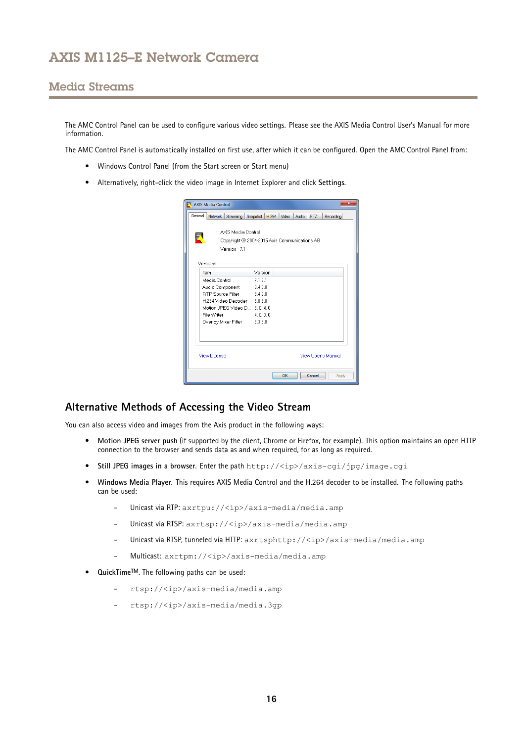## <span id="page-15-0"></span>Media Streams

The AMC Control Panel can be used to configure various video settings. Please see the AXIS Media Control User's Manual for more information.

The AMC Control Panel is automatically installed on first use, after which it can be configured. Open the AMC Control Panel from:

- Windows Control Panel (from the Start screen or Start menu)
- Alternatively, right-click the video image in Internet Explorer and click **Settings**.

|         | AXIS Media Control                                                 |                                  |            |       |       |       |            |                    |
|---------|--------------------------------------------------------------------|----------------------------------|------------|-------|-------|-------|------------|--------------------|
| General | Network                                                            | Streaming                        | Snapshot   | H.264 | Video | Audio | <b>PTZ</b> | Recording          |
| K       | AXIS Media Control<br>Copyright @ 2004-2015 Axis Communications AB |                                  |            |       |       |       |            |                    |
|         | Versions<br>Item                                                   | Version 7.1                      | Version    |       |       |       |            |                    |
|         | Media Control                                                      |                                  | 7121       |       |       |       |            |                    |
|         |                                                                    |                                  |            |       |       |       |            |                    |
|         |                                                                    | Audio Component 3.4.0.0          |            |       |       |       |            |                    |
|         |                                                                    | RTP Source Filter 3.4.2.0        |            |       |       |       |            |                    |
|         |                                                                    | H.264 Video Decoder 5.0.6.0      |            |       |       |       |            |                    |
|         |                                                                    | Motion JPEG Video D., 3, 0, 4, 0 |            |       |       |       |            |                    |
|         | File Writer                                                        |                                  | 4, 0, 0, 0 |       |       |       |            |                    |
|         |                                                                    | Overlay Mixer Filter 2.3.2.0     |            |       |       |       |            |                    |
|         | <b>View License</b>                                                |                                  |            |       |       |       |            | View User's Manual |
|         |                                                                    |                                  |            |       | OK    |       | Cancel     | Apply              |

## **Alternative Methods of Accessing the Video Stream**

You can also access video and images from the Axis product in the following ways:

- **Motion JPEG server push** (if supported by the client, Chrome or Firefox, for example). This option maintains an open HTTP connection to the browser and sends data as and when required, for as long as required.
- •**Still JPEG images in <sup>a</sup> browser**. Enter the path http://<ip>/axis-cgi/jpg/image.cgi
- • **Windows Media Player**. This requires AXIS Media Control and the H.264 decoder to be installed. The following paths can be used:
	- Unicast via RTP: axrtpu://<ip>/axis-media/media.amp
	- Unicast via RTSP: axrtsp://<ip>/axis-media/media.amp
	- -Unicast via RTSP, tunneled via HTTP: axrtsphttp://<ip>/axis-media/media.amp
	- Multicast: axrtpm://<ip>/axis-media/media.amp
- **QuickTimeTM**. The following paths can be used:
	- rtsp://<ip>/axis-media/media.amp
	- rtsp://<ip>/axis-media/media.3gp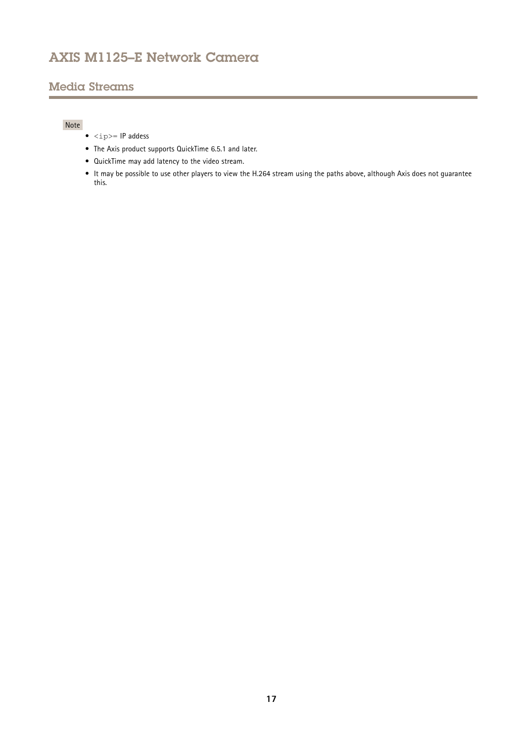# Media Streams

## Note

- $\langle$ ip>= IP addess
- The Axis product supports QuickTime 6.5.1 and later.
- QuickTime may add latency to the video stream.
- It may be possible to use other players to view the H.264 stream using the paths above, although Axis does not guarantee this.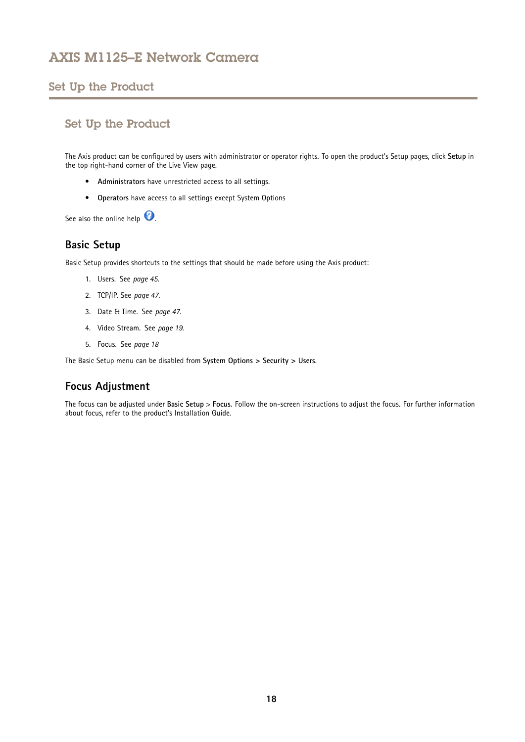# <span id="page-17-0"></span>Set Up the Product

## Set Up the Product

The Axis product can be configured by users with administrator or operator rights. To open the product's Setup pages, click **Setup** in the top right-hand corner of the Live View page.

- **Administrators** have unrestricted access to all settings.
- **Operators** have access to all settings except System Options

See also the online help  $\bullet$ .

## **Basic Setup**

Basic Setup provides shortcuts to the settings that should be made before using the Axis product:

- 1. Users. See *[page](#page-44-0) [45](#page-44-0)*.
- 2. TCP/IP. See *[page](#page-46-0) [47](#page-46-0)*.
- 3. Date & Time. See *[page](#page-46-0) [47](#page-46-0)*.
- 4. Video Stream. See *[page](#page-18-0) [19](#page-18-0)*.
- 5. Focus. See *page 18*

The Basic Setup menu can be disabled from **System Options <sup>&</sup>gt; Security <sup>&</sup>gt; Users**.

## **Focus Adjustment**

The focus can be adjusted under **Basic Setup** <sup>&</sup>gt; **Focus**. Follow the on-screen instructions to adjust the focus. For further information about focus, refer to the product's Installation Guide.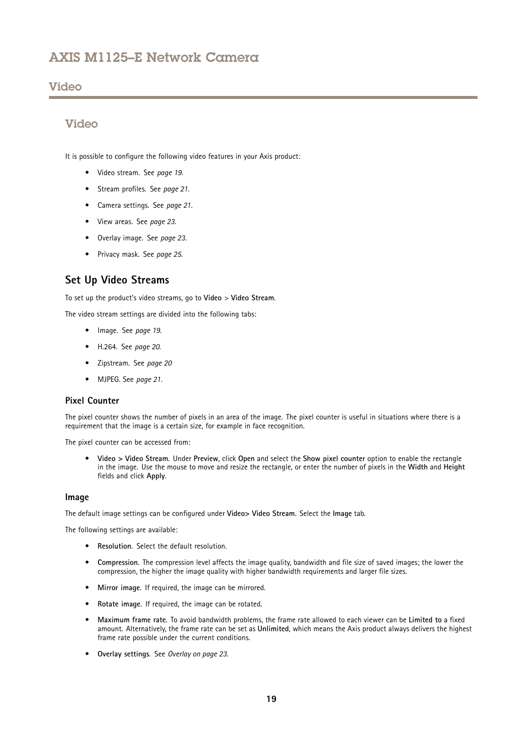## <span id="page-18-0"></span>Video

## Video

It is possible to configure the following video features in your Axis product:

- Video stream. See *page 19*.
- Stream profiles. See *[page](#page-20-0) [21](#page-20-0)*.
- Camera settings. See *[page](#page-20-0) [21](#page-20-0)*.
- View areas. See *[page](#page-22-0) [23](#page-22-0)*.
- Overlay image. See *[page](#page-22-0) [23](#page-22-0)*.
- Privacy mask. See *[page](#page-24-0) [25](#page-24-0)*.

## **Set Up Video Streams**

To set up the product's video streams, go to **Video** <sup>&</sup>gt; **Video Stream**.

The video stream settings are divided into the following tabs:

- Image. See *page 19*.
- H.264. See *[page](#page-19-0) [20](#page-19-0)*.
- Zipstream. See *[page](#page-19-0) [20](#page-19-0)*
- MJPEG. See *[page](#page-20-0) [21](#page-20-0)*.

### **Pixel Counter**

The pixel counter shows the number of pixels in an area of the image. The pixel counter is useful in situations where there is <sup>a</sup> requirement that the image is <sup>a</sup> certain size, for example in face recognition.

The pixel counter can be accessed from:

• **Video <sup>&</sup>gt; Video Stream**. Under **Preview**, click **Open** and select the **Show pixel counter** option to enable the rectangle in the image. Use the mouse to move and resize the rectangle, or enter the number of pixels in the **Width** and **Height** fields and click **Apply**.

### **Image**

The default image settings can be configured under **Video> Video Stream**. Select the **Image** tab.

The following settings are available:

- **Resolution**. Select the default resolution.
- • **Compression**. The compression level affects the image quality, bandwidth and file size of saved images; the lower the compression, the higher the image quality with higher bandwidth requirements and larger file sizes.
- **Mirror image**. If required, the image can be mirrored.
- •**Rotate image**. If required, the image can be rotated.
- • **Maximum frame rate**. To avoid bandwidth problems, the frame rate allowed to each viewer can be **Limited to** <sup>a</sup> fixed amount. Alternatively, the frame rate can be set as **Unlimited**, which means the Axis product always delivers the highest frame rate possible under the current conditions.
- **Overlay settings**. See *[Overlay](#page-22-0) on page [23](#page-22-0)*.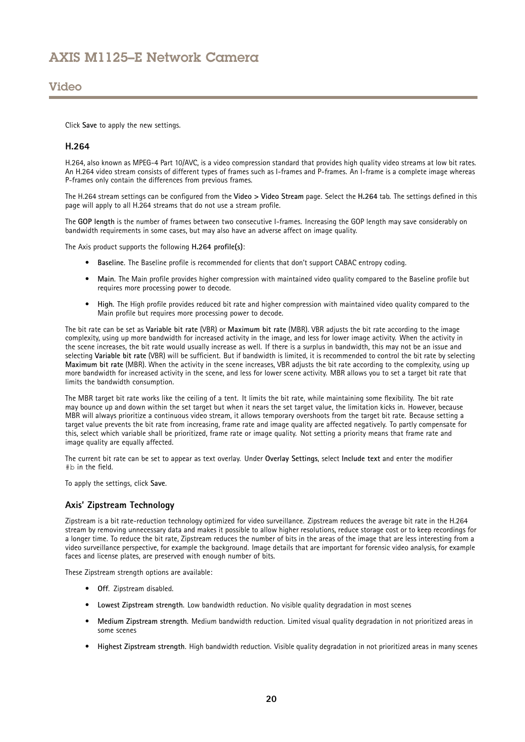## <span id="page-19-0"></span>Video

Click **Save** to apply the new settings.

### **H.264**

H.264, also known as MPEG-4 Part 10/AVC, is <sup>a</sup> video compression standard that provides high quality video streams at low bit rates. An H.264 video stream consists of different types of frames such as I-frames and P-frames. An I-frame is <sup>a</sup> complete image whereas P-frames only contain the differences from previous frames.

The H.264 stream settings can be configured from the **Video <sup>&</sup>gt; Video Stream** page. Select the **H.264** tab. The settings defined in this page will apply to all H.264 streams that do not use <sup>a</sup> stream profile.

The **GOP length** is the number of frames between two consecutive I-frames. Increasing the GOP length may save considerably on bandwidth requirements in some cases, but may also have an adverse affect on image quality.

The Axis product supports the following **H.264 profile(s)**:

- **Baseline**. The Baseline profile is recommended for clients that don't support CABAC entropy coding.
- **Main**. The Main profile provides higher compression with maintained video quality compared to the Baseline profile but requires more processing power to decode.
- • **High**. The High profile provides reduced bit rate and higher compression with maintained video quality compared to the Main profile but requires more processing power to decode.

The bit rate can be set as **Variable bit rate** (VBR) or **Maximum bit rate** (MBR). VBR adjusts the bit rate according to the image complexity, using up more bandwidth for increased activity in the image, and less for lower image activity. When the activity in the scene increases, the bit rate would usually increase as well. If there is <sup>a</sup> surplus in bandwidth, this may not be an issue and selecting **Variable bit rate** (VBR) will be sufficient. But if bandwidth is limited, it is recommended to control the bit rate by selecting **Maximum bit rate** (MBR). When the activity in the scene increases, VBR adjusts the bit rate according to the complexity, using up more bandwidth for increased activity in the scene, and less for lower scene activity. MBR allows you to set <sup>a</sup> target bit rate that limits the bandwidth consumption.

The MBR target bit rate works like the ceiling of <sup>a</sup> tent. It limits the bit rate, while maintaining some flexibility. The bit rate may bounce up and down within the set target but when it nears the set target value, the limitation kicks in. However, because MBR will always prioritize <sup>a</sup> continuous video stream, it allows temporary overshoots from the target bit rate. Because setting <sup>a</sup> target value prevents the bit rate from increasing, frame rate and image quality are affected negatively. To partly compensate for this, select which variable shall be prioritized, frame rate or image quality. Not setting <sup>a</sup> priority means that frame rate and image quality are equally affected.

The current bit rate can be set to appear as text overlay. Under **Overlay Settings**, select **Include text** and enter the modifier #b in the field.

To apply the settings, click **Save**.

### **Axis' Zipstream Technology**

Zipstream is <sup>a</sup> bit rate-reduction technology optimized for video surveillance. Zipstream reduces the average bit rate in the H.264 stream by removing unnecessary data and makes it possible to allow higher resolutions, reduce storage cost or to keep recordings for <sup>a</sup> longer time. To reduce the bit rate, Zipstream reduces the number of bits in the areas of the image that are less interesting from <sup>a</sup> video surveillance perspective, for example the background. Image details that are important for forensic video analysis, for example faces and license plates, are preserved with enough number of bits.

These Zipstream strength options are available:

- **Off**. Zipstream disabled.
- **Lowest Zipstream strength**. Low bandwidth reduction. No visible quality degradation in most scenes
- • **Medium Zipstream strength**. Medium bandwidth reduction. Limited visual quality degradation in not prioritized areas in some scenes
- **Highest Zipstream strength**. High bandwidth reduction. Visible quality degradation in not prioritized areas in many scenes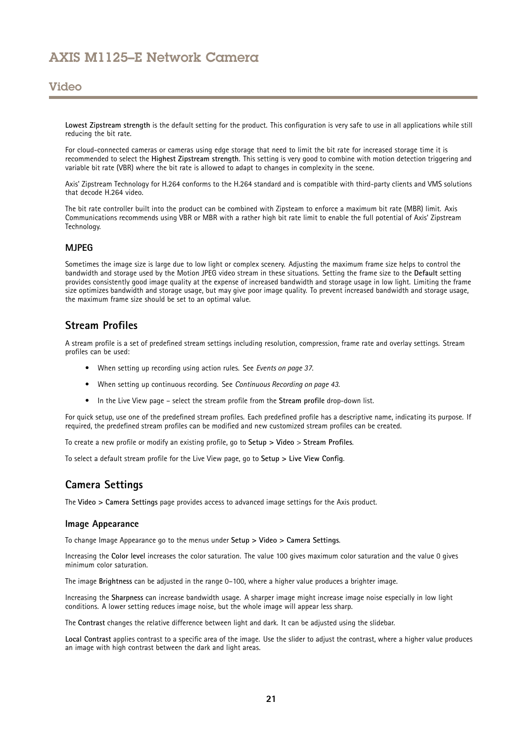<span id="page-20-0"></span>**Lowest Zipstream strength** is the default setting for the product. This configuration is very safe to use in all applications while still reducing the bit rate.

For cloud-connected cameras or cameras using edge storage that need to limit the bit rate for increased storage time it is recommended to select the **Highest Zipstream strength**. This setting is very good to combine with motion detection triggering and variable bit rate (VBR) where the bit rate is allowed to adapt to changes in complexity in the scene.

Axis' Zipstream Technology for H.264 conforms to the H.264 standard and is compatible with third-party clients and VMS solutions that decode H.264 video.

The bit rate controller built into the product can be combined with Zipsteam to enforce <sup>a</sup> maximum bit rate (MBR) limit. Axis Communications recommends using VBR or MBR with <sup>a</sup> rather high bit rate limit to enable the full potential of Axis' Zipstream Technology.

### **MJPEG**

Sometimes the image size is large due to low light or complex scenery. Adjusting the maximum frame size helps to control the bandwidth and storage used by the Motion JPEG video stream in these situations. Setting the frame size to the **Default** setting provides consistently good image quality at the expense of increased bandwidth and storage usage in low light. Limiting the frame size optimizes bandwidth and storage usage, but may give poor image quality. To prevent increased bandwidth and storage usage, the maximum frame size should be set to an optimal value.

## **Stream Profiles**

A stream profile is <sup>a</sup> set of predefined stream settings including resolution, compression, frame rate and overlay settings. Stream profiles can be used:

- When setting up recording using action rules. See *[Events](#page-36-0) on page [37](#page-36-0)*.
- When setting up continuous recording. See *Continuous [Recording](#page-42-0) on page [43](#page-42-0)*.
- In the Live View page select the stream profile from the **Stream profile** drop-down list.

For quick setup, use one of the predefined stream profiles. Each predefined profile has <sup>a</sup> descriptive name, indicating its purpose. If required, the predefined stream profiles can be modified and new customized stream profiles can be created.

To create <sup>a</sup> new profile or modify an existing profile, go to **Setup <sup>&</sup>gt; Video** <sup>&</sup>gt; **Stream Profiles**.

To select <sup>a</sup> default stream profile for the Live View page, go to **Setup <sup>&</sup>gt; Live View Config**.

## **Camera Settings**

The **Video <sup>&</sup>gt; Camera Settings** page provides access to advanced image settings for the Axis product.

### **Image Appearance**

To change Image Appearance go to the menus under **Setup <sup>&</sup>gt; Video <sup>&</sup>gt; Camera Settings**.

Increasing the **Color level** increases the color saturation. The value 100 gives maximum color saturation and the value 0 gives minimum color saturation.

The image **Brightness** can be adjusted in the range 0–100, where <sup>a</sup> higher value produces <sup>a</sup> brighter image.

Increasing the **Sharpness** can increase bandwidth usage. A sharper image might increase image noise especially in low light conditions. A lower setting reduces image noise, but the whole image will appear less sharp.

The **Contrast** changes the relative difference between light and dark. It can be adjusted using the slidebar.

**Local Contrast** applies contrast to <sup>a</sup> specific area of the image. Use the slider to adjust the contrast, where <sup>a</sup> higher value produces an image with high contrast between the dark and light areas.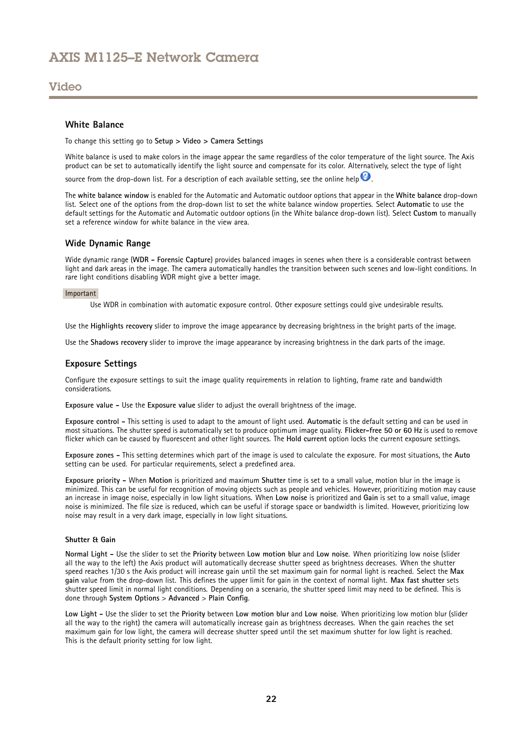### Video

### **White Balance**

To change this setting go to **Setup <sup>&</sup>gt; Video <sup>&</sup>gt; Camera Settings**

White balance is used to make colors in the image appear the same regardless of the color temperature of the light source. The Axis product can be set to automatically identify the light source and compensate for its color. Alternatively, select the type of light

source from the drop-down list. For a description of each available setting, see the online help  $\bullet$ .

The **white balance window** is enabled for the Automatic and Automatic outdoor options that appear in the **White balance** drop-down list. Select one of the options from the drop-down list to set the white balance window properties. Select **Automatic** to use the default settings for the Automatic and Automatic outdoor options (in the White balance drop-down list). Select **Custom** to manually set a reference window for white balance in the view area.

### **Wide Dynamic Range**

Wide dynamic range (**WDR - Forensic Capture**) provides balanced images in scenes when there is <sup>a</sup> considerable contrast between light and dark areas in the image. The camera automatically handles the transition between such scenes and low-light conditions. In rare light conditions disabling WDR might give <sup>a</sup> better image.

#### Important

Use WDR in combination with automatic exposure control. Other exposure settings could give undesirable results.

Use the **Highlights recovery** slider to improve the image appearance by decreasing brightness in the bright parts of the image.

Use the **Shadows recovery** slider to improve the image appearance by increasing brightness in the dark parts of the image.

### **Exposure Settings**

Configure the exposure settings to suit the image quality requirements in relation to lighting, frame rate and bandwidth considerations.

**Exposure value -** Use the **Exposure value** slider to adjust the overall brightness of the image.

**Exposure control -** This setting is used to adapt to the amount of light used. **Automatic** is the default setting and can be used in most situations. The shutter speed is automatically set to produce optimum image quality. **Flicker-free 50 or 60 Hz** is used to remove flicker which can be caused by fluorescent and other light sources. The **Hold current** option locks the current exposure settings.

**Exposure zones -** This setting determines which part of the image is used to calculate the exposure. For most situations, the **Auto** setting can be used. For particular requirements, select <sup>a</sup> predefined area.

**Exposure priority -** When **Motion** is prioritized and maximum **Shutter** time is set to <sup>a</sup> small value, motion blur in the image is minimized. This can be useful for recognition of moving objects such as people and vehicles. However, prioritizing motion may cause an increase in image noise, especially in low light situations. When **Low noise** is prioritized and **Gain** is set to <sup>a</sup> small value, image noise is minimized. The file size is reduced, which can be useful if storage space or bandwidth is limited. However, prioritizing low noise may result in <sup>a</sup> very dark image, especially in low light situations.

### **Shutter & Gain**

**Normal Light -** Use the slider to set the **Priority** between **Low motion blur** and **Low noise**. When prioritizing low noise (slider all the way to the left) the Axis product will automatically decrease shutter speed as brightness decreases. When the shutter speed reaches 1/30 <sup>s</sup> the Axis product will increase gain until the set maximum gain for normal light is reached. Select the **Max gain** value from the drop-down list. This defines the upper limit for gain in the context of normal light. **Max fast shutter** sets shutter speed limit in normal light conditions. Depending on <sup>a</sup> scenario, the shutter speed limit may need to be defined. This is done through **System Options** <sup>&</sup>gt; **Advanced** <sup>&</sup>gt; **Plain Config**.

**Low Light -** Use the slider to set the **Priority** between **Low motion blur** and **Low noise**. When prioritizing low motion blur (slider all the way to the right) the camera will automatically increase gain as brightness decreases. When the gain reaches the set maximum gain for low light, the camera will decrease shutter speed until the set maximum shutter for low light is reached. This is the default priority setting for low light.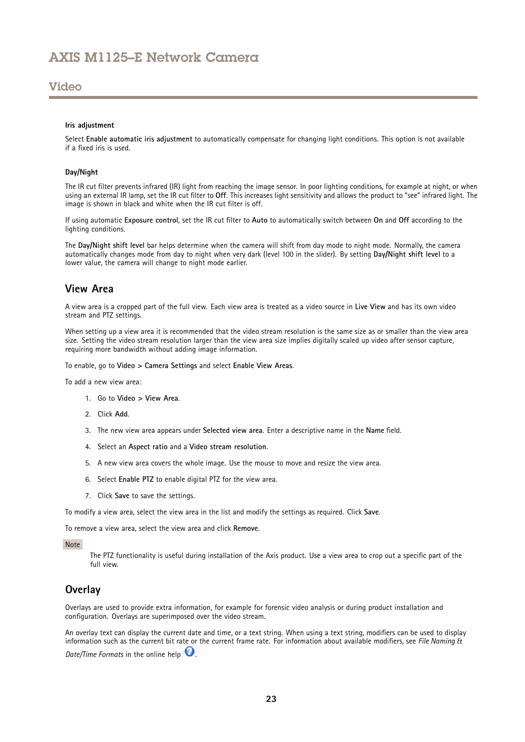### <span id="page-22-0"></span>Video

#### **Iris adjustment**

Select **Enable automatic iris adjustment** to automatically compensate for changing light conditions. This option is not available if a fixed iris is used.

#### **Day/Night**

The IR cut filter prevents infrared (IR) light from reaching the image sensor. In poor lighting conditions, for example at night, or when using an external IR lamp, set the IR cut filter to **Off**. This increases light sensitivity and allows the product to "see" infrared light. The image is shown in black and white when the IR cut filter is off.

If using automatic **Exposure control**, set the IR cut filter to **Auto** to automatically switch between **On** and **Off** according to the lighting conditions.

The **Day/Night shift level** bar helps determine when the camera will shift from day mode to night mode. Normally, the camera automatically changes mode from day to night when very dark (level <sup>100</sup> in the slider). By setting **Day/Night shift level** to <sup>a</sup> lower value, the camera will change to night mode earlier.

## **View Area**

A view area is <sup>a</sup> cropped part of the full view. Each view area is treated as <sup>a</sup> video source in **Live View** and has its own video stream and PTZ settings.

When setting up <sup>a</sup> view area it is recommended that the video stream resolution is the same size as or smaller than the view area size. Setting the video stream resolution larger than the view area size implies digitally scaled up video after sensor capture, requiring more bandwidth without adding image information.

To enable, go to **Video <sup>&</sup>gt; Camera Settings** and select **Enable View Areas**.

To add a new view area:

- 1. Go to **Video <sup>&</sup>gt; View Area**.
- 2. Click **Add**.
- 3. The new view area appears under **Selected view area**. Enter <sup>a</sup> descriptive name in the **Name** field.
- 4. Select an **Aspect ratio** and <sup>a</sup> **Video stream resolution**.
- 5. A new view area covers the whole image. Use the mouse to move and resize the view area.
- 6. Select **Enable PTZ** to enable digital PTZ for the view area.
- 7. Click **Save** to save the settings.

To modify <sup>a</sup> view area, select the view area in the list and modify the settings as required. Click **Save**.

To remove <sup>a</sup> view area, select the view area and click **Remove**.

#### Note

The PTZ functionality is useful during installation of the Axis product. Use <sup>a</sup> view area to crop out <sup>a</sup> specific part of the full view.

### **Overlay**

Overlays are used to provide extra information, for example for forensic video analysis or during product installation and configuration. Overlays are superimposed over the video stream.

An overlay text can display the current date and time, or <sup>a</sup> text string. When using <sup>a</sup> text string, modifiers can be used to display information such as the current bit rate or the current frame rate. For information about available modifiers, see *File Naming & Date/Time Formats* in the online help  $\bullet$ .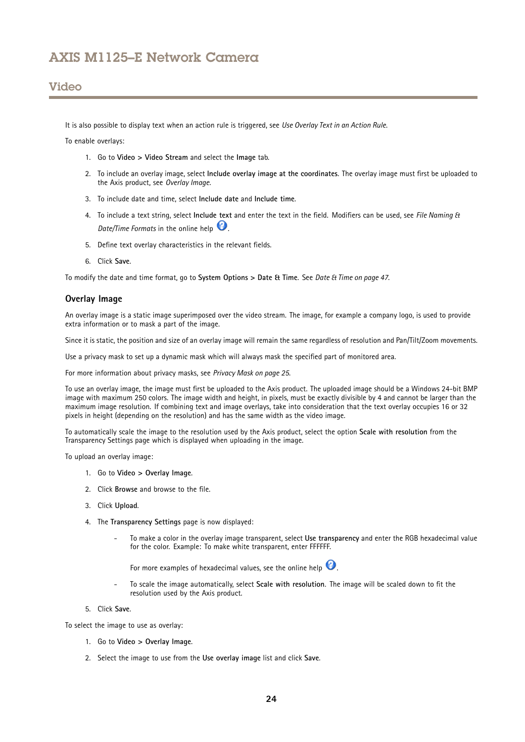## Video

It is also possible to display text when an action rule is triggered, see *Use [Overlay](#page-24-0) Text in an Action Rule*.

To enable overlays:

- 1. Go to **Video <sup>&</sup>gt; Video Stream** and select the **Image** tab.
- 2. To include an overlay image, select **Include overlay image at the coordinates**. The overlay image must first be uploaded to the Axis product, see *Overlay Image*.
- 3. To include date and time, select **Include date** and **Include time**.
- 4. To include <sup>a</sup> text string, select **Include text** and enter the text in the field. Modifiers can be used, see *File Naming & Date/Time Formats* in the online help  $\bullet$ .
- 5. Define text overlay characteristics in the relevant fields.
- 6. Click **Save**.

To modify the date and time format, go to **System Options <sup>&</sup>gt; Date & Time**. See *Date & Time on [page](#page-46-0) [47](#page-46-0)*.

### **Overlay Image**

An overlay image is <sup>a</sup> static image superimposed over the video stream. The image, for example <sup>a</sup> company logo, is used to provide extra information or to mask <sup>a</sup> part of the image.

Since it is static, the position and size of an overlay image will remain the same regardless of resolution and Pan/Tilt/Zoom movements.

Use <sup>a</sup> privacy mask to set up <sup>a</sup> dynamic mask which will always mask the specified part of monitored area.

For more information about privacy masks, see *[Privacy](#page-24-0) Mask on page [25](#page-24-0)*.

To use an overlay image, the image must first be uploaded to the Axis product. The uploaded image should be <sup>a</sup> Windows 24-bit BMP image with maximum 250 colors. The image width and height, in pixels, must be exactly divisible by 4 and cannot be larger than the maximum image resolution. If combining text and image overlays, take into consideration that the text overlay occupies 16 or 32 pixels in height (depending on the resolution) and has the same width as the video image.

To automatically scale the image to the resolution used by the Axis product, select the option **Scale with resolution** from the Transparency Settings page which is displayed when uploading in the image.

To upload an overlay image:

- 1. Go to **Video <sup>&</sup>gt; Overlay Image**.
- 2. Click **Browse** and browse to the file.
- 3. Click **Upload**.
- 4. The **Transparency Settings** page is now displayed:
	- To make <sup>a</sup> color in the overlay image transparent, select **Use transparency** and enter the RGB hexadecimal value for the color. Example: To make white transparent, enter FFFFFF.

For more examples of hexadecimal values, see the online help  $\bullet$ 

- To scale the image automatically, select **Scale with resolution**. The image will be scaled down to fit the resolution used by the Axis product.
- 5. Click **Save**.

To select the image to use as overlay:

- 1. Go to **Video <sup>&</sup>gt; Overlay Image**.
- 2. Select the image to use from the **Use overlay image** list and click **Save**.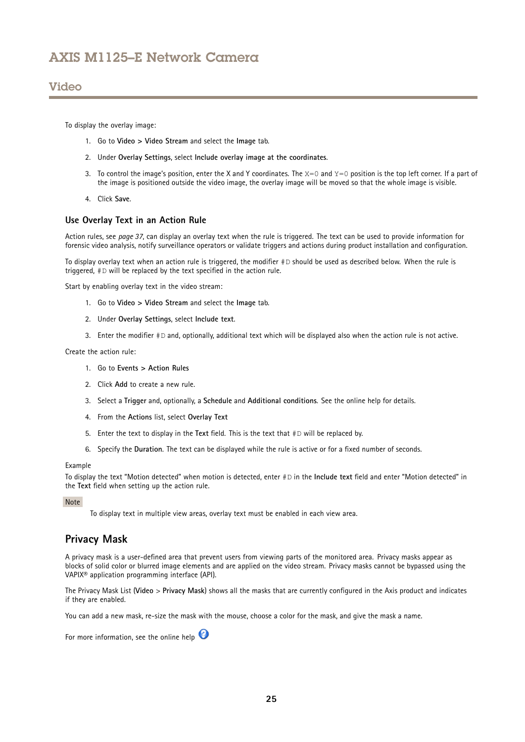## <span id="page-24-0"></span>Video

To display the overlay image:

- 1. Go to **Video <sup>&</sup>gt; Video Stream** and select the **Image** tab.
- 2. Under **Overlay Settings**, select **Include overlay image at the coordinates**.
- 3. To control the image's position, enter the X and Y coordinates. The  $x=0$  and  $y=0$  position is the top left corner. If a part of the image is positioned outside the video image, the overlay image will be moved so that the whole image is visible.
- 4. Click **Save**.

### **Use Overlay Text in an Action Rule**

Action rules, see *[page](#page-36-0) [37](#page-36-0)*, can display an overlay text when the rule is triggered. The text can be used to provide information for forensic video analysis, notify surveillance operators or validate triggers and actions during product installation and configuration.

To display overlay text when an action rule is triggered, the modifier #D should be used as described below. When the rule is triggered, #D will be replaced by the text specified in the action rule.

Start by enabling overlay text in the video stream:

- 1. Go to **Video <sup>&</sup>gt; Video Stream** and select the **Image** tab.
- 2. Under **Overlay Settings**, select **Include text**.
- 3. Enter the modifier #D and, optionally, additional text which will be displayed also when the action rule is not active.

Create the action rule:

- 1. Go to **Events <sup>&</sup>gt; Action Rules**
- 2. Click **Add** to create <sup>a</sup> new rule.
- 3. Select <sup>a</sup> **Trigger** and, optionally, <sup>a</sup> **Schedule** and **Additional conditions**. See the online help for details.
- 4. From the **Actions** list, select **Overlay Text**
- 5. Enter the text to display in the **Text** field. This is the text that #D will be replaced by.
- 6. Specify the **Duration**. The text can be displayed while the rule is active or for <sup>a</sup> fixed number of seconds.

#### Example

To display the text "Motion detected" when motion is detected, enter #D in the **Include text** field and enter "Motion detected" in the **Text** field when setting up the action rule.

#### **Note**

To display text in multiple view areas, overlay text must be enabled in each view area.

### **Privacy Mask**

A privacy mask is <sup>a</sup> user-defined area that prevent users from viewing parts of the monitored area. Privacy masks appear as blocks of solid color or blurred image elements and are applied on the video stream. Privacy masks cannot be bypassed using the VAPIX® application programming interface (API).

The Privacy Mask List (**Video** <sup>&</sup>gt; **Privacy Mask**) shows all the masks that are currently configured in the Axis product and indicates if they are enabled.

You can add <sup>a</sup> new mask, re-size the mask with the mouse, choose <sup>a</sup> color for the mask, and give the mask <sup>a</sup> name.

For more information, see the online help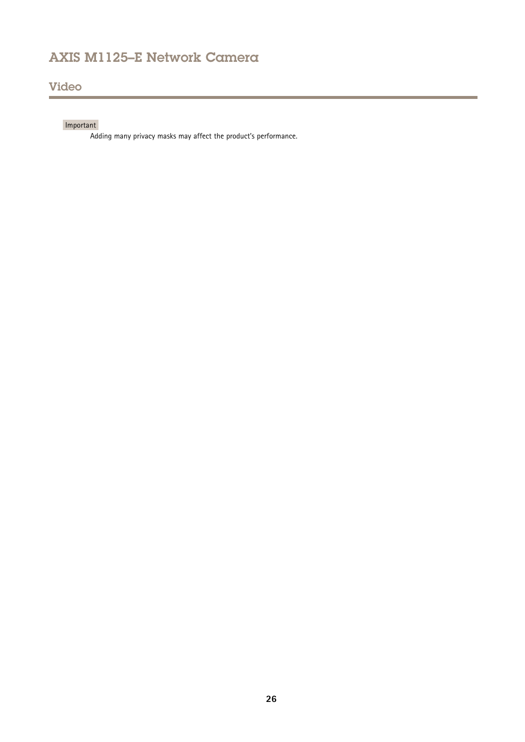# Video

## Important

Adding many privacy masks may affect the product's performance.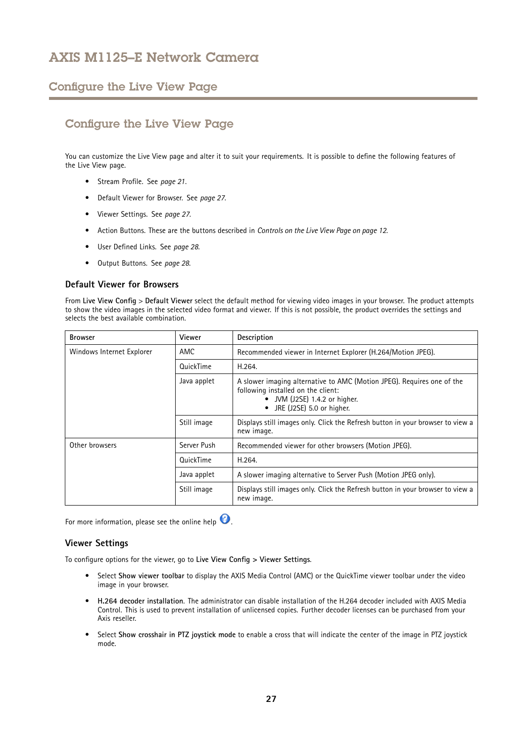## <span id="page-26-0"></span>Configure the Live View Page

# Configure the Live View Page

You can customize the Live View page and alter it to suit your requirements. It is possible to define the following features of the Live View page.

- Stream Profile. See *[page](#page-20-0) [21](#page-20-0)*.
- Default Viewer for Browser. See *page 27*.
- Viewer Settings. See *page 27*.
- Action Buttons. These are the buttons described in *[Controls](#page-11-0) on the Live View Page on page [12](#page-11-0)*.
- User Defined Links. See *[page](#page-27-0) [28](#page-27-0)*.
- Output Buttons. See *[page](#page-27-0) [28](#page-27-0)*.

### **Default Viewer for Browsers**

From **Live View Config** <sup>&</sup>gt; **Default Viewer** select the default method for viewing video images in your browser. The product attempts to show the video images in the selected video format and viewer. If this is not possible, the product overrides the settings and selects the best available combination.

| <b>Browser</b>            | Viewer      | Description                                                                                                                                                                           |  |  |
|---------------------------|-------------|---------------------------------------------------------------------------------------------------------------------------------------------------------------------------------------|--|--|
| Windows Internet Explorer | AMC         | Recommended viewer in Internet Explorer (H.264/Motion JPEG).                                                                                                                          |  |  |
|                           | QuickTime   | H.264.                                                                                                                                                                                |  |  |
|                           | Java applet | A slower imaging alternative to AMC (Motion JPEG). Requires one of the<br>following installed on the client:<br>JVM (J2SE) 1.4.2 or higher.<br>JRE (J2SE) 5.0 or higher.<br>$\bullet$ |  |  |
|                           | Still image | Displays still images only. Click the Refresh button in your browser to view a<br>new image.                                                                                          |  |  |
| Other browsers            | Server Push | Recommended viewer for other browsers (Motion JPEG).                                                                                                                                  |  |  |
|                           | QuickTime   | H.264.                                                                                                                                                                                |  |  |
|                           | Java applet | A slower imaging alternative to Server Push (Motion JPEG only).                                                                                                                       |  |  |
|                           | Still image | Displays still images only. Click the Refresh button in your browser to view a<br>new image.                                                                                          |  |  |

For more information, please see the online help  $\bullet$ .

### **Viewer Settings**

To configure options for the viewer, go to **Live View Config <sup>&</sup>gt; Viewer Settings**.

- • Select **Show viewer toolbar** to display the AXIS Media Control (AMC) or the QuickTime viewer toolbar under the video image in your browser.
- • **H.264 decoder installation**. The administrator can disable installation of the H.264 decoder included with AXIS Media Control. This is used to prevent installation of unlicensed copies. Further decoder licenses can be purchased from your Axis reseller.
- • Select **Show crosshair in PTZ joystick mode** to enable <sup>a</sup> cross that will indicate the center of the image in PTZ joystick mode.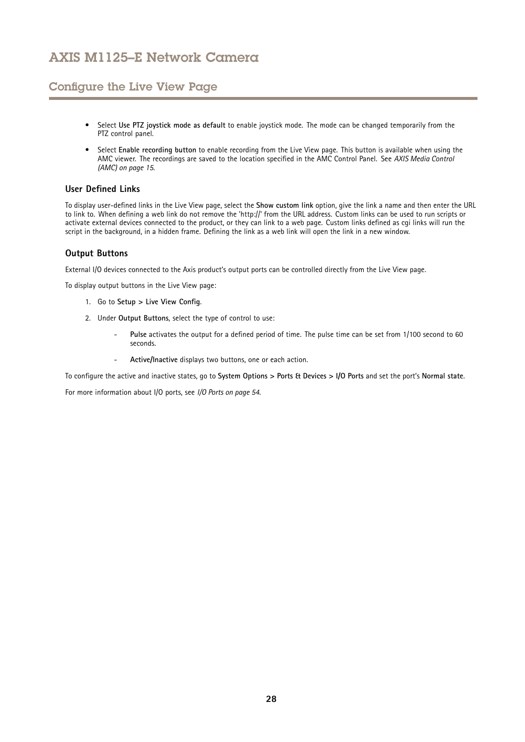## <span id="page-27-0"></span>Configure the Live View Page

- • Select **Use PTZ joystick mode as default** to enable joystick mode. The mode can be changed temporarily from the PTZ control panel.
- Select **Enable recording button** to enable recording from the Live View page. This button is available when using the AMC viewer. The recordings are saved to the location specified in the AMC Control Panel. See *AXIS Media [Control](#page-14-0) [\(AMC\)](#page-14-0) on page [15](#page-14-0)*.

### **User Defined Links**

To display user-defined links in the Live View page, select the **Show custom link** option, give the link <sup>a</sup> name and then enter the URL to link to. When defining <sup>a</sup> web link do not remove the 'http://' from the URL address. Custom links can be used to run scripts or activate external devices connected to the product, or they can link to <sup>a</sup> web page. Custom links defined as cgi links will run the script in the background, in <sup>a</sup> hidden frame. Defining the link as <sup>a</sup> web link will open the link in <sup>a</sup> new window.

### **Output Buttons**

External I/O devices connected to the Axis product's output ports can be controlled directly from the Live View page.

To display output buttons in the Live View page:

- 1. Go to **Setup <sup>&</sup>gt; Live View Config**.
- 2. Under **Output Buttons**, select the type of control to use:
	- **Pulse** activates the output for <sup>a</sup> defined period of time. The pulse time can be set from 1/100 second to <sup>60</sup> seconds.
	- **Active/Inactive** displays two buttons, one or each action.

To configure the active and inactive states, go to **System Options <sup>&</sup>gt; Ports & Devices <sup>&</sup>gt; I/O Ports** and set the port's **Normal state**.

For more information about I/O ports, see *I/O Ports on [page](#page-53-0) [54](#page-53-0)*.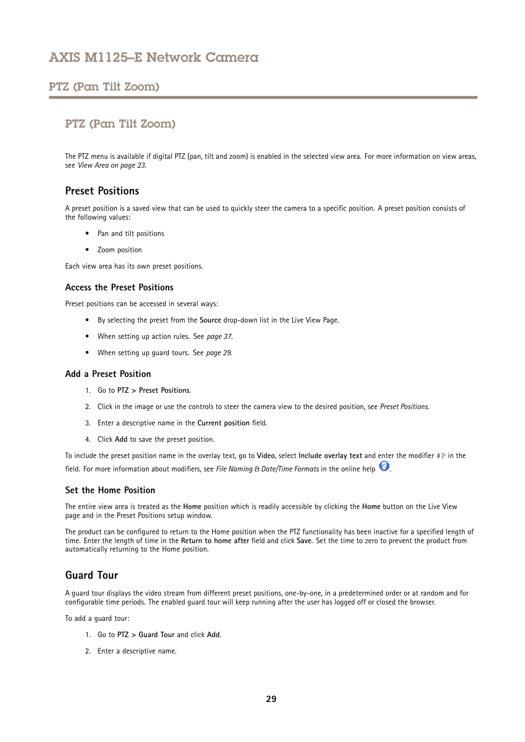## <span id="page-28-0"></span>PTZ (Pan Tilt Zoom)

## PTZ (Pan Tilt Zoom)

The PTZ menu is available if digital PTZ (pan, tilt and zoom) is enabled in the selected view area. For more information on view areas, see *[View](#page-22-0) Area on page [23](#page-22-0)*.

## **Preset Positions**

A preset position is <sup>a</sup> saved view that can be used to quickly steer the camera to <sup>a</sup> specific position. A preset position consists of the following values:

- Pan and tilt positions
- Zoom position

Each view area has its own preset positions.

### **Access the Preset Positions**

Preset positions can be accessed in several ways:

- By selecting the preset from the **Source** drop-down list in the Live View Page.
- When setting up action rules. See *[page](#page-36-0) [37](#page-36-0)*.
- When setting up guard tours. See *page 29*.

### **Add a Preset Position**

- 1. Go to **PTZ <sup>&</sup>gt; Preset Positions**.
- 2. Click in the image or use the controls to steer the camera view to the desired position, see *Preset Positions*.
- 3. Enter <sup>a</sup> descriptive name in the **Current position** field.
- 4. Click **Add** to save the preset position.

To include the preset position name in the overlay text, go to **Video**, select **Include overlay text** and enter the modifier #P in the field. For more information about modifiers, see *File Naming & Date/Time Formats* in the online help .

### **Set the Home Position**

The entire view area is treated as the **Home** position which is readily accessible by clicking the **Home** button on the Live View page and in the Preset Positions setup window.

The product can be configured to return to the Home position when the PTZ functionality has been inactive for <sup>a</sup> specified length of time. Enter the length of time in the **Return to home after** field and click **Save**. Set the time to zero to prevent the product from automatically returning to the Home position.

## **Guard Tour**

A guard tour displays the video stream from different preset positions, one-by-one, in <sup>a</sup> predetermined order or at random and for configurable time periods. The enabled guard tour will keep running after the user has logged off or closed the browser.

To add <sup>a</sup> guard tour:

- 1. Go to **PTZ <sup>&</sup>gt; Guard Tour** and click **Add**.
- 2. Enter <sup>a</sup> descriptive name.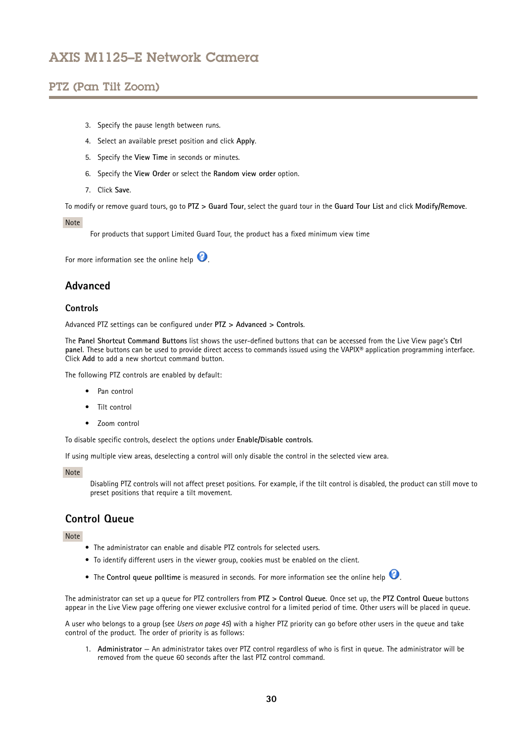## <span id="page-29-0"></span>PTZ (Pan Tilt Zoom)

- 3. Specify the pause length between runs.
- 4. Select an available preset position and click **Apply**.
- 5. Specify the **View Time** in seconds or minutes.
- 6. Specify the **View Order** or select the **Random view order** option.
- 7. Click **Save**.

To modify or remove guard tours, go to **PTZ <sup>&</sup>gt; Guard Tour**, select the guard tour in the **Guard Tour List** and click **Modify/Remove**.

#### Note

For products that support Limited Guard Tour, the product has <sup>a</sup> fixed minimum view time

For more information see the online help  $\bullet$ .

## **Advanced**

#### **Controls**

Advanced PTZ settings can be configured under **PTZ <sup>&</sup>gt; Advanced <sup>&</sup>gt; Controls**.

The **Panel Shortcut Command Buttons** list shows the user-defined buttons that can be accessed from the Live View page's **Ctrl panel**. These buttons can be used to provide direct access to commands issued using the VAPIX® application programming interface. Click **Add** to add <sup>a</sup> new shortcut command button.

The following PTZ controls are enabled by default:

- Pan control
- Tilt control
- Zoom control

To disable specific controls, deselect the options under **Enable/Disable controls**.

If using multiple view areas, deselecting <sup>a</sup> control will only disable the control in the selected view area.

Note

Disabling PTZ controls will not affect preset positions. For example, if the tilt control is disabled, the product can still move to preset positions that require <sup>a</sup> tilt movement.

## **Control Queue**

Note

- The administrator can enable and disable PTZ controls for selected users.
- To identify different users in the viewer group, cookies must be enabled on the client.
- The **Control queue polltime** is measured in seconds. For more information see the online help

The administrator can set up <sup>a</sup> queue for PTZ controllers from **PTZ <sup>&</sup>gt; Control Queue**. Once set up, the **PTZ Control Queue** buttons appear in the Live View page offering one viewer exclusive control for <sup>a</sup> limited period of time. Other users will be placed in queue.

A user who belongs to <sup>a</sup> group (see *[Users](#page-44-0) on page [45](#page-44-0)*) with <sup>a</sup> higher PTZ priority can go before other users in the queue and take control of the product. The order of priority is as follows:

1. **Administrator** — An administrator takes over PTZ control regardless of who is first in queue. The administrator will be removed from the queue 60 seconds after the last PTZ control command.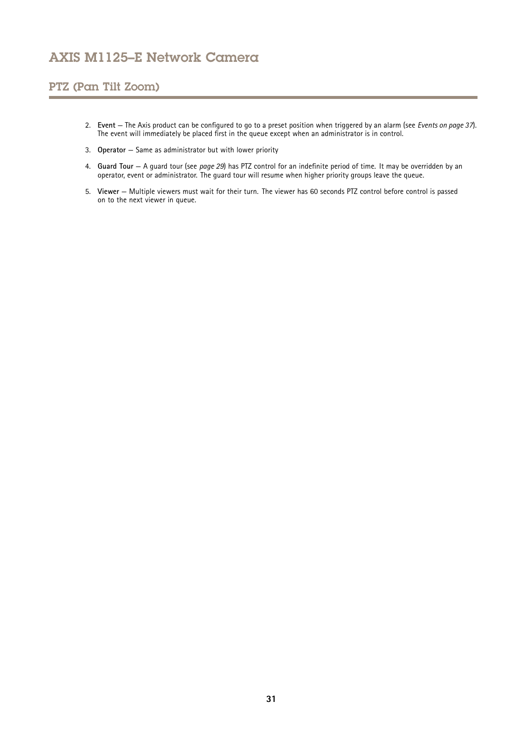## PTZ (Pan Tilt Zoom)

- 2. **Event** The Axis product can be configured to go to <sup>a</sup> preset position when triggered by an alarm (see *[Events](#page-36-0) on page [37](#page-36-0)*). The event will immediately be placed first in the queue except when an administrator is in control.
- 3. **Operator** Same as administrator but with lower priority
- 4. **Guard Tour** A guard tour (see *[page](#page-28-0) [29](#page-28-0)*) has PTZ control for an indefinite period of time. It may be overridden by an operator, event or administrator. The guard tour will resume when higher priority groups leave the queue.
- 5. **Viewer** Multiple viewers must wait for their turn. The viewer has 60 seconds PTZ control before control is passed on to the next viewer in queue.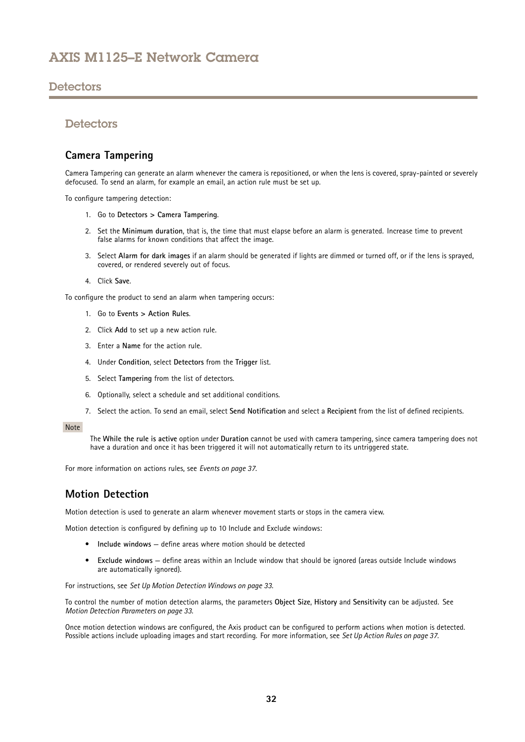## <span id="page-31-0"></span>**Detectors**

## **Detectors**

## **Camera Tampering**

Camera Tampering can generate an alarm whenever the camera is repositioned, or when the lens is covered, spray-painted or severely defocused. To send an alarm, for example an email, an action rule must be set up.

To configure tampering detection:

- 1. Go to **Detectors <sup>&</sup>gt; Camera Tampering**.
- 2. Set the **Minimum duration**, that is, the time that must elapse before an alarm is generated. Increase time to prevent false alarms for known conditions that affect the image.
- 3. Select **Alarm for dark images** if an alarm should be generated if lights are dimmed or turned off, or if the lens is sprayed, covered, or rendered severely out of focus.
- 4. Click **Save**.

To configure the product to send an alarm when tampering occurs:

- 1. Go to **Events <sup>&</sup>gt; Action Rules**.
- 2. Click **Add** to set up <sup>a</sup> new action rule.
- 3. Enter a **Name** for the action rule.
- 4. Under **Condition**, select **Detectors** from the **Trigger** list.
- 5. Select **Tampering** from the list of detectors.
- 6. Optionally, select <sup>a</sup> schedule and set additional conditions.
- 7. Select the action. To send an email, select **Send Notification** and select <sup>a</sup> **Recipient** from the list of defined recipients.

#### Note

The **While the rule is active** option under **Duration** cannot be used with camera tampering, since camera tampering does not have <sup>a</sup> duration and once it has been triggered it will not automatically return to its untriggered state.

For more information on actions rules, see *[Events](#page-36-0) on page [37](#page-36-0)*.

## **Motion Detection**

Motion detection is used to generate an alarm whenever movement starts or stops in the camera view.

Motion detection is configured by defining up to 10 Include and Exclude windows:

- **Include windows** define areas where motion should be detected
- **Exclude windows** define areas within an Include window that should be ignored (areas outside Include windows are automatically ignored).

For instructions, see *Set Up Motion [Detection](#page-32-0) Windows on page [33](#page-32-0)*.

To control the number of motion detection alarms, the parameters **Object Size**, **History** and **Sensitivity** can be adjusted. See *Motion Detection [Parameters](#page-32-0) on page [33](#page-32-0)*.

Once motion detection windows are configured, the Axis product can be configured to perform actions when motion is detected. Possible actions include uploading images and start recording. For more information, see *Set Up [Action](#page-36-0) Rules on page [37](#page-36-0)*.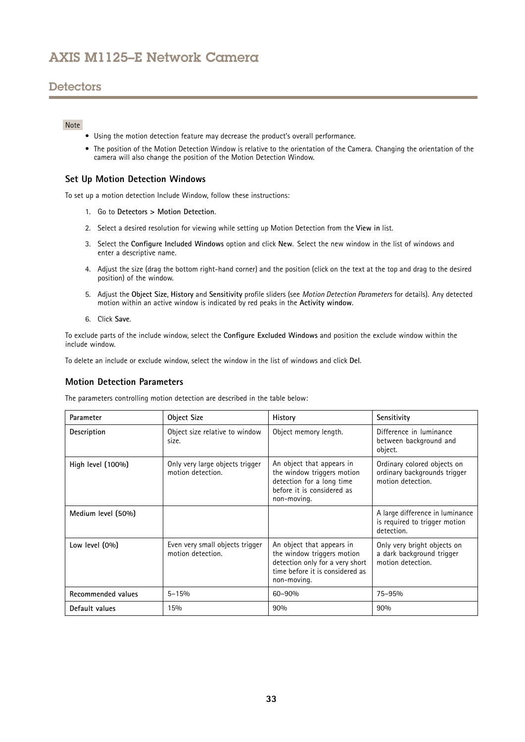## <span id="page-32-0"></span>**Detectors**

### Note

- Using the motion detection feature may decrease the product's overall performance.
- The position of the Motion Detection Window is relative to the orientation of the Camera. Changing the orientation of the camera will also change the position of the Motion Detection Window.

### **Set Up Motion Detection Windows**

To set up <sup>a</sup> motion detection Include Window, follow these instructions:

- 1. Go to **Detectors <sup>&</sup>gt; Motion Detection**.
- 2. Select <sup>a</sup> desired resolution for viewing while setting up Motion Detection from the **View in** list.
- 3. Select the **Configure Included Windows** option and click **New**. Select the new window in the list of windows and enter <sup>a</sup> descriptive name.
- 4. Adjust the size (drag the bottom right-hand corner) and the position (click on the text at the top and drag to the desired position) of the window.
- 5. Adjust the **Object Size**, **History** and **Sensitivity** profile sliders (see *Motion Detection Parameters* for details). Any detected motion within an active window is indicated by red peaks in the **Activity window**.
- 6. Click **Save**.

To exclude parts of the include window, select the **Configure Excluded Windows** and position the exclude window within the include window.

To delete an include or exclude window, select the window in the list of windows and click **Del**.

### **Motion Detection Parameters**

The parameters controlling motion detection are described in the table below:

| Parameter          | <b>Object Size</b>                                   | History                                                                                                                                      | Sensitivity                                                                      |
|--------------------|------------------------------------------------------|----------------------------------------------------------------------------------------------------------------------------------------------|----------------------------------------------------------------------------------|
| Description        | Object size relative to window<br>size.              | Object memory length.                                                                                                                        | Difference in luminance<br>between background and<br>object.                     |
| High level (100%)  | Only very large objects trigger<br>motion detection. | An object that appears in<br>the window triggers motion<br>detection for a long time<br>before it is considered as<br>non-moving.            | Ordinary colored objects on<br>ordinary backgrounds trigger<br>motion detection. |
| Medium level (50%) |                                                      |                                                                                                                                              | A large difference in luminance<br>is required to trigger motion<br>detection.   |
| Low level (0%)     | Even very small objects trigger<br>motion detection. | An object that appears in<br>the window triggers motion<br>detection only for a very short<br>time before it is considered as<br>non-moving. | Only very bright objects on<br>a dark background trigger<br>motion detection.    |
| Recommended values | $5 - 15%$                                            | 60-90%                                                                                                                                       | 75-95%                                                                           |
| Default values     | 15%                                                  | 90%                                                                                                                                          | 90%                                                                              |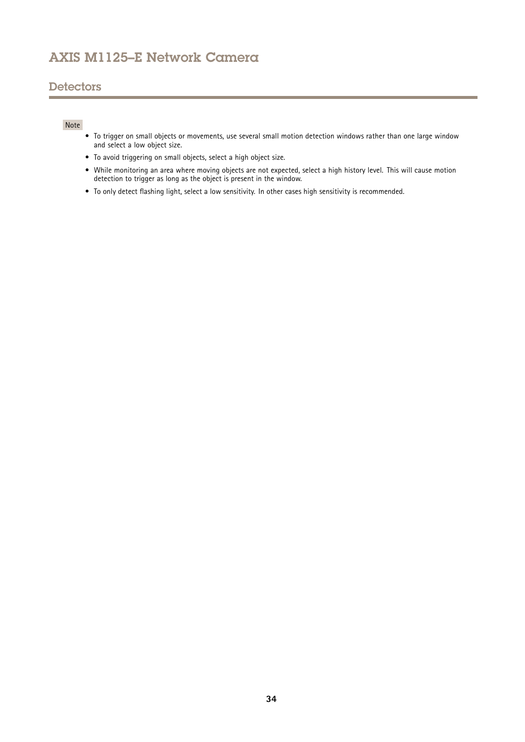## **Detectors**

### Note

- To trigger on small objects or movements, use several small motion detection windows rather than one large window and select <sup>a</sup> low object size.
- To avoid triggering on small objects, select <sup>a</sup> high object size.
- While monitoring an area where moving objects are not expected, select <sup>a</sup> high history level. This will cause motion detection to trigger as long as the object is present in the window.
- To only detect flashing light, select <sup>a</sup> low sensitivity. In other cases high sensitivity is recommended.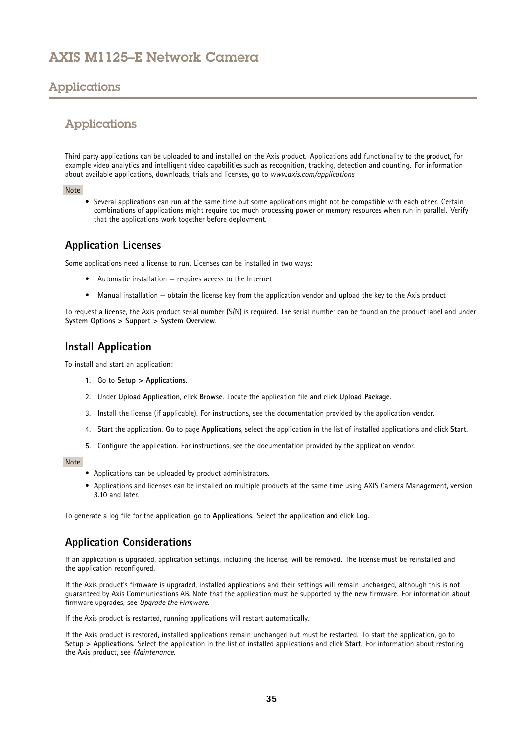# <span id="page-34-0"></span>Applications

## Applications

Third party applications can be uploaded to and installed on the Axis product. Applications add functionality to the product, for example video analytics and intelligent video capabilities such as recognition, tracking, detection and counting. For information about available applications, downloads, trials and licenses, go to *www.axis.com/applications*

### Note

• Several applications can run at the same time but some applications might not be compatible with each other. Certain combinations of applications might require too much processing power or memory resources when run in parallel. Verify that the applications work together before deployment.

## **Application Licenses**

Some applications need <sup>a</sup> license to run. Licenses can be installed in two ways:

- Automatic installation requires access to the Internet
- Manual installation obtain the license key from the application vendor and upload the key to the Axis product

To request <sup>a</sup> license, the Axis product serial number (S/N) is required. The serial number can be found on the product label and under **System Options <sup>&</sup>gt; Support <sup>&</sup>gt; System Overview**.

## **Install Application**

To install and start an application:

- 1. Go to **Setup <sup>&</sup>gt; Applications**.
- 2. Under **Upload Application**, click **Browse**. Locate the application file and click **Upload Package**.
- 3. Install the license (if applicable). For instructions, see the documentation provided by the application vendor.
- 4. Start the application. Go to page **Applications**, select the application in the list of installed applications and click **Start**.
- 5. Configure the application. For instructions, see the documentation provided by the application vendor.

### Note

- Applications can be uploaded by product administrators.
- Applications and licenses can be installed on multiple products at the same time using AXIS Camera Management, version 3.10 and later.

To generate <sup>a</sup> log file for the application, go to **Applications**. Select the application and click **Log**.

## **Application Considerations**

If an application is upgraded, application settings, including the license, will be removed. The license must be reinstalled and the application reconfigured.

If the Axis product's firmware is upgraded, installed applications and their settings will remain unchanged, although this is not guaranteed by Axis Communications AB. Note that the application must be supported by the new firmware. For information about firmware upgrades, see *[Upgrade](#page-57-0) the Firmware*.

If the Axis product is restarted, running applications will restart automatically.

If the Axis product is restored, installed applications remain unchanged but must be restarted. To start the application, go to **Setup <sup>&</sup>gt; Applications**. Select the application in the list of installed applications and click **Start**. For information about restoring the Axis product, see *[Maintenance](#page-54-0)*.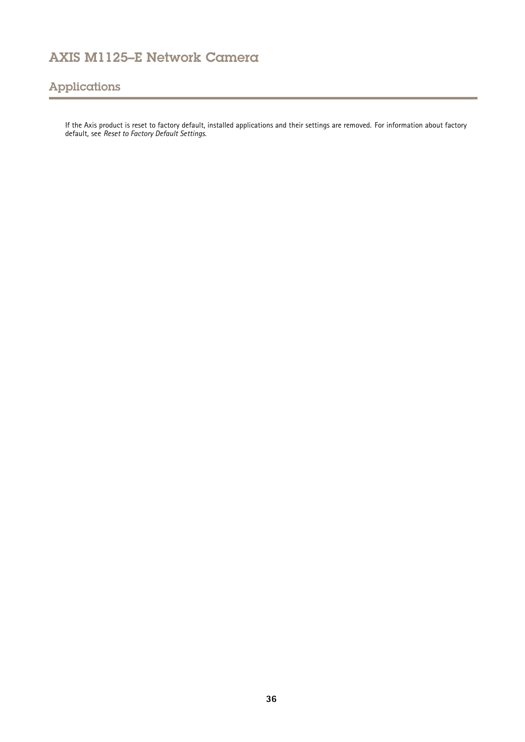# Applications

If the Axis product is reset to factory default, installed applications and their settings are removed. For information about factory default, see *Reset to Factory Default [Settings](#page-55-0)*.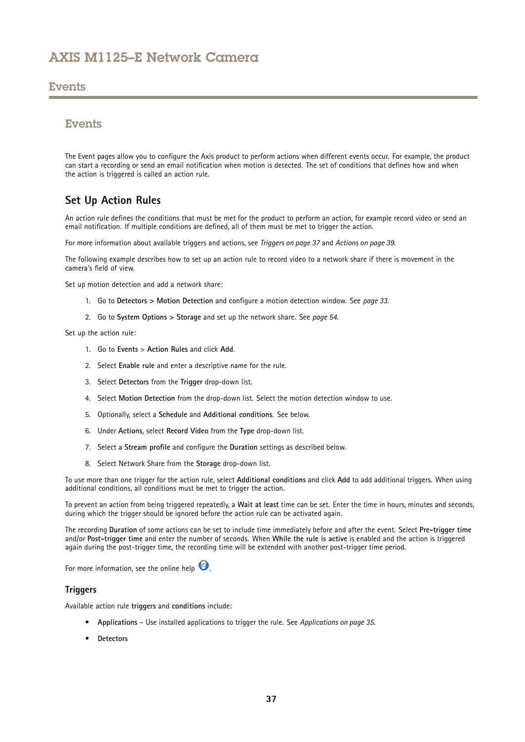### <span id="page-36-0"></span>Events

## **Events**

The Event pages allow you to configure the Axis product to perform actions when different events occur. For example, the product can start <sup>a</sup> recording or send an email notification when motion is detected. The set of conditions that defines how and when the action is triggered is called an action rule.

## **Set Up Action Rules**

An action rule defines the conditions that must be met for the product to perform an action, for example record video or send an email notification. If multiple conditions are defined, all of them must be met to trigger the action.

For more information about available triggers and actions, see *Triggers on page 37* and *[Actions](#page-38-0) on page [39](#page-38-0)*.

The following example describes how to set up an action rule to record video to <sup>a</sup> network share if there is movement in the camera's field of view.

Set up motion detection and add <sup>a</sup> network share:

- 1. Go to **Detectors <sup>&</sup>gt; Motion Detection** and configure <sup>a</sup> motion detection window. See *[page](#page-32-0) [33](#page-32-0)*.
- 2. Go to **System Options <sup>&</sup>gt; Storage** and set up the network share. See *[page](#page-53-0) [54](#page-53-0)*.

Set up the action rule:

- 1. Go to **Events** <sup>&</sup>gt; **Action Rules** and click **Add**.
- 2. Select **Enable rule** and enter <sup>a</sup> descriptive name for the rule.
- 3. Select **Detectors** from the **Trigger** drop-down list.
- 4. Select **Motion Detection** from the drop-down list. Select the motion detection window to use.
- 5. Optionally, select <sup>a</sup> **Schedule** and **Additional conditions**. See below.
- 6. Under **Actions**, select **Record Video** from the **Type** drop-down list.
- 7. Select <sup>a</sup> **Stream profile** and configure the **Duration** settings as described below.
- 8. Select Network Share from the **Storage** drop-down list.

To use more than one trigger for the action rule, select **Additional conditions** and click **Add** to add additional triggers. When using additional conditions, all conditions must be met to trigger the action.

To prevent an action from being triggered repeatedly, <sup>a</sup> **Wait at least** time can be set. Enter the time in hours, minutes and seconds, during which the trigger should be ignored before the action rule can be activated again.

The recording **Duration** of some actions can be set to include time immediately before and after the event. Select **Pre-trigger time** and/or **Post-trigger time** and enter the number of seconds. When **While the rule is active** is enabled and the action is triggered again during the post-trigger time, the recording time will be extended with another post-trigger time period.

For more information, see the online help  $\bullet$ .

### **Triggers**

Available action rule **triggers** and **conditions** include:

- **Applications** Use installed applications to trigger the rule. See *[Applications](#page-34-0) on page [35](#page-34-0)*.
- **Detectors**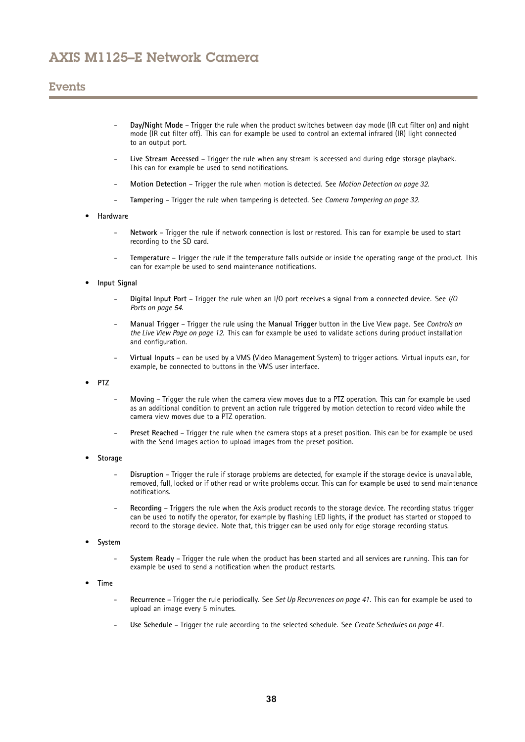## Events

- **Day/Night Mode** Trigger the rule when the product switches between day mode (IR cut filter on) and night mode (IR cut filter off). This can for example be used to control an external infrared (IR) light connected to an output port.
- **Live Stream Accessed** Trigger the rule when any stream is accessed and during edge storage playback. This can for example be used to send notifications.
- **Motion Detection** Trigger the rule when motion is detected. See *Motion [Detection](#page-31-0) on page [32](#page-31-0)*.
- **Tampering** Trigger the rule when tampering is detected. See *Camera [Tampering](#page-31-0) on page [32](#page-31-0)*.

#### •**Hardware**

- **Network** Trigger the rule if network connection is lost or restored. This can for example be used to start recording to the SD card.
- **Temperature** Trigger the rule if the temperature falls outside or inside the operating range of the product. This can for example be used to send maintenance notifications.

#### •**Input Signal**

- **Digital Input Port** Trigger the rule when an I/O port receives <sup>a</sup> signal from <sup>a</sup> connected device. See *[I/O](#page-53-0) [Ports](#page-53-0) on page [54](#page-53-0)*.
- **Manual Trigger** Trigger the rule using the **Manual Trigger** button in the Live View page. See *[Controls](#page-11-0) on the Live View [Page](#page-11-0) on page [12](#page-11-0)*. This can for example be used to validate actions during product installation and configuration.
- **Virtual Inputs** can be used by <sup>a</sup> VMS (Video Management System) to trigger actions. Virtual inputs can, for example, be connected to buttons in the VMS user interface.

•**PTZ**

- **Moving** Trigger the rule when the camera view moves due to <sup>a</sup> PTZ operation. This can for example be used as an additional condition to prevent an action rule triggered by motion detection to record video while the camera view moves due to <sup>a</sup> PTZ operation.
- **Preset Reached** Trigger the rule when the camera stops at <sup>a</sup> preset position. This can be for example be used with the Send Images action to upload images from the preset position.
- • **Storage**
	- **Disruption** Trigger the rule if storage problems are detected, for example if the storage device is unavailable, removed, full, locked or if other read or write problems occur. This can for example be used to send maintenance notifications.
	- **Recording** Triggers the rule when the Axis product records to the storage device. The recording status trigger can be used to notify the operator, for example by flashing LED lights, if the product has started or stopped to record to the storage device. Note that, this trigger can be used only for edge storage recording status.
- • **System**
	- **System Ready** Trigger the rule when the product has been started and all services are running. This can for example be used to send <sup>a</sup> notification when the product restarts.
- • **Time**
	- **Recurrence** Trigger the rule periodically. See *Set Up [Recurrences](#page-40-0) on page [41](#page-40-0)*. This can for example be used to upload an image every 5 minutes.
	- **Use Schedule** Trigger the rule according to the selected schedule. See *Create [Schedules](#page-40-0) on page [41](#page-40-0)*.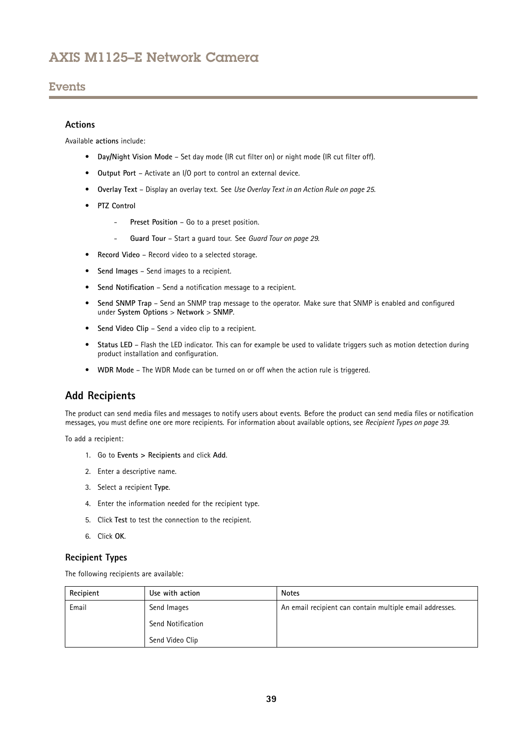## <span id="page-38-0"></span>**Events**

### **Actions**

Available **actions** include:

- **Day/Night Vision Mode** Set day mode (IR cut filter on) or night mode (IR cut filter off).
- **Output Port** Activate an I/O port to control an external device.
- **Overlay Text** Display an overlay text. See *Use [Overlay](#page-24-0) Text in an Action Rule on page [25](#page-24-0)*.
- **PTZ Control**
	- **Preset Position** Go to <sup>a</sup> preset position.
	- -**Guard Tour** – Start <sup>a</sup> guard tour. See *[Guard](#page-28-0) Tour on page [29](#page-28-0)*.
- **Record Video** Record video to <sup>a</sup> selected storage.
- **Send Images** Send images to <sup>a</sup> recipient.
- •**Send Notification** – Send <sup>a</sup> notification message to <sup>a</sup> recipient.
- • **Send SNMP Trap** – Send an SNMP trap message to the operator. Make sure that SNMP is enabled and configured under **System Options** <sup>&</sup>gt; **Network** <sup>&</sup>gt; **SNMP**.
- **Send Video Clip** Send <sup>a</sup> video clip to <sup>a</sup> recipient.
- • **Status LED** – Flash the LED indicator. This can for example be used to validate triggers such as motion detection during product installation and configuration.
- **WDR Mode** The WDR Mode can be turned on or off when the action rule is triggered.

## **Add Recipients**

The product can send media files and messages to notify users about events. Before the product can send media files or notification messages, you must define one ore more recipients. For information about available options, see *Recipient Types on page 39*.

To add <sup>a</sup> recipient:

- 1. Go to **Events <sup>&</sup>gt; Recipients** and click **Add**.
- 2. Enter <sup>a</sup> descriptive name.
- 3. Select <sup>a</sup> recipient **Type**.
- 4. Enter the information needed for the recipient type.
- 5. Click **Test** to test the connection to the recipient.
- 6. Click **OK**.

### **Recipient Types**

The following recipients are available:

| Recipient | Use with action   | <b>Notes</b>                                             |
|-----------|-------------------|----------------------------------------------------------|
| Email     | Send Images       | An email recipient can contain multiple email addresses. |
|           | Send Notification |                                                          |
|           | Send Video Clip   |                                                          |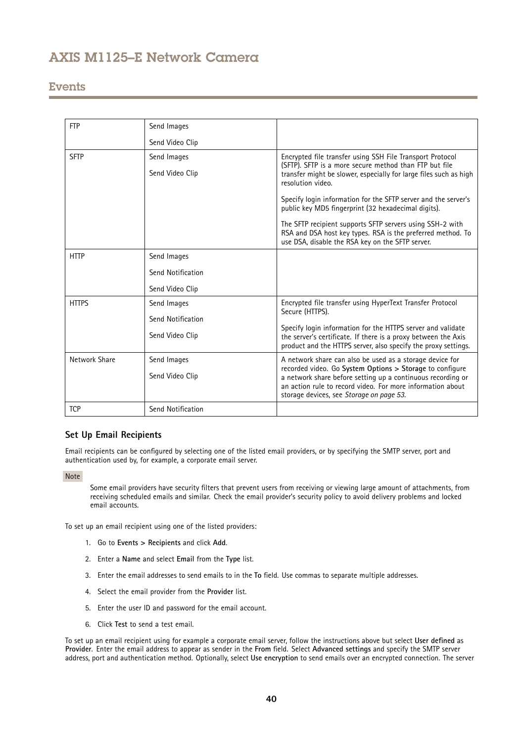## **Events**

| <b>FTP</b>    | Send Images       |                                                                                                                                                                                                                                   |
|---------------|-------------------|-----------------------------------------------------------------------------------------------------------------------------------------------------------------------------------------------------------------------------------|
|               | Send Video Clip   |                                                                                                                                                                                                                                   |
| <b>SFTP</b>   | Send Images       | Encrypted file transfer using SSH File Transport Protocol                                                                                                                                                                         |
|               | Send Video Clip   | (SFTP). SFTP is a more secure method than FTP but file<br>transfer might be slower, especially for large files such as high<br>resolution video.                                                                                  |
|               |                   | Specify login information for the SFTP server and the server's<br>public key MD5 fingerprint (32 hexadecimal digits).                                                                                                             |
|               |                   | The SFTP recipient supports SFTP servers using SSH-2 with<br>RSA and DSA host key types. RSA is the preferred method. To<br>use DSA, disable the RSA key on the SFTP server.                                                      |
| <b>HTTP</b>   | Send Images       |                                                                                                                                                                                                                                   |
|               | Send Notification |                                                                                                                                                                                                                                   |
|               | Send Video Clip   |                                                                                                                                                                                                                                   |
| <b>HTTPS</b>  | Send Images       | Encrypted file transfer using HyperText Transfer Protocol                                                                                                                                                                         |
|               | Send Notification | Secure (HTTPS).                                                                                                                                                                                                                   |
|               | Send Video Clip   | Specify login information for the HTTPS server and validate<br>the server's certificate. If there is a proxy between the Axis<br>product and the HTTPS server, also specify the proxy settings.                                   |
| Network Share | Send Images       | A network share can also be used as a storage device for                                                                                                                                                                          |
|               | Send Video Clip   | recorded video. Go System Options > Storage to configure<br>a network share before setting up a continuous recording or<br>an action rule to record video. For more information about<br>storage devices, see Storage on page 53. |
| <b>TCP</b>    | Send Notification |                                                                                                                                                                                                                                   |

### **Set Up Email Recipients**

Email recipients can be configured by selecting one of the listed email providers, or by specifying the SMTP server, port and authentication used by, for example, <sup>a</sup> corporate email server.

Note

Some email providers have security filters that prevent users from receiving or viewing large amount of attachments, from receiving scheduled emails and similar. Check the email provider's security policy to avoid delivery problems and locked email accounts.

To set up an email recipient using one of the listed providers:

- 1. Go to **Events <sup>&</sup>gt; Recipients** and click **Add**.
- 2. Enter <sup>a</sup> **Name** and select **Email** from the **Type** list.
- 3. Enter the email addresses to send emails to in the **To** field. Use commas to separate multiple addresses.
- 4. Select the email provider from the **Provider** list.
- 5. Enter the user ID and password for the email account.
- 6. Click **Test** to send <sup>a</sup> test email.

To set up an email recipient using for example <sup>a</sup> corporate email server, follow the instructions above but select **User defined** as **Provider**. Enter the email address to appear as sender in the **From** field. Select **Advanced settings** and specify the SMTP server address, port and authentication method. Optionally, select **Use encryption** to send emails over an encrypted connection. The server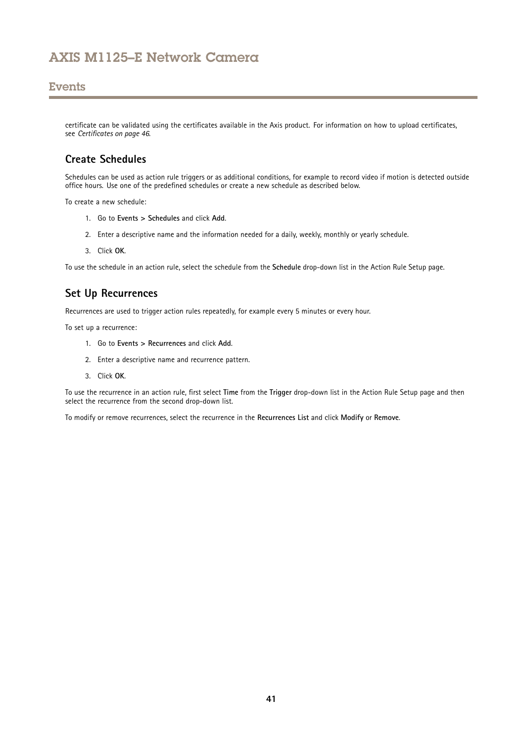## <span id="page-40-0"></span>**Events**

certificate can be validated using the certificates available in the Axis product. For information on how to upload certificates, see *[Certificates](#page-45-0) on page [46](#page-45-0)*.

## **Create Schedules**

Schedules can be used as action rule triggers or as additional conditions, for example to record video if motion is detected outside office hours. Use one of the predefined schedules or create <sup>a</sup> new schedule as described below.

To create a new schedule:

- 1. Go to **Events <sup>&</sup>gt; Schedules** and click **Add**.
- 2. Enter <sup>a</sup> descriptive name and the information needed for <sup>a</sup> daily, weekly, monthly or yearly schedule.
- 3. Click **OK**.

To use the schedule in an action rule, select the schedule from the **Schedule** drop-down list in the Action Rule Setup page.

## **Set Up Recurrences**

Recurrences are used to trigger action rules repeatedly, for example every 5 minutes or every hour.

To set up <sup>a</sup> recurrence:

- 1. Go to **Events <sup>&</sup>gt; Recurrences** and click **Add**.
- 2. Enter <sup>a</sup> descriptive name and recurrence pattern.
- 3. Click **OK**.

To use the recurrence in an action rule, first select **Time** from the **Trigger** drop-down list in the Action Rule Setup page and then select the recurrence from the second drop-down list.

To modify or remove recurrences, select the recurrence in the **Recurrences List** and click **Modify** or **Remove**.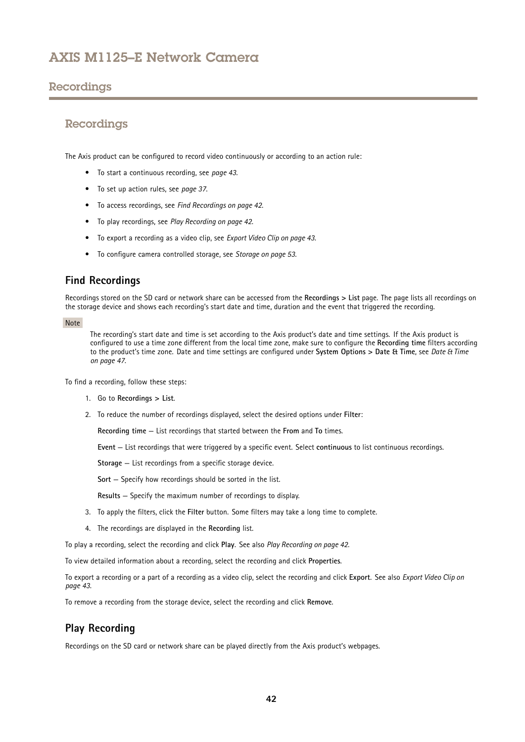## <span id="page-41-0"></span>Recordings

## Recordings

The Axis product can be configured to record video continuously or according to an action rule:

- To start <sup>a</sup> continuous recording, see *[page](#page-42-0) [43](#page-42-0)*.
- To set up action rules, see *[page](#page-36-0) [37](#page-36-0)*.
- To access recordings, see *Find Recordings on page 42*.
- To play recordings, see *Play Recording on page 42*.
- To export <sup>a</sup> recording as <sup>a</sup> video clip, see *[Export](#page-42-0) Video Clip on page [43](#page-42-0)*.
- To configure camera controlled storage, see *[Storage](#page-52-0) on page [53](#page-52-0)*.

## **Find Recordings**

Recordings stored on the SD card or network share can be accessed from the **Recordings <sup>&</sup>gt; List** page. The page lists all recordings on the storage device and shows each recording's start date and time, duration and the event that triggered the recording.

### Note

The recording's start date and time is set according to the Axis product's date and time settings. If the Axis product is configured to use <sup>a</sup> time zone different from the local time zone, make sure to configure the **Recording time** filters according to the product's time zone. Date and time settings are configured under **System Options <sup>&</sup>gt; Date & Time**, see *[Date](#page-46-0) & Time on [page](#page-46-0) [47](#page-46-0)*.

To find <sup>a</sup> recording, follow these steps:

- 1. Go to **Recordings <sup>&</sup>gt; List**.
- 2. To reduce the number of recordings displayed, select the desired options under **Filter**:

**Recording time** — List recordings that started between the **From** and **To** times.

**Event** — List recordings that were triggered by <sup>a</sup> specific event. Select **continuous** to list continuous recordings.

**Storage** — List recordings from <sup>a</sup> specific storage device.

**Sort** — Specify how recordings should be sorted in the list.

**Results** — Specify the maximum number of recordings to display.

- 3. To apply the filters, click the **Filter** button. Some filters may take <sup>a</sup> long time to complete.
- 4. The recordings are displayed in the **Recording** list.

To play <sup>a</sup> recording, select the recording and click **Play**. See also *Play Recording on page 42*.

To view detailed information about <sup>a</sup> recording, select the recording and click **Properties**.

To export <sup>a</sup> recording or <sup>a</sup> part of <sup>a</sup> recording as <sup>a</sup> video clip, select the recording and click **Export**. See also *[Export](#page-42-0) Video Clip on [page](#page-42-0) [43](#page-42-0)*.

To remove <sup>a</sup> recording from the storage device, select the recording and click **Remove**.

## **Play Recording**

Recordings on the SD card or network share can be played directly from the Axis product's webpages.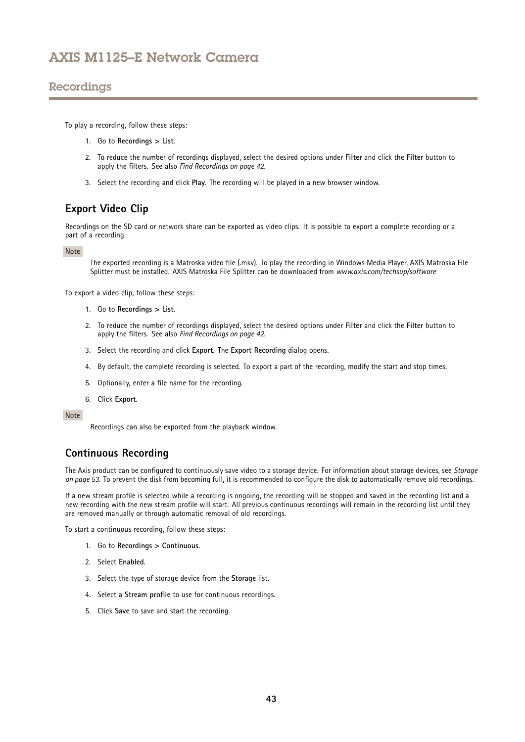## <span id="page-42-0"></span>Recordings

To play <sup>a</sup> recording, follow these steps:

- 1. Go to **Recordings <sup>&</sup>gt; List**.
- 2. To reduce the number of recordings displayed, select the desired options under **Filter** and click the **Filter** button to apply the filters. See also *Find [Recordings](#page-41-0) on page [42](#page-41-0)*.
- 3. Select the recording and click **Play**. The recording will be played in <sup>a</sup> new browser window.

# **Export Video Clip**

Recordings on the SD card or network share can be exported as video clips. It is possible to export <sup>a</sup> complete recording or <sup>a</sup> part of <sup>a</sup> recording.

### Note

The exported recording is <sup>a</sup> Matroska video file (.mkv). To play the recording in Windows Media Player, AXIS Matroska File Splitter must be installed. AXIS Matroska File Splitter can be downloaded from *www.axis.com/techsup/software*

To export <sup>a</sup> video clip, follow these steps:

- 1. Go to **Recordings <sup>&</sup>gt; List**.
- 2. To reduce the number of recordings displayed, select the desired options under **Filter** and click the **Filter** button to apply the filters. See also *Find [Recordings](#page-41-0) on page [42](#page-41-0)*.
- 3. Select the recording and click **Export**. The **Export Recording** dialog opens.
- 4. By default, the complete recording is selected. To export <sup>a</sup> part of the recording, modify the start and stop times.
- 5. Optionally, enter <sup>a</sup> file name for the recording.
- 6. Click **Export**.

Note

Recordings can also be exported from the playback window.

## **Continuous Recording**

The Axis product can be configured to continuously save video to <sup>a</sup> storage device. For information about storage devices, see *[Storage](#page-52-0) on [page](#page-52-0) [53](#page-52-0)*. To prevent the disk from becoming full, it is recommended to configure the disk to automatically remove old recordings.

If <sup>a</sup> new stream profile is selected while <sup>a</sup> recording is ongoing, the recording will be stopped and saved in the recording list and <sup>a</sup> new recording with the new stream profile will start. All previous continuous recordings will remain in the recording list until they are removed manually or through automatic removal of old recordings.

To start <sup>a</sup> continuous recording, follow these steps:

- 1. Go to **Recordings <sup>&</sup>gt; Continuous**.
- 2. Select **Enabled**.
- 3. Select the type of storage device from the **Storage** list.
- 4. Select <sup>a</sup> **Stream profile** to use for continuous recordings.
- 5. Click **Save** to save and start the recording.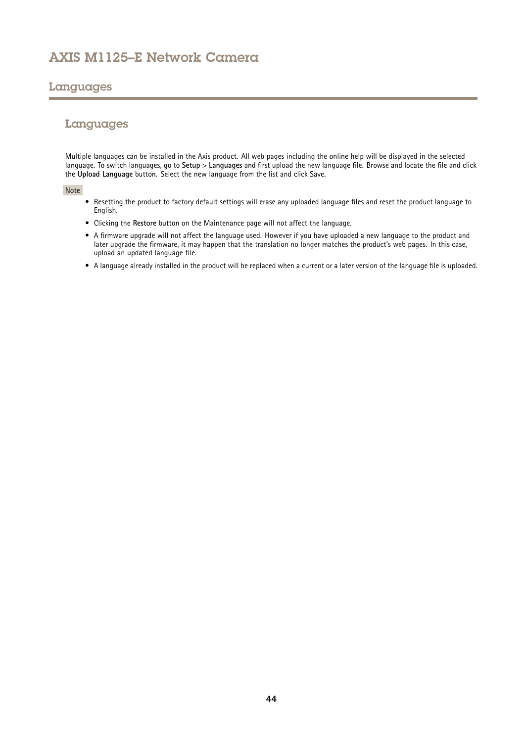## <span id="page-43-0"></span>Languages

## Languages

Multiple languages can be installed in the Axis product. All web pages including the online help will be displayed in the selected language. To switch languages, go to **Setup** <sup>&</sup>gt; **Languages** and first upload the new language file. Browse and locate the file and click the **Upload Language** button. Select the new language from the list and click Save.

### Note

- Resetting the product to factory default settings will erase any uploaded language files and reset the product language to English.
- Clicking the **Restore** button on the Maintenance page will not affect the language.
- A firmware upgrade will not affect the language used. However if you have uploaded <sup>a</sup> new language to the product and later upgrade the firmware, it may happen that the translation no longer matches the product's web pages. In this case, upload an updated language file.
- A language already installed in the product will be replaced when <sup>a</sup> current or <sup>a</sup> later version of the language file is uploaded.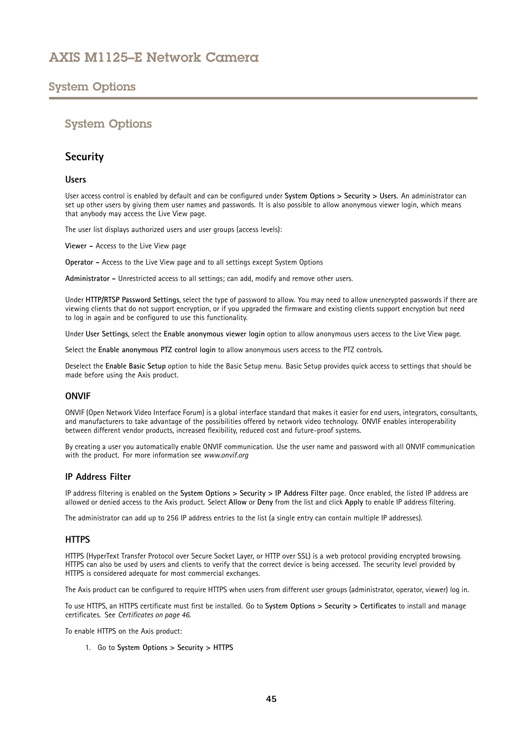## <span id="page-44-0"></span>System Options

## System Options

## **Security**

### **Users**

User access control is enabled by default and can be configured under **System Options <sup>&</sup>gt; Security <sup>&</sup>gt; Users**. An administrator can set up other users by giving them user names and passwords. It is also possible to allow anonymous viewer login, which means that anybody may access the Live View page.

The user list displays authorized users and user groups (access levels):

**Viewer -** Access to the Live View page

**Operator -** Access to the Live View page and to all settings except System Options

**Administrator -** Unrestricted access to all settings; can add, modify and remove other users.

Under **HTTP/RTSP Password Settings**, select the type of password to allow. You may need to allow unencrypted passwords if there are viewing clients that do not support encryption, or if you upgraded the firmware and existing clients support encryption but need to log in again and be configured to use this functionality.

Under **User Settings**, select the **Enable anonymous viewer login** option to allow anonymous users access to the Live View page.

Select the **Enable anonymous PTZ control login** to allow anonymous users access to the PTZ controls.

Deselect the **Enable Basic Setup** option to hide the Basic Setup menu. Basic Setup provides quick access to settings that should be made before using the Axis product.

### **ONVIF**

ONVIF (Open Network Video Interface Forum) is <sup>a</sup> global interface standard that makes it easier for end users, integrators, consultants, and manufacturers to take advantage of the possibilities offered by network video technology. ONVIF enables interoperability between different vendor products, increased flexibility, reduced cost and future-proof systems.

By creating <sup>a</sup> user you automatically enable ONVIF communication. Use the user name and password with all ONVIF communication with the product. For more information see *www.onvif.org*

### **IP Address Filter**

IP address filtering is enabled on the **System Options <sup>&</sup>gt; Security <sup>&</sup>gt; IP Address Filter** page. Once enabled, the listed IP address are allowed or denied access to the Axis product. Select **Allow** or **Deny** from the list and click **Apply** to enable IP address filtering.

The administrator can add up to <sup>256</sup> IP address entries to the list (a single entry can contain multiple IP addresses).

### **HTTPS**

HTTPS (HyperText Transfer Protocol over Secure Socket Layer, or HTTP over SSL) is <sup>a</sup> web protocol providing encrypted browsing. HTTPS can also be used by users and clients to verify that the correct device is being accessed. The security level provided by HTTPS is considered adequate for most commercial exchanges.

The Axis product can be configured to require HTTPS when users from different user groups (administrator, operator, viewer) log in.

To use HTTPS, an HTTPS certificate must first be installed. Go to **System Options <sup>&</sup>gt; Security <sup>&</sup>gt; Certificates** to install and manage certificates. See *[Certificates](#page-45-0) on page [46](#page-45-0)*.

To enable HTTPS on the Axis product:

1. Go to **System Options <sup>&</sup>gt; Security <sup>&</sup>gt; HTTPS**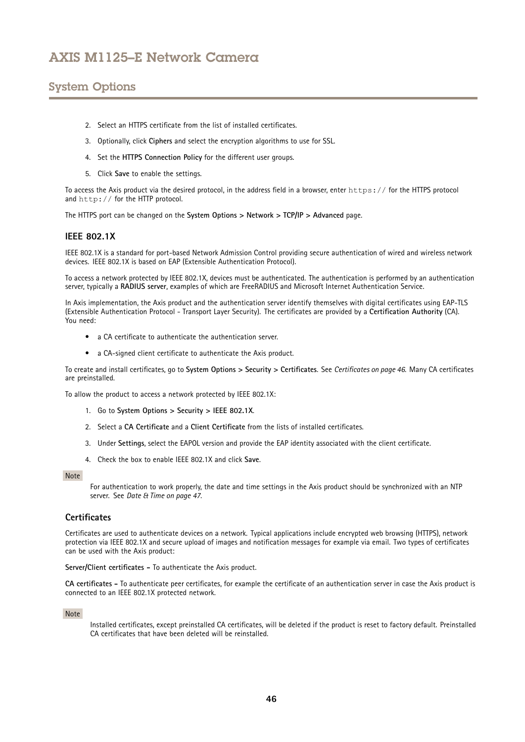# <span id="page-45-0"></span>System Options

- 2. Select an HTTPS certificate from the list of installed certificates.
- 3. Optionally, click **Ciphers** and select the encryption algorithms to use for SSL.
- 4. Set the **HTTPS Connection Policy** for the different user groups.
- 5. Click **Save** to enable the settings.

To access the Axis product via the desired protocol, in the address field in <sup>a</sup> browser, enter https:// for the HTTPS protocol and http:// for the HTTP protocol.

The HTTPS port can be changed on the **System Options <sup>&</sup>gt; Network <sup>&</sup>gt; TCP/IP <sup>&</sup>gt; Advanced** page.

### **IEEE 802.1X**

IEEE 802.1X is <sup>a</sup> standard for port-based Network Admission Control providing secure authentication of wired and wireless network devices. IEEE 802.1X is based on EAP (Extensible Authentication Protocol).

To access <sup>a</sup> network protected by IEEE 802.1X, devices must be authenticated. The authentication is performed by an authentication server, typically <sup>a</sup> **RADIUS server**, examples of which are FreeRADIUS and Microsoft Internet Authentication Service.

In Axis implementation, the Axis product and the authentication server identify themselves with digital certificates using EAP-TLS (Extensible Authentication Protocol - Transport Layer Security). The certificates are provided by <sup>a</sup> **Certification Authority** (CA). You need:

- <sup>a</sup> CA certificate to authenticate the authentication server.
- <sup>a</sup> CA-signed client certificate to authenticate the Axis product.

To create and install certificates, go to **System Options <sup>&</sup>gt; Security <sup>&</sup>gt; Certificates**. See *Certificates on page 46*. Many CA certificates are preinstalled.

To allow the product to access <sup>a</sup> network protected by IEEE 802.1X:

- 1. Go to **System Options <sup>&</sup>gt; Security <sup>&</sup>gt; IEEE 802.1X**.
- 2. Select <sup>a</sup> **CA Certificate** and <sup>a</sup> **Client Certificate** from the lists of installed certificates.
- 3. Under **Settings**, select the EAPOL version and provide the EAP identity associated with the client certificate.
- 4. Check the box to enable IEEE 802.1X and click **Save**.

#### Note

For authentication to work properly, the date and time settings in the Axis product should be synchronized with an NTP server. See *[Date](#page-46-0) & Time on page [47](#page-46-0)*.

### **Certificates**

Certificates are used to authenticate devices on <sup>a</sup> network. Typical applications include encrypted web browsing (HTTPS), network protection via IEEE 802.1X and secure upload of images and notification messages for example via email. Two types of certificates can be used with the Axis product:

**Server/Client certificates -** To authenticate the Axis product.

**CA certificates -** To authenticate peer certificates, for example the certificate of an authentication server in case the Axis product is connected to an IEEE 802.1X protected network.

#### Note

Installed certificates, except preinstalled CA certificates, will be deleted if the product is reset to factory default. Preinstalled CA certificates that have been deleted will be reinstalled.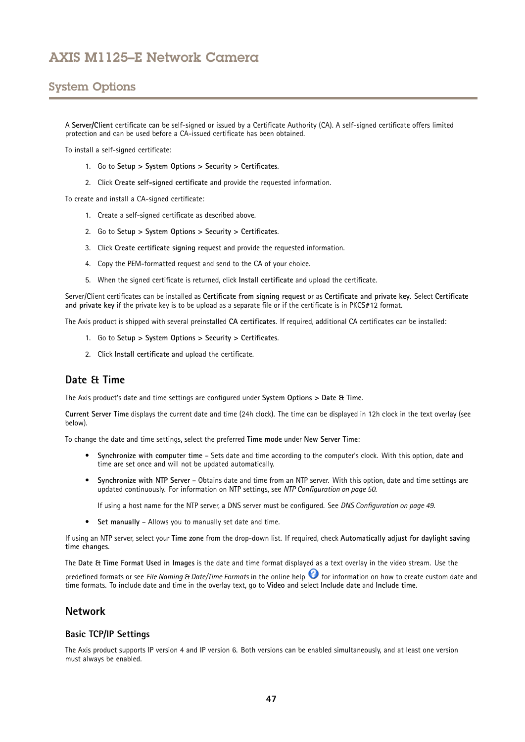# <span id="page-46-0"></span>System Options

A **Server/Client** certificate can be self-signed or issued by <sup>a</sup> Certificate Authority (CA). A self-signed certificate offers limited protection and can be used before <sup>a</sup> CA-issued certificate has been obtained.

To install <sup>a</sup> self-signed certificate:

- 1. Go to **Setup <sup>&</sup>gt; System Options <sup>&</sup>gt; Security <sup>&</sup>gt; Certificates**.
- 2. Click **Create self-signed certificate** and provide the requested information.

To create and install <sup>a</sup> CA-signed certificate:

- 1. Create <sup>a</sup> self-signed certificate as described above.
- 2. Go to **Setup <sup>&</sup>gt; System Options <sup>&</sup>gt; Security <sup>&</sup>gt; Certificates**.
- 3. Click **Create certificate signing request** and provide the requested information.
- 4. Copy the PEM-formatted request and send to the CA of your choice.
- 5. When the signed certificate is returned, click **Install certificate** and upload the certificate.

Server/Client certificates can be installed as **Certificate from signing request** or as **Certificate and private key**. Select **Certificate and private key** if the private key is to be upload as <sup>a</sup> separate file or if the certificate is in PKCS#12 format.

The Axis product is shipped with several preinstalled **CA certificates**. If required, additional CA certificates can be installed:

- 1. Go to **Setup <sup>&</sup>gt; System Options <sup>&</sup>gt; Security <sup>&</sup>gt; Certificates**.
- 2. Click **Install certificate** and upload the certificate.

## **Date & Time**

The Axis product's date and time settings are configured under **System Options <sup>&</sup>gt; Date & Time**.

**Current Server Time** displays the current date and time (24h clock). The time can be displayed in 12h clock in the text overlay (see below).

To change the date and time settings, select the preferred **Time mode** under **New Server Time**:

- • **Synchronize with computer time** – Sets date and time according to the computer's clock. With this option, date and time are set once and will not be updated automatically.
- • **Synchronize with NTP Server** – Obtains date and time from an NTP server. With this option, date and time settings are updated continuously. For information on NTP settings, see *NTP [Configuration](#page-49-0) on page [50](#page-49-0)*.

If using <sup>a</sup> host name for the NTP server, <sup>a</sup> DNS server must be configured. See *DNS [Configuration](#page-48-0) on page [49](#page-48-0)*.

• **Set manually** – Allows you to manually set date and time.

If using an NTP server, select your **Time zone** from the drop-down list. If required, check **Automatically adjust for daylight saving time changes**.

The **Date & Time Format Used in Images** is the date and time format displayed as <sup>a</sup> text overlay in the video stream. Use the

predefined formats or see *File Naming & Date/Time Formats* in the online help for information on how to create custom date and time formats. To include date and time in the overlay text, go to **Video** and select **Include date** and **Include time**.

### **Network**

### **Basic TCP/IP Settings**

The Axis product supports IP version 4 and IP version 6. Both versions can be enabled simultaneously, and at least one version must always be enabled.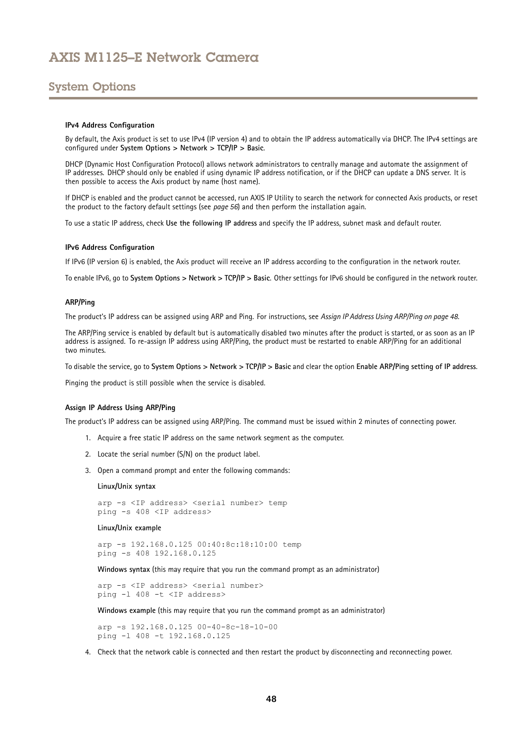## <span id="page-47-0"></span>System Options

#### **IPv4 Address Configuration**

By default, the Axis product is set to use IPv4 (IP version 4) and to obtain the IP address automatically via DHCP. The IPv4 settings are configured under **System Options <sup>&</sup>gt; Network <sup>&</sup>gt; TCP/IP <sup>&</sup>gt; Basic**.

DHCP (Dynamic Host Configuration Protocol) allows network administrators to centrally manage and automate the assignment of IP addresses. DHCP should only be enabled if using dynamic IP address notification, or if the DHCP can update <sup>a</sup> DNS server. It is then possible to access the Axis product by name (host name).

If DHCP is enabled and the product cannot be accessed, run AXIS IP Utility to search the network for connected Axis products, or reset the product to the factory default settings (see *[page](#page-55-0) [56](#page-55-0)*) and then perform the installation again.

To use <sup>a</sup> static IP address, check **Use the following IP address** and specify the IP address, subnet mask and default router.

#### **IPv6 Address Configuration**

If IPv6 (IP version 6) is enabled, the Axis product will receive an IP address according to the configuration in the network router.

To enable IPv6, go to **System Options <sup>&</sup>gt; Network <sup>&</sup>gt; TCP/IP <sup>&</sup>gt; Basic**. Other settings for IPv6 should be configured in the network router.

#### **ARP/Ping**

The product's IP address can be assigned using ARP and Ping. For instructions, see *Assign IP Address Using ARP/Ping on page <sup>48</sup>*.

The ARP/Ping service is enabled by default but is automatically disabled two minutes after the product is started, or as soon as an IP address is assigned. To re-assign IP address using ARP/Ping, the product must be restarted to enable ARP/Ping for an additional two minutes.

To disable the service, go to System Options > Network > TCP/IP > Basic and clear the option Enable ARP/Ping setting of IP address.

Pinging the product is still possible when the service is disabled.

#### **Assign IP Address Using ARP/Ping**

The product's IP address can be assigned using ARP/Ping. The command must be issued within <sup>2</sup> minutes of connecting power.

- 1. Acquire <sup>a</sup> free static IP address on the same network segment as the computer.
- 2. Locate the serial number (S/N) on the product label.
- 3. Open <sup>a</sup> command prompt and enter the following commands:

#### **Linux/Unix syntax**

```
arp -s <IP address> <serial number> temp
ping -s 408 <IP address>
```
#### **Linux/Unix example**

arp -s 192.168.0.125 00:40:8c:18:10:00 temp ping -s 408 192.168.0.125

**Windows syntax** (this may require that you run the command prompt as an administrator)

arp -s <IP address> <serial number> ping -l 408 -t <IP address>

**Windows example** (this may require that you run the command prompt as an administrator)

arp -s 192.168.0.125 00-40-8c-18-10-00 ping -l 408 -t 192.168.0.125

4. Check that the network cable is connected and then restart the product by disconnecting and reconnecting power.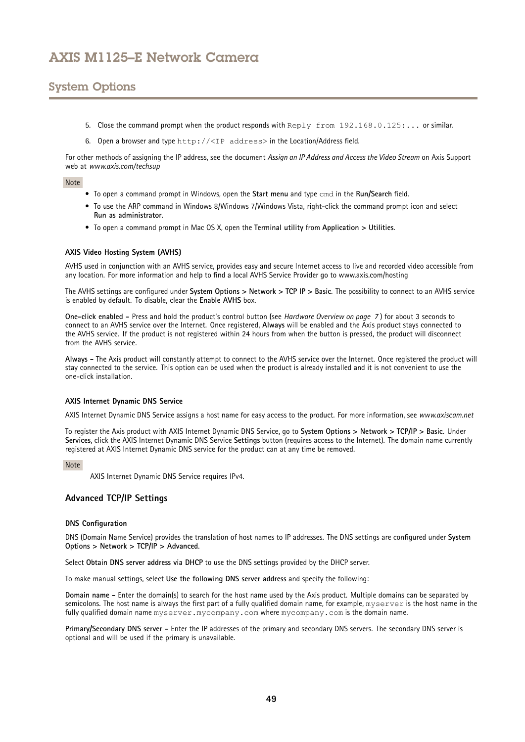# <span id="page-48-0"></span>System Options

- 5. Close the command prompt when the product responds with Reply from 192.168.0.125:... or similar.
- 6. Open <sup>a</sup> browser and type http://<IP address> in the Location/Address field.

For other methods of assigning the IP address, see the document *Assign an IP Address and Access the Video Stream* on Axis Support web at *www.axis.com/techsup*

### Note

- To open <sup>a</sup> command prompt in Windows, open the **Start menu** and type cmd in the **Run/Search** field.
- To use the ARP command in Windows 8/Windows 7/Windows Vista, right-click the command prompt icon and select **Run as administrator**.
- To open <sup>a</sup> command prompt in Mac OS X, open the **Terminal utility** from **Application <sup>&</sup>gt; Utilities**.

#### **AXIS Video Hosting System (AVHS)**

AVHS used in conjunction with an AVHS service, provides easy and secure Internet access to live and recorded video accessible from any location. For more information and help to find <sup>a</sup> local AVHS Service Provider go to www.axis.com/hosting

The AVHS settings are configured under **System Options <sup>&</sup>gt; Network <sup>&</sup>gt; TCP IP <sup>&</sup>gt; Basic**. The possibility to connect to an AVHS service is enabled by default. To disable, clear the **Enable AVHS** box.

**One-click enabled -** Press and hold the product's control button (see *[Hardware](#page-6-0) Overview on page [7](#page-6-0)* ) for about <sup>3</sup> seconds to connect to an AVHS service over the Internet. Once registered, **Always** will be enabled and the Axis product stays connected to the AVHS service. If the product is not registered within 24 hours from when the button is pressed, the product will disconnect from the AVHS service.

**Always -** The Axis product will constantly attempt to connect to the AVHS service over the Internet. Once registered the product will stay connected to the service. This option can be used when the product is already installed and it is not convenient to use the one-click installation.

### **AXIS Internet Dynamic DNS Service**

AXIS Internet Dynamic DNS Service assigns <sup>a</sup> host name for easy access to the product. For more information, see *www.axiscam.net*

To register the Axis product with AXIS Internet Dynamic DNS Service, go to **System Options <sup>&</sup>gt; Network <sup>&</sup>gt; TCP/IP <sup>&</sup>gt; Basic**. Under **Services**, click the AXIS Internet Dynamic DNS Service **Settings** button (requires access to the Internet). The domain name currently registered at AXIS Internet Dynamic DNS service for the product can at any time be removed.

#### Note

AXIS Internet Dynamic DNS Service requires IPv4.

### **Advanced TCP/IP Settings**

#### **DNS Configuration**

DNS (Domain Name Service) provides the translation of host names to IP addresses. The DNS settings are configured under **System Options <sup>&</sup>gt; Network <sup>&</sup>gt; TCP/IP <sup>&</sup>gt; Advanced**.

Select **Obtain DNS server address via DHCP** to use the DNS settings provided by the DHCP server.

To make manual settings, select **Use the following DNS server address** and specify the following:

**Domain name -** Enter the domain(s) to search for the host name used by the Axis product. Multiple domains can be separated by semicolons. The host name is always the first part of <sup>a</sup> fully qualified domain name, for example, myserver is the host name in the fully qualified domain name myserver.mycompany.com where mycompany.com is the domain name.

**Primary/Secondary DNS server -** Enter the IP addresses of the primary and secondary DNS servers. The secondary DNS server is optional and will be used if the primary is unavailable.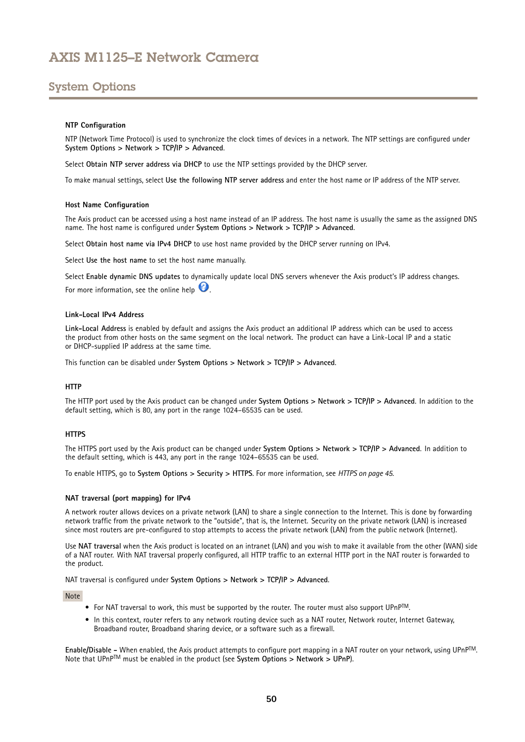# <span id="page-49-0"></span>System Options

### **NTP Configuration**

NTP (Network Time Protocol) is used to synchronize the clock times of devices in <sup>a</sup> network. The NTP settings are configured under **System Options <sup>&</sup>gt; Network <sup>&</sup>gt; TCP/IP <sup>&</sup>gt; Advanced**.

Select **Obtain NTP server address via DHCP** to use the NTP settings provided by the DHCP server.

To make manual settings, select **Use the following NTP server address** and enter the host name or IP address of the NTP server.

#### **Host Name Configuration**

The Axis product can be accessed using <sup>a</sup> host name instead of an IP address. The host name is usually the same as the assigned DNS name. The host name is configured under **System Options <sup>&</sup>gt; Network <sup>&</sup>gt; TCP/IP <sup>&</sup>gt; Advanced**.

Select **Obtain host name via IPv4 DHCP** to use host name provided by the DHCP server running on IPv4.

Select **Use the host name** to set the host name manually.

Select **Enable dynamic DNS updates** to dynamically update local DNS servers whenever the Axis product's IP address changes. For more information, see the online help  $\bullet$ .

#### **Link-Local IPv4 Address**

**Link-Local Address** is enabled by default and assigns the Axis product an additional IP address which can be used to access the product from other hosts on the same segment on the local network. The product can have <sup>a</sup> Link-Local IP and <sup>a</sup> static or DHCP-supplied IP address at the same time.

This function can be disabled under **System Options <sup>&</sup>gt; Network <sup>&</sup>gt; TCP/IP <sup>&</sup>gt; Advanced**.

#### **HTTP**

The HTTP port used by the Axis product can be changed under **System Options <sup>&</sup>gt; Network <sup>&</sup>gt; TCP/IP <sup>&</sup>gt; Advanced**. In addition to the default setting, which is 80, any port in the range 1024–65535 can be used.

#### **HTTPS**

The HTTPS port used by the Axis product can be changed under **System Options <sup>&</sup>gt; Network <sup>&</sup>gt; TCP/IP <sup>&</sup>gt; Advanced**. In addition to the default setting, which is 443, any port in the range 1024–65535 can be used.

To enable HTTPS, go to **System Options <sup>&</sup>gt; Security <sup>&</sup>gt; HTTPS**. For more information, see *[HTTPS](#page-44-0) on page [45](#page-44-0)*.

#### **NAT traversal (port mapping) for IPv4**

A network router allows devices on <sup>a</sup> private network (LAN) to share <sup>a</sup> single connection to the Internet. This is done by forwarding network traffic from the private network to the "outside", that is, the Internet. Security on the private network (LAN) is increased since most routers are pre-configured to stop attempts to access the private network (LAN) from the public network (Internet).

Use **NAT traversal** when the Axis product is located on an intranet (LAN) and you wish to make it available from the other (WAN) side of <sup>a</sup> NAT router. With NAT traversal properly configured, all HTTP traffic to an external HTTP port in the NAT router is forwarded to the product.

NAT traversal is configured under **System Options <sup>&</sup>gt; Network <sup>&</sup>gt; TCP/IP <sup>&</sup>gt; Advanced**.

Note

- For NAT traversal to work, this must be supported by the router. The router must also support  $\mathsf{UPnP}^{\mathsf{TM}}$ .
- In this context, router refers to any network routing device such as <sup>a</sup> NAT router, Network router, Internet Gateway, Broadband router, Broadband sharing device, or <sup>a</sup> software such as <sup>a</sup> firewall.

**Enable/Disable -** When enabled, the Axis product attempts to configure port mapping in <sup>a</sup> NAT router on your network, using UPnPTM. Note that UPnPTM must be enabled in the product (see **System Options <sup>&</sup>gt; Network <sup>&</sup>gt; UPnP**).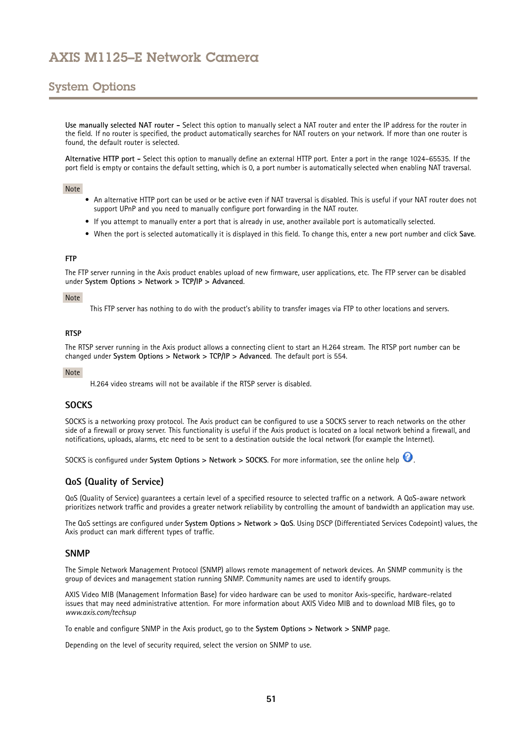# System Options

**Use manually selected NAT router -** Select this option to manually select <sup>a</sup> NAT router and enter the IP address for the router in the field. If no router is specified, the product automatically searches for NAT routers on your network. If more than one router is found, the default router is selected.

**Alternative HTTP port -** Select this option to manually define an external HTTP port. Enter <sup>a</sup> port in the range 1024–65535. If the port field is empty or contains the default setting, which is 0, <sup>a</sup> port number is automatically selected when enabling NAT traversal.

### Note

- An alternative HTTP port can be used or be active even if NAT traversal is disabled. This is useful if your NAT router does not support UPnP and you need to manually configure port forwarding in the NAT router.
- If you attempt to manually enter <sup>a</sup> port that is already in use, another available port is automatically selected.
- When the port is selected automatically it is displayed in this field. To change this, enter <sup>a</sup> new port number and click **Save**.

#### **FTP**

The FTP server running in the Axis product enables upload of new firmware, user applications, etc. The FTP server can be disabled under **System Options <sup>&</sup>gt; Network <sup>&</sup>gt; TCP/IP <sup>&</sup>gt; Advanced**.

#### Note

This FTP server has nothing to do with the product's ability to transfer images via FTP to other locations and servers.

#### **RTSP**

The RTSP server running in the Axis product allows <sup>a</sup> connecting client to start an H.264 stream. The RTSP port number can be changed under **System Options <sup>&</sup>gt; Network <sup>&</sup>gt; TCP/IP <sup>&</sup>gt; Advanced**. The default port is 554.

#### Note

H.264 video streams will not be available if the RTSP server is disabled.

### **SOCKS**

SOCKS is <sup>a</sup> networking proxy protocol. The Axis product can be configured to use <sup>a</sup> SOCKS server to reach networks on the other side of <sup>a</sup> firewall or proxy server. This functionality is useful if the Axis product is located on <sup>a</sup> local network behind <sup>a</sup> firewall, and notifications, uploads, alarms, etc need to be sent to <sup>a</sup> destination outside the local network (for example the Internet).

SOCKS is configured under **System Options <sup>&</sup>gt; Network <sup>&</sup>gt; SOCKS**. For more information, see the online help .

### **QoS (Quality of Service)**

QoS (Quality of Service) guarantees <sup>a</sup> certain level of <sup>a</sup> specified resource to selected traffic on <sup>a</sup> network. A QoS-aware network prioritizes network traffic and provides <sup>a</sup> greater network reliability by controlling the amount of bandwidth an application may use.

The QoS settings are configured under **System Options <sup>&</sup>gt; Network <sup>&</sup>gt; QoS**. Using DSCP (Differentiated Services Codepoint) values, the Axis product can mark different types of traffic.

### **SNMP**

The Simple Network Management Protocol (SNMP) allows remote management of network devices. An SNMP community is the group of devices and management station running SNMP. Community names are used to identify groups.

AXIS Video MIB (Management Information Base) for video hardware can be used to monitor Axis-specific, hardware-related issues that may need administrative attention. For more information about AXIS Video MIB and to download MIB files, go to *www.axis.com/techsup*

To enable and configure SNMP in the Axis product, go to the **System Options <sup>&</sup>gt; Network <sup>&</sup>gt; SNMP** page.

Depending on the level of security required, select the version on SNMP to use.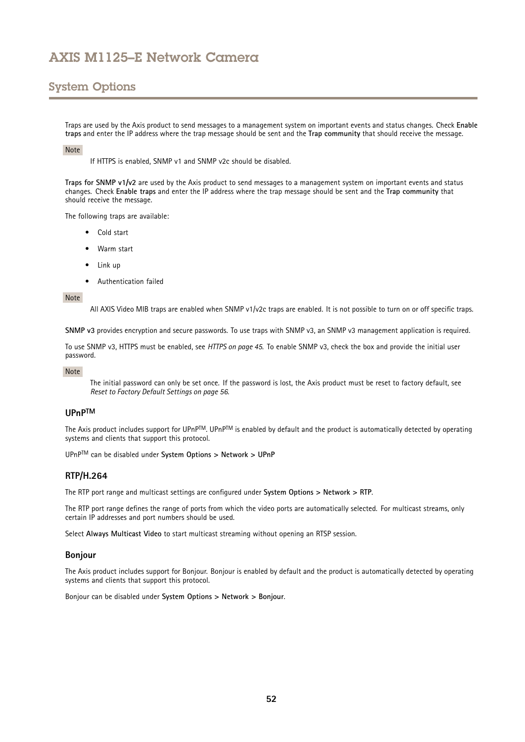## System Options

Traps are used by the Axis product to send messages to <sup>a</sup> management system on important events and status changes. Check **Enable traps** and enter the IP address where the trap message should be sent and the **Trap community** that should receive the message.

#### Note

If HTTPS is enabled, SNMP v1 and SNMP v2c should be disabled.

**Traps for SNMP v1/v2** are used by the Axis product to send messages to <sup>a</sup> management system on important events and status changes. Check **Enable traps** and enter the IP address where the trap message should be sent and the **Trap community** that should receive the message.

The following traps are available:

- Cold start
- Warm start
- Link up
- Authentication failed

#### Note

All AXIS Video MIB traps are enabled when SNMP v1/v2c traps are enabled. It is not possible to turn on or off specific traps.

**SNMP v3** provides encryption and secure passwords. To use traps with SNMP v3, an SNMP v3 management application is required.

To use SNMP v3, HTTPS must be enabled, see *[HTTPS](#page-44-0) on page [45](#page-44-0)*. To enable SNMP v3, check the box and provide the initial user password.

#### Note

The initial password can only be set once. If the password is lost, the Axis product must be reset to factory default, see *Reset to Factory Default [Settings](#page-55-0) on page [56](#page-55-0)*.

### **UPnPTM**

The Axis product includes support for UPnP™. UPnP™ is enabled by default and the product is automatically detected by operating systems and clients that support this protocol.

UPnPTM can be disabled under **System Options <sup>&</sup>gt; Network <sup>&</sup>gt; UPnP**

### **RTP/H.264**

The RTP port range and multicast settings are configured under **System Options <sup>&</sup>gt; Network <sup>&</sup>gt; RTP**.

The RTP port range defines the range of ports from which the video ports are automatically selected. For multicast streams, only certain IP addresses and port numbers should be used.

Select **Always Multicast Video** to start multicast streaming without opening an RTSP session.

#### **Bonjour**

The Axis product includes support for Bonjour. Bonjour is enabled by default and the product is automatically detected by operating systems and clients that support this protocol.

Bonjour can be disabled under **System Options <sup>&</sup>gt; Network <sup>&</sup>gt; Bonjour**.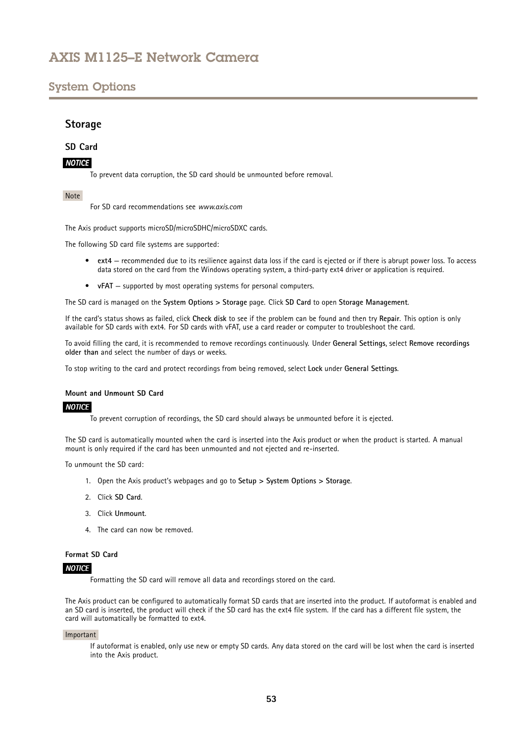## <span id="page-52-0"></span>System Options

## **Storage**

### **SD Card**

### *NOTICE*

To prevent data corruption, the SD card should be unmounted before removal.

### Note

For SD card recommendations see *www.axis.com*

The Axis product supports microSD/microSDHC/microSDXC cards.

The following SD card file systems are supported:

- **ext4** recommended due to its resilience against data loss if the card is ejected or if there is abrupt power loss. To access data stored on the card from the Windows operating system, <sup>a</sup> third-party ext4 driver or application is required.
- •**vFAT** – supported by most operating systems for personal computers.

The SD card is managed on the **System Options <sup>&</sup>gt; Storage** page. Click **SD Card** to open **Storage Management**.

If the card's status shows as failed, click **Check disk** to see if the problem can be found and then try **Repair**. This option is only available for SD cards with ext4. For SD cards with vFAT, use <sup>a</sup> card reader or computer to troubleshoot the card.

To avoid filling the card, it is recommended to remove recordings continuously. Under **General Settings**, select **Remove recordings older than** and select the number of days or weeks.

To stop writing to the card and protect recordings from being removed, select **Lock** under **General Settings**.

#### **Mount and Unmount SD Card**

### *NOTICE*

To prevent corruption of recordings, the SD card should always be unmounted before it is ejected.

The SD card is automatically mounted when the card is inserted into the Axis product or when the product is started. A manual mount is only required if the card has been unmounted and not ejected and re-inserted.

To unmount the SD card:

- 1. Open the Axis product's webpages and go to **Setup <sup>&</sup>gt; System Options <sup>&</sup>gt; Storage**.
- 2. Click **SD Card**.
- 3. Click **Unmount**.
- 4. The card can now be removed.

### **Format SD Card**

### *NOTICE*

Formatting the SD card will remove all data and recordings stored on the card.

The Axis product can be configured to automatically format SD cards that are inserted into the product. If autoformat is enabled and an SD card is inserted, the product will check if the SD card has the ext4 file system. If the card has <sup>a</sup> different file system, the card will automatically be formatted to ext4.

#### Important

If autoformat is enabled, only use new or empty SD cards. Any data stored on the card will be lost when the card is inserted into the Axis product.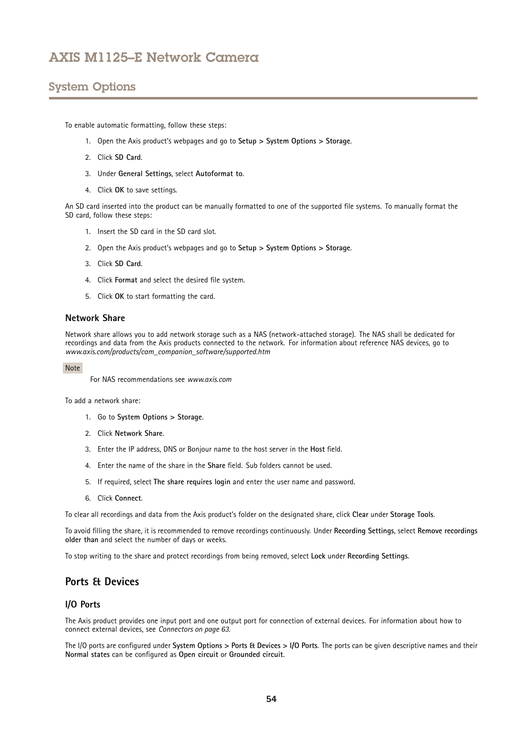# <span id="page-53-0"></span>System Options

To enable automatic formatting, follow these steps:

- 1. Open the Axis product's webpages and go to **Setup <sup>&</sup>gt; System Options <sup>&</sup>gt; Storage**.
- 2. Click **SD Card**.
- 3. Under **General Settings**, select **Autoformat to**.
- 4. Click **OK** to save settings.

An SD card inserted into the product can be manually formatted to one of the supported file systems. To manually format the SD card, follow these steps:

- 1. Insert the SD card in the SD card slot.
- 2. Open the Axis product's webpages and go to **Setup <sup>&</sup>gt; System Options <sup>&</sup>gt; Storage**.
- 3. Click **SD Card**.
- 4. Click **Format** and select the desired file system.
- 5. Click **OK** to start formatting the card.

### **Network Share**

Network share allows you to add network storage such as <sup>a</sup> NAS (network-attached storage). The NAS shall be dedicated for recordings and data from the Axis products connected to the network. For information about reference NAS devices, go to *www.axis.com/products/cam\_companion\_software/supported.htm*

Note

For NAS recommendations see *www.axis.com*

To add a network share:

- 1. Go to **System Options <sup>&</sup>gt; Storage**.
- 2. Click **Network Share**.
- 3. Enter the IP address, DNS or Bonjour name to the host server in the **Host** field.
- 4. Enter the name of the share in the **Share** field. Sub folders cannot be used.
- 5. If required, select **The share requires login** and enter the user name and password.
- 6. Click **Connect**.

To clear all recordings and data from the Axis product's folder on the designated share, click **Clear** under **Storage Tools**.

To avoid filling the share, it is recommended to remove recordings continuously. Under **Recording Settings**, select **Remove recordings older than** and select the number of days or weeks.

To stop writing to the share and protect recordings from being removed, select **Lock** under **Recording Settings**.

## **Ports & Devices**

### **I/O Ports**

The Axis product provides one input port and one output port for connection of external devices. For information about how to connect external devices, see *[Connectors](#page-62-0) on page [63](#page-62-0)*.

The I/O ports are configured under **System Options <sup>&</sup>gt; Ports & Devices <sup>&</sup>gt; I/O Ports**. The ports can be given descriptive names and their **Normal states** can be configured as **Open circuit** or **Grounded circuit**.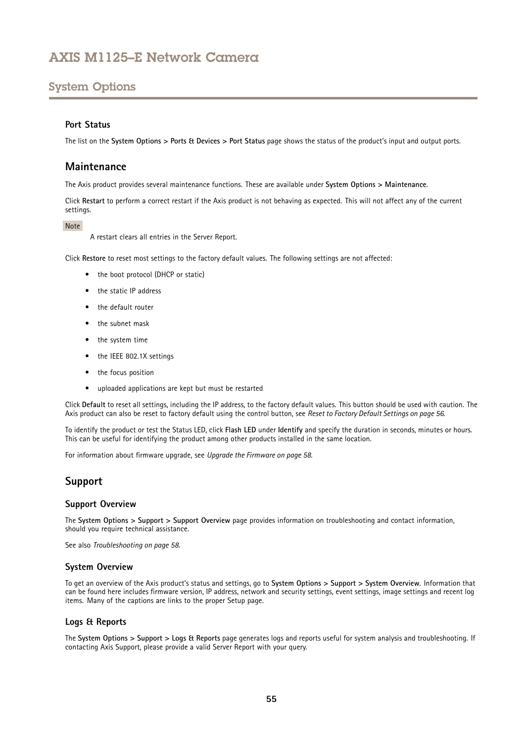# <span id="page-54-0"></span>System Options

### **Port Status**

The list on the **System Options <sup>&</sup>gt; Ports & Devices <sup>&</sup>gt; Port Status** page shows the status of the product's input and output ports.

## **Maintenance**

The Axis product provides several maintenance functions. These are available under **System Options <sup>&</sup>gt; Maintenance**.

Click **Restart** to perform <sup>a</sup> correct restart if the Axis product is not behaving as expected. This will not affect any of the current settings.

### Note

A restart clears all entries in the Server Report.

Click **Restore** to reset most settings to the factory default values. The following settings are not affected:

- the boot protocol (DHCP or static)
- the static IP address
- •the default router
- the subnet mask
- the system time
- the IEEE 802.1X settings
- the focus position
- uploaded applications are kept but must be restarted

Click **Default** to reset all settings, including the IP address, to the factory default values. This button should be used with caution. The Axis product can also be reset to factory default using the control button, see *Reset to Factory Default [Settings](#page-55-0) on page [56](#page-55-0)*.

To identify the product or test the Status LED, click **Flash LED** under **Identify** and specify the duration in seconds, minutes or hours. This can be useful for identifying the product among other products installed in the same location.

For information about firmware upgrade, see *[Upgrade](#page-57-0) the Firmware on page [58](#page-57-0)*.

### **Support**

### **Support Overview**

The **System Options <sup>&</sup>gt; Support <sup>&</sup>gt; Support Overview** page provides information on troubleshooting and contact information, should you require technical assistance.

See also *[Troubleshooting](#page-57-0) on page [58](#page-57-0)*.

### **System Overview**

To get an overview of the Axis product's status and settings, go to **System Options <sup>&</sup>gt; Support <sup>&</sup>gt; System Overview**. Information that can be found here includes firmware version, IP address, network and security settings, event settings, image settings and recent log items. Many of the captions are links to the proper Setup page.

### **Logs & Reports**

The **System Options <sup>&</sup>gt; Support <sup>&</sup>gt; Logs & Reports** page generates logs and reports useful for system analysis and troubleshooting. If contacting Axis Support, please provide <sup>a</sup> valid Server Report with your query.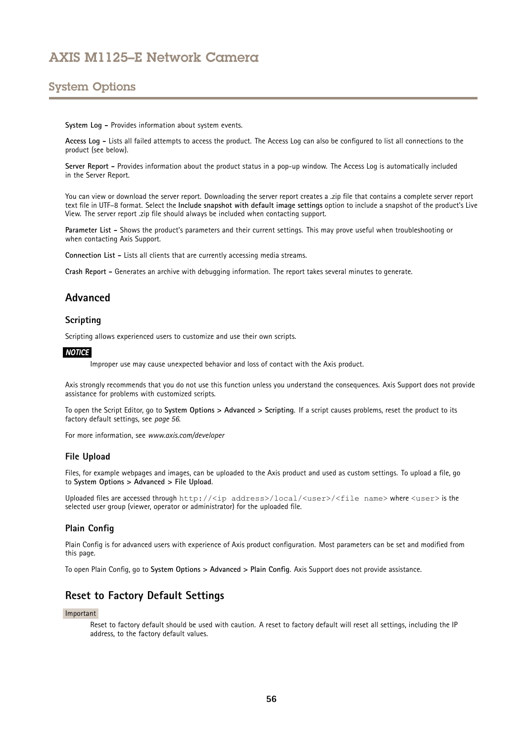## <span id="page-55-0"></span>System Options

**System Log -** Provides information about system events.

**Access Log -** Lists all failed attempts to access the product. The Access Log can also be configured to list all connections to the product (see below).

**Server Report -** Provides information about the product status in <sup>a</sup> pop-up window. The Access Log is automatically included in the Server Report.

You can view or download the server report. Downloading the server report creates <sup>a</sup> .zip file that contains <sup>a</sup> complete server report text file in UTF–8 format. Select the **Include snapshot with default image settings** option to include <sup>a</sup> snapshot of the product's Live View. The server report .zip file should always be included when contacting support.

**Parameter List -** Shows the product's parameters and their current settings. This may prove useful when troubleshooting or when contacting Axis Support.

**Connection List -** Lists all clients that are currently accessing media streams.

**Crash Report -** Generates an archive with debugging information. The report takes several minutes to generate.

## **Advanced**

### **Scripting**

Scripting allows experienced users to customize and use their own scripts.

### *NOTICE*

Improper use may cause unexpected behavior and loss of contact with the Axis product.

Axis strongly recommends that you do not use this function unless you understand the consequences. Axis Support does not provide assistance for problems with customized scripts.

To open the Script Editor, go to **System Options <sup>&</sup>gt; Advanced <sup>&</sup>gt; Scripting**. If <sup>a</sup> script causes problems, reset the product to its factory default settings, see *page 56*.

For more information, see *www.axis.com/developer*

### **File Upload**

Files, for example webpages and images, can be uploaded to the Axis product and used as custom settings. To upload <sup>a</sup> file, go to **System Options <sup>&</sup>gt; Advanced <sup>&</sup>gt; File Upload**.

Uploaded files are accessed through http://<ip address>/local/<user>/<file name> where <user> is the selected user group (viewer, operator or administrator) for the uploaded file.

### **Plain Config**

Plain Config is for advanced users with experience of Axis product configuration. Most parameters can be set and modified from this page.

To open Plain Config, go to **System Options <sup>&</sup>gt; Advanced <sup>&</sup>gt; Plain Config**. Axis Support does not provide assistance.

## **Reset to Factory Default Settings**

### Important

Reset to factory default should be used with caution. A reset to factory default will reset all settings, including the IP address, to the factory default values.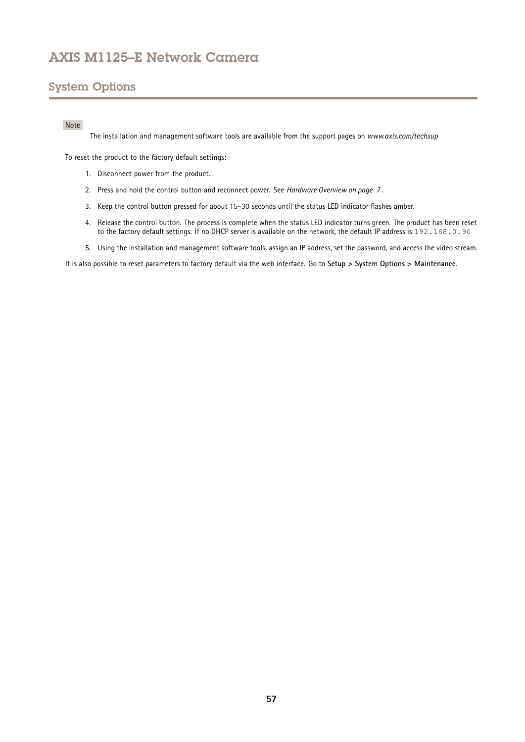# System Options

### Note

The installation and management software tools are available from the support pages on *www.axis.com/techsup*

To reset the product to the factory default settings:

- 1. Disconnect power from the product.
- 2. Press and hold the control button and reconnect power. See *[Hardware](#page-6-0) Overview on page [7](#page-6-0)* .
- 3. Keep the control button pressed for about 15–30 seconds until the status LED indicator flashes amber.
- 4. Release the control button. The process is complete when the status LED indicator turns green. The product has been reset to the factory default settings. If no DHCP server is available on the network, the default IP address is 192.168.0.90
- 5. Using the installation and management software tools, assign an IP address, set the password, and access the video stream.

It is also possible to reset parameters to factory default via the web interface. Go to **Setup <sup>&</sup>gt; System Options <sup>&</sup>gt; Maintenance**.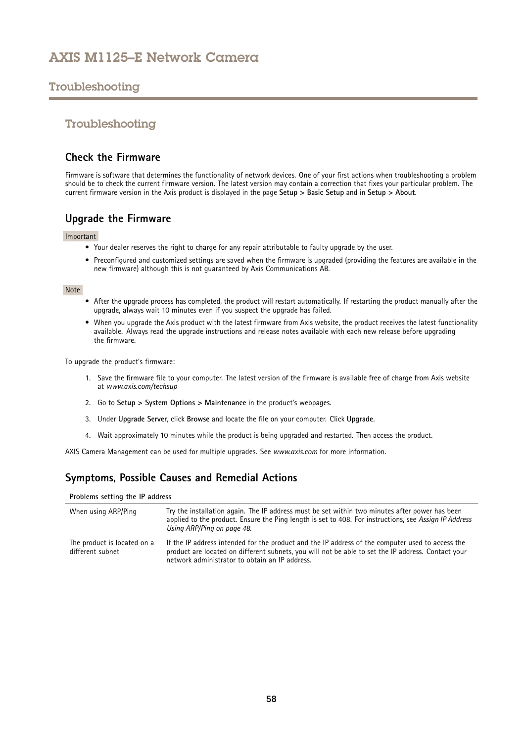## <span id="page-57-0"></span>Troubleshooting

## Troubleshooting

## **Check the Firmware**

Firmware is software that determines the functionality of network devices. One of your first actions when troubleshooting <sup>a</sup> problem should be to check the current firmware version. The latest version may contain <sup>a</sup> correction that fixes your particular problem. The current firmware version in the Axis product is displayed in the page **Setup <sup>&</sup>gt; Basic Setup** and in **Setup <sup>&</sup>gt; About**.

## **Upgrade the Firmware**

### Important

- Your dealer reserves the right to charge for any repair attributable to faulty upgrade by the user.
- Preconfigured and customized settings are saved when the firmware is upgraded (providing the features are available in the new firmware) although this is not guaranteed by Axis Communications AB.

### Note

- After the upgrade process has completed, the product will restart automatically. If restarting the product manually after the upgrade, always wait 10 minutes even if you suspect the upgrade has failed.
- When you upgrade the Axis product with the latest firmware from Axis website, the product receives the latest functionality available. Always read the upgrade instructions and release notes available with each new release before upgrading the firmware.

To upgrade the product's firmware:

- 1. Save the firmware file to your computer. The latest version of the firmware is available free of charge from Axis website at *www.axis.com/techsup*
- 2. Go to **Setup <sup>&</sup>gt; System Options <sup>&</sup>gt; Maintenance** in the product's webpages.
- 3. Under **Upgrade Server**, click **Browse** and locate the file on your computer. Click **Upgrade**.
- 4. Wait approximately 10 minutes while the product is being upgraded and restarted. Then access the product.

AXIS Camera Management can be used for multiple upgrades. See *www.axis.com* for more information.

## **Symptoms, Possible Causes and Remedial Actions**

### **Problems setting the IP address**

| When using ARP/Ping                             | Try the installation again. The IP address must be set within two minutes after power has been<br>applied to the product. Ensure the Ping length is set to 408. For instructions, see Assign IP Address<br>Using ARP/Ping on page 48.                    |
|-------------------------------------------------|----------------------------------------------------------------------------------------------------------------------------------------------------------------------------------------------------------------------------------------------------------|
| The product is located on a<br>different subnet | If the IP address intended for the product and the IP address of the computer used to access the<br>product are located on different subnets, you will not be able to set the IP address. Contact your<br>network administrator to obtain an IP address. |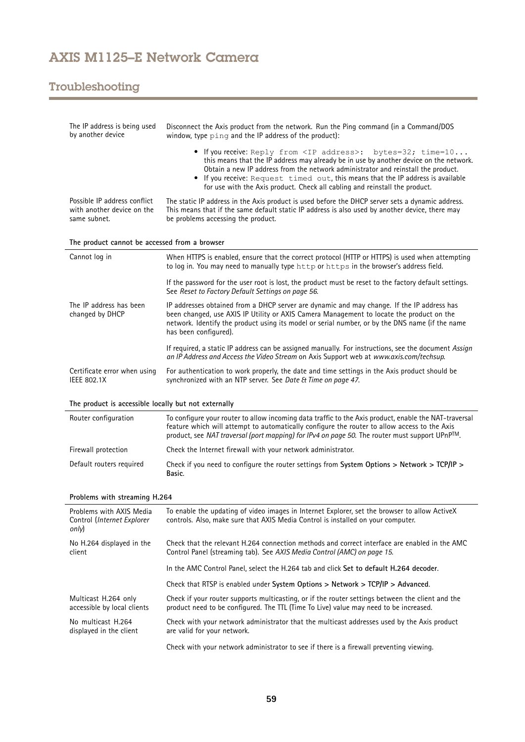# Troubleshooting

| The IP address is being used<br>by another device                          | Disconnect the Axis product from the network. Run the Ping command (in a Command/DOS<br>window, type ping and the IP address of the product):                                                                                                                                                                                                                                                                              |  |  |
|----------------------------------------------------------------------------|----------------------------------------------------------------------------------------------------------------------------------------------------------------------------------------------------------------------------------------------------------------------------------------------------------------------------------------------------------------------------------------------------------------------------|--|--|
|                                                                            | • If you receive: Reply from <ip address="">: bytes=32; time=10<br/>this means that the IP address may already be in use by another device on the network.<br/>Obtain a new IP address from the network administrator and reinstall the product.<br/>• If you receive: Request timed out, this means that the IP address is available<br/>for use with the Axis product. Check all cabling and reinstall the product.</ip> |  |  |
| Possible IP address conflict<br>with another device on the<br>same subnet. | The static IP address in the Axis product is used before the DHCP server sets a dynamic address.<br>This means that if the same default static IP address is also used by another device, there may<br>be problems accessing the product.                                                                                                                                                                                  |  |  |
| The product cannot be accessed from a browser                              |                                                                                                                                                                                                                                                                                                                                                                                                                            |  |  |
| Cannot log in                                                              | When HTTPS is enabled, ensure that the correct protocol (HTTP or HTTPS) is used when attempting<br>to log in. You may need to manually type http or https in the browser's address field.                                                                                                                                                                                                                                  |  |  |
|                                                                            | If the password for the user root is lost, the product must be reset to the factory default settings.<br>See Reset to Factory Default Settings on page 56.                                                                                                                                                                                                                                                                 |  |  |
| The IP address has been<br>changed by DHCP                                 | IP addresses obtained from a DHCP server are dynamic and may change. If the IP address has<br>been changed, use AXIS IP Utility or AXIS Camera Management to locate the product on the<br>network. Identify the product using its model or serial number, or by the DNS name (if the name<br>has been configured).                                                                                                         |  |  |
|                                                                            | If required, a static IP address can be assigned manually. For instructions, see the document Assign<br>an IP Address and Access the Video Stream on Axis Support web at www.axis.com/techsup.                                                                                                                                                                                                                             |  |  |
| Certificate error when using<br><b>IEEE 802.1X</b>                         | For authentication to work properly, the date and time settings in the Axis product should be<br>synchronized with an NTP server. See Date & Time on page 47.                                                                                                                                                                                                                                                              |  |  |
| The product is accessible locally but not externally                       |                                                                                                                                                                                                                                                                                                                                                                                                                            |  |  |
|                                                                            |                                                                                                                                                                                                                                                                                                                                                                                                                            |  |  |
| Router configuration                                                       | To configure your router to allow incoming data traffic to the Axis product, enable the NAT-traversal<br>feature which will attempt to automatically configure the router to allow access to the Axis<br>product, see NAT traversal (port mapping) for IPv4 on page 50. The router must support UPnP™.                                                                                                                     |  |  |
| Firewall protection                                                        | Check the Internet firewall with your network administrator.                                                                                                                                                                                                                                                                                                                                                               |  |  |
| Default routers required                                                   | Check if you need to configure the router settings from System Options > Network > TCP/IP ><br>Basic.                                                                                                                                                                                                                                                                                                                      |  |  |
| Problems with streaming H.264                                              |                                                                                                                                                                                                                                                                                                                                                                                                                            |  |  |
| Problems with AXIS Media<br>Control (Internet Explorer<br>only)            | To enable the updating of video images in Internet Explorer, set the browser to allow ActiveX<br>controls. Also, make sure that AXIS Media Control is installed on your computer.                                                                                                                                                                                                                                          |  |  |
| No H.264 displayed in the<br>client                                        | Check that the relevant H.264 connection methods and correct interface are enabled in the AMC<br>Control Panel (streaming tab). See AXIS Media Control (AMC) on page 15.                                                                                                                                                                                                                                                   |  |  |
|                                                                            | In the AMC Control Panel, select the H.264 tab and click Set to default H.264 decoder.                                                                                                                                                                                                                                                                                                                                     |  |  |
|                                                                            | Check that RTSP is enabled under System Options > Network > TCP/IP > Advanced.                                                                                                                                                                                                                                                                                                                                             |  |  |
| Multicast H.264 only<br>accessible by local clients                        | Check if your router supports multicasting, or if the router settings between the client and the<br>product need to be configured. The TTL (Time To Live) value may need to be increased.                                                                                                                                                                                                                                  |  |  |
| No multicast H.264<br>displayed in the client                              | Check with your network administrator that the multicast addresses used by the Axis product<br>are valid for your network.                                                                                                                                                                                                                                                                                                 |  |  |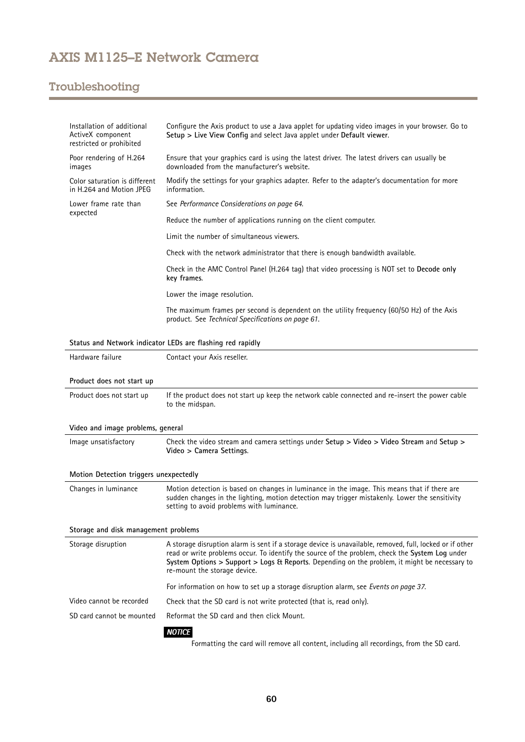# Troubleshooting

| Installation of additional<br>ActiveX component<br>restricted or prohibited | Configure the Axis product to use a Java applet for updating video images in your browser. Go to<br>Setup > Live View Config and select Java applet under Default viewer.                                                                                                                                                                    |  |  |
|-----------------------------------------------------------------------------|----------------------------------------------------------------------------------------------------------------------------------------------------------------------------------------------------------------------------------------------------------------------------------------------------------------------------------------------|--|--|
| Poor rendering of H.264<br>images                                           | Ensure that your graphics card is using the latest driver. The latest drivers can usually be<br>downloaded from the manufacturer's website.                                                                                                                                                                                                  |  |  |
| Color saturation is different<br>in H.264 and Motion JPEG                   | Modify the settings for your graphics adapter. Refer to the adapter's documentation for more<br>information.                                                                                                                                                                                                                                 |  |  |
| Lower frame rate than                                                       | See Performance Considerations on page 64.                                                                                                                                                                                                                                                                                                   |  |  |
| expected                                                                    | Reduce the number of applications running on the client computer.                                                                                                                                                                                                                                                                            |  |  |
|                                                                             | Limit the number of simultaneous viewers.                                                                                                                                                                                                                                                                                                    |  |  |
|                                                                             | Check with the network administrator that there is enough bandwidth available.                                                                                                                                                                                                                                                               |  |  |
|                                                                             | Check in the AMC Control Panel (H.264 tag) that video processing is NOT set to Decode only<br>key frames.                                                                                                                                                                                                                                    |  |  |
|                                                                             | Lower the image resolution.                                                                                                                                                                                                                                                                                                                  |  |  |
|                                                                             | The maximum frames per second is dependent on the utility frequency (60/50 Hz) of the Axis<br>product. See Technical Specifications on page 61.                                                                                                                                                                                              |  |  |
|                                                                             | Status and Network indicator LEDs are flashing red rapidly                                                                                                                                                                                                                                                                                   |  |  |
| Hardware failure                                                            | Contact your Axis reseller.                                                                                                                                                                                                                                                                                                                  |  |  |
|                                                                             |                                                                                                                                                                                                                                                                                                                                              |  |  |
| Product does not start up                                                   |                                                                                                                                                                                                                                                                                                                                              |  |  |
| Product does not start up                                                   | If the product does not start up keep the network cable connected and re-insert the power cable<br>to the midspan.                                                                                                                                                                                                                           |  |  |
| Video and image problems, general                                           |                                                                                                                                                                                                                                                                                                                                              |  |  |
| Image unsatisfactory                                                        | Check the video stream and camera settings under Setup > Video > Video Stream and Setup ><br>Video > Camera Settings.                                                                                                                                                                                                                        |  |  |
| Motion Detection triggers unexpectedly                                      |                                                                                                                                                                                                                                                                                                                                              |  |  |
| Changes in luminance                                                        | Motion detection is based on changes in luminance in the image. This means that if there are<br>sudden changes in the lighting, motion detection may trigger mistakenly. Lower the sensitivity<br>setting to avoid problems with luminance.                                                                                                  |  |  |
| Storage and disk management problems                                        |                                                                                                                                                                                                                                                                                                                                              |  |  |
| Storage disruption                                                          | A storage disruption alarm is sent if a storage device is unavailable, removed, full, locked or if other<br>read or write problems occur. To identify the source of the problem, check the System Log under<br>System Options > Support > Logs & Reports. Depending on the problem, it might be necessary to<br>re-mount the storage device. |  |  |
|                                                                             | For information on how to set up a storage disruption alarm, see Events on page 37.                                                                                                                                                                                                                                                          |  |  |
| Video cannot be recorded                                                    | Check that the SD card is not write protected (that is, read only).                                                                                                                                                                                                                                                                          |  |  |
| SD card cannot be mounted                                                   | Reformat the SD card and then click Mount.                                                                                                                                                                                                                                                                                                   |  |  |
|                                                                             | <b>NOTICE</b>                                                                                                                                                                                                                                                                                                                                |  |  |
|                                                                             | Formatting the card will remove all content, including all recordings, from the SD card.                                                                                                                                                                                                                                                     |  |  |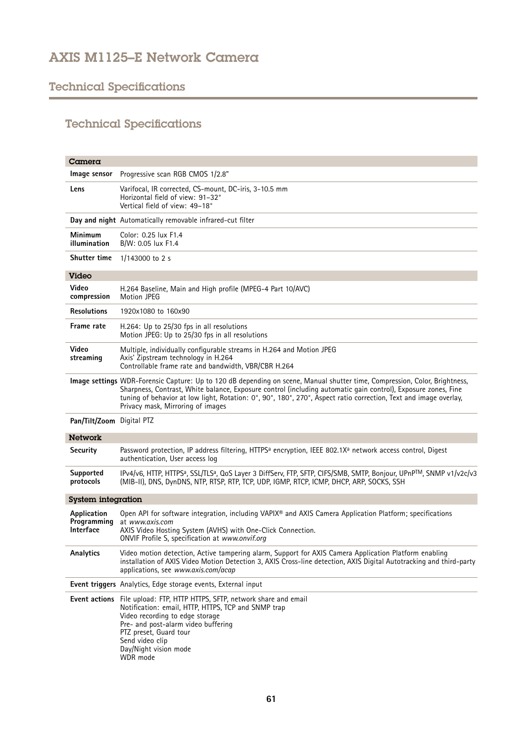# <span id="page-60-0"></span>Technical Specifications

# Technical Specifications

| Camera                                  |                                                                                                                                                                                                                                                                                                                                                                                                      |
|-----------------------------------------|------------------------------------------------------------------------------------------------------------------------------------------------------------------------------------------------------------------------------------------------------------------------------------------------------------------------------------------------------------------------------------------------------|
| Image sensor                            | Progressive scan RGB CMOS 1/2.8"                                                                                                                                                                                                                                                                                                                                                                     |
| Lens                                    | Varifocal, IR corrected, CS-mount, DC-iris, 3-10.5 mm<br>Horizontal field of view: 91-32°<br>Vertical field of view: 49-18°                                                                                                                                                                                                                                                                          |
|                                         | Day and night Automatically removable infrared-cut filter                                                                                                                                                                                                                                                                                                                                            |
| Minimum<br>illumination                 | Color: 0.25 lux F1.4<br>B/W: 0.05 lux F1.4                                                                                                                                                                                                                                                                                                                                                           |
| Shutter time                            | $1/143000$ to 2 s                                                                                                                                                                                                                                                                                                                                                                                    |
| <b>Video</b>                            |                                                                                                                                                                                                                                                                                                                                                                                                      |
| Video<br>compression                    | H.264 Baseline, Main and High profile (MPEG-4 Part 10/AVC)<br><b>Motion JPEG</b>                                                                                                                                                                                                                                                                                                                     |
| <b>Resolutions</b>                      | 1920x1080 to 160x90                                                                                                                                                                                                                                                                                                                                                                                  |
| Frame rate                              | H.264: Up to 25/30 fps in all resolutions<br>Motion JPEG: Up to 25/30 fps in all resolutions                                                                                                                                                                                                                                                                                                         |
| Video<br>streaming                      | Multiple, individually configurable streams in H.264 and Motion JPEG<br>Axis' Zipstream technology in H.264<br>Controllable frame rate and bandwidth, VBR/CBR H.264                                                                                                                                                                                                                                  |
|                                         | Image settings WDR-Forensic Capture: Up to 120 dB depending on scene, Manual shutter time, Compression, Color, Brightness,<br>Sharpness, Contrast, White balance, Exposure control (including automatic gain control), Exposure zones, Fine<br>tuning of behavior at low light, Rotation: 0°, 90°, 180°, 270°, Aspect ratio correction, Text and image overlay,<br>Privacy mask, Mirroring of images |
| Pan/Tilt/Zoom Digital PTZ               |                                                                                                                                                                                                                                                                                                                                                                                                      |
| <b>Network</b>                          |                                                                                                                                                                                                                                                                                                                                                                                                      |
| Security                                | Password protection, IP address filtering, HTTPS <sup>a</sup> encryption, IEEE 802.1X <sup>a</sup> network access control, Digest<br>authentication, User access log                                                                                                                                                                                                                                 |
| Supported<br>protocols                  | IPv4/v6, HTTP, HTTPSª, SSL/TLSª, QoS Layer 3 DiffServ, FTP, SFTP, CIFS/SMB, SMTP, Bonjour, UPnPTM, SNMP v1/v2c/v3<br>(MIB-II), DNS, DynDNS, NTP, RTSP, RTP, TCP, UDP, IGMP, RTCP, ICMP, DHCP, ARP, SOCKS, SSH                                                                                                                                                                                        |
| System integration                      |                                                                                                                                                                                                                                                                                                                                                                                                      |
| Application<br>Programming<br>Interface | Open API for software integration, including VAPIX® and AXIS Camera Application Platform; specifications<br>at www.gxis.com<br>AXIS Video Hosting System (AVHS) with One-Click Connection.<br>ONVIF Profile S, specification at www.onvif.org                                                                                                                                                        |
| Analytics                               | Video motion detection, Active tampering alarm, Support for AXIS Camera Application Platform enabling<br>installation of AXIS Video Motion Detection 3, AXIS Cross-line detection, AXIS Digital Autotracking and third-party<br>applications, see www.axis.com/acap                                                                                                                                  |
|                                         | Event triggers Analytics, Edge storage events, External input                                                                                                                                                                                                                                                                                                                                        |
|                                         | Event actions File upload: FTP, HTTP HTTPS, SFTP, network share and email<br>Notification: email, HTTP, HTTPS, TCP and SNMP trap<br>Video recording to edge storage<br>Pre- and post-alarm video buffering<br>PTZ preset, Guard tour<br>Send video clip<br>Day/Night vision mode<br>WDR mode                                                                                                         |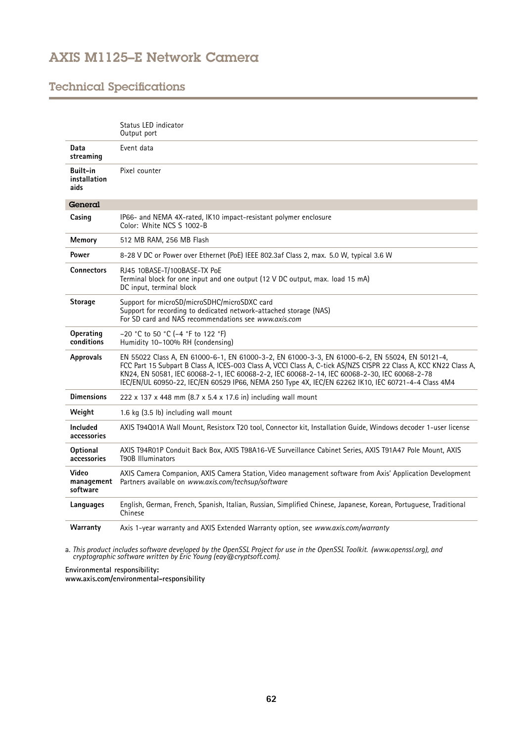# Technical Specifications

|                                  | Status LED indicator<br>Output port                                                                                                                                                                                                                                                                                                                                                                                        |
|----------------------------------|----------------------------------------------------------------------------------------------------------------------------------------------------------------------------------------------------------------------------------------------------------------------------------------------------------------------------------------------------------------------------------------------------------------------------|
| Data<br>streaming                | Event data                                                                                                                                                                                                                                                                                                                                                                                                                 |
| Built-in<br>installation<br>aids | Pixel counter                                                                                                                                                                                                                                                                                                                                                                                                              |
| General                          |                                                                                                                                                                                                                                                                                                                                                                                                                            |
| Casing                           | IP66- and NEMA 4X-rated, IK10 impact-resistant polymer enclosure<br>Color: White NCS S 1002-B                                                                                                                                                                                                                                                                                                                              |
| Memory                           | 512 MB RAM, 256 MB Flash                                                                                                                                                                                                                                                                                                                                                                                                   |
| Power                            | 8-28 V DC or Power over Ethernet (PoE) IEEE 802.3af Class 2, max. 5.0 W, typical 3.6 W                                                                                                                                                                                                                                                                                                                                     |
| <b>Connectors</b>                | RJ45 10BASE-T/100BASE-TX PoE<br>Terminal block for one input and one output (12 V DC output, max. load 15 mA)<br>DC input, terminal block                                                                                                                                                                                                                                                                                  |
| <b>Storage</b>                   | Support for microSD/microSDHC/microSDXC card<br>Support for recording to dedicated network-attached storage (NAS)<br>For SD card and NAS recommendations see www.gxis.com                                                                                                                                                                                                                                                  |
| Operating<br>conditions          | -20 °C to 50 °C (-4 °F to 122 °F)<br>Humidity 10-100% RH (condensing)                                                                                                                                                                                                                                                                                                                                                      |
| <b>Approvals</b>                 | EN 55022 Class A, EN 61000-6-1, EN 61000-3-2, EN 61000-3-3, EN 61000-6-2, EN 55024, EN 50121-4,<br>FCC Part 15 Subpart B Class A, ICES-003 Class A, VCCI Class A, C-tick AS/NZS CISPR 22 Class A, KCC KN22 Class A,<br>KN24, EN 50581, IEC 60068-2-1, IEC 60068-2-2, IEC 60068-2-14, IEC 60068-2-30, IEC 60068-2-78<br>IEC/EN/UL 60950-22, IEC/EN 60529 IP66, NEMA 250 Type 4X, IEC/EN 62262 IK10, IEC 60721-4-4 Class 4M4 |
| <b>Dimensions</b>                | 222 x 137 x 448 mm (8.7 x 5.4 x 17.6 in) including wall mount                                                                                                                                                                                                                                                                                                                                                              |
| Weight                           | 1.6 kg (3.5 lb) including wall mount                                                                                                                                                                                                                                                                                                                                                                                       |
| Included<br>accessories          | AXIS T94Q01A Wall Mount, Resistorx T20 tool, Connector kit, Installation Guide, Windows decoder 1-user license                                                                                                                                                                                                                                                                                                             |
| <b>Optional</b><br>accessories   | AXIS T94R01P Conduit Back Box, AXIS T98A16-VE Surveillance Cabinet Series, AXIS T91A47 Pole Mount, AXIS<br>T90B Illuminators                                                                                                                                                                                                                                                                                               |
| Video<br>management<br>software  | AXIS Camera Companion, AXIS Camera Station, Video management software from Axis' Application Development<br>Partners available on www.axis.com/techsup/software                                                                                                                                                                                                                                                            |
| Languages                        | English, German, French, Spanish, Italian, Russian, Simplified Chinese, Japanese, Korean, Portuguese, Traditional<br>Chinese                                                                                                                                                                                                                                                                                               |
| Warranty                         | Axis 1-year warranty and AXIS Extended Warranty option, see www.axis.com/warranty                                                                                                                                                                                                                                                                                                                                          |

a. This product includes software developed by the OpenSSL Project for use in the OpenSSL Toolkit. (www.openssl.org), and<br>cryptographic software written by Eric Young (eay@cryptsoft.com).

**Environmental responsibility: www.axis.com/environmental-responsibility**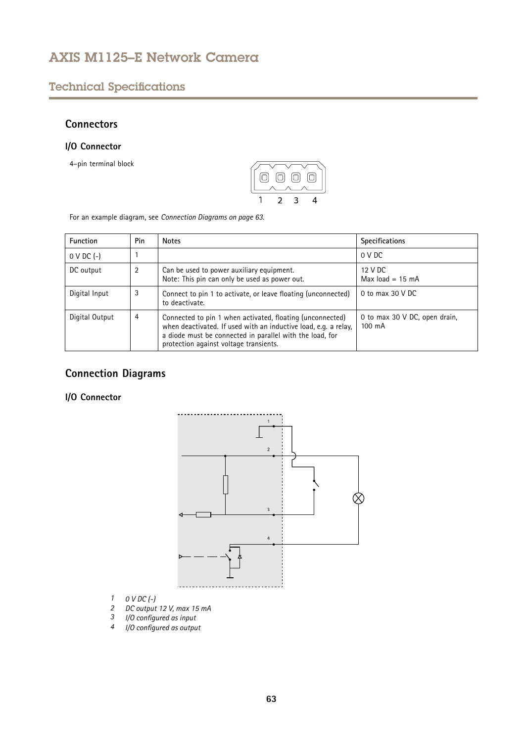# <span id="page-62-0"></span>Technical Specifications

## **Connectors**

## **I/O Connector**

4–pin terminal block



For an example diagram, see *Connection Diagrams on page 63*.

| Function        | Pin | <b>Notes</b>                                                                                                                                                                                                                       | <b>Specifications</b>                             |
|-----------------|-----|------------------------------------------------------------------------------------------------------------------------------------------------------------------------------------------------------------------------------------|---------------------------------------------------|
| $0 \vee DC$ (-) |     |                                                                                                                                                                                                                                    | 0 V DC                                            |
| DC output       | 2   | Can be used to power auxiliary equipment.<br>Note: This pin can only be used as power out.                                                                                                                                         | 12 V DC<br>Max load = $15 \text{ mA}$             |
| Digital Input   | 3   | Connect to pin 1 to activate, or leave floating (unconnected)<br>to deactivate.                                                                                                                                                    | 0 to max $30$ V DC                                |
| Digital Output  | 4   | Connected to pin 1 when activated, floating (unconnected)<br>when deactivated. If used with an inductive load, e.g. a relay,<br>a diode must be connected in parallel with the load, for<br>protection against voltage transients. | 0 to max 30 V DC, open drain,<br>$100 \text{ mA}$ |

# **Connection Diagrams**

## **I/O Connector**



- *1 0 V DC (-)*
- *2 DC output 12 V, max 15 mA*
- *<sup>3</sup> I/O configured as input*
- *<sup>4</sup> I/O configured as output*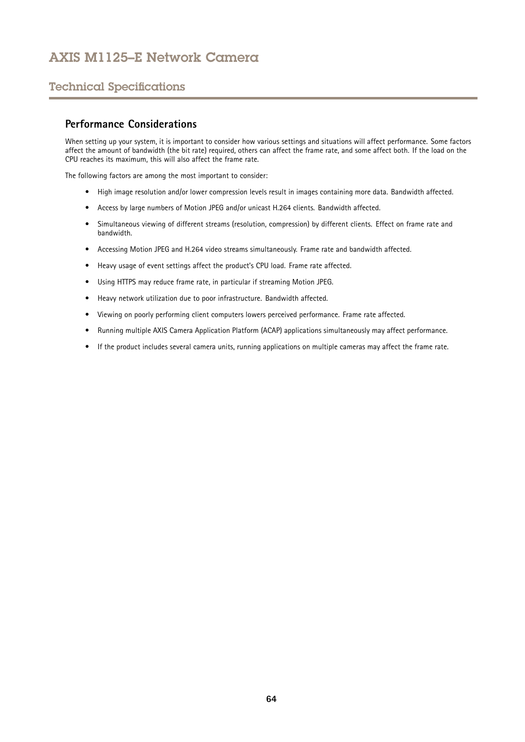## <span id="page-63-0"></span>Technical Specifications

## **Performance Considerations**

When setting up your system, it is important to consider how various settings and situations will affect performance. Some factors affect the amount of bandwidth (the bit rate) required, others can affect the frame rate, and some affect both. If the load on the CPU reaches its maximum, this will also affect the frame rate.

The following factors are among the most important to consider:

- High image resolution and/or lower compression levels result in images containing more data. Bandwidth affected.
- Access by large numbers of Motion JPEG and/or unicast H.264 clients. Bandwidth affected.
- • Simultaneous viewing of different streams (resolution, compression) by different clients. Effect on frame rate and bandwidth.
- Accessing Motion JPEG and H.264 video streams simultaneously. Frame rate and bandwidth affected.
- Heavy usage of event settings affect the product's CPU load. Frame rate affected.
- Using HTTPS may reduce frame rate, in particular if streaming Motion JPEG.
- Heavy network utilization due to poor infrastructure. Bandwidth affected.
- Viewing on poorly performing client computers lowers perceived performance. Frame rate affected.
- Running multiple AXIS Camera Application Platform (ACAP) applications simultaneously may affect performance.
- If the product includes several camera units, running applications on multiple cameras may affect the frame rate.